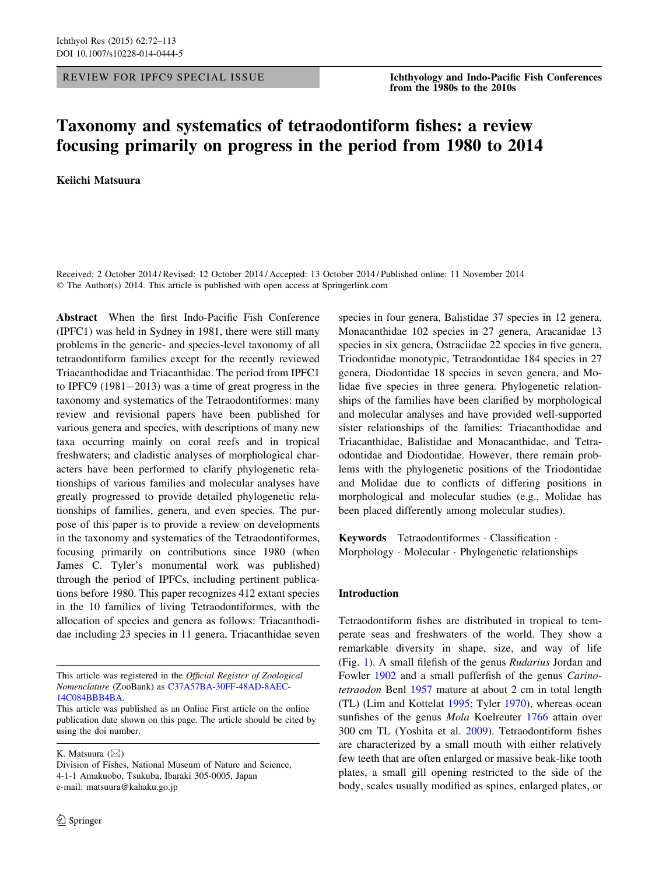REVIEW FOR IPFC9 SPECIAL ISSUE **Ichthyology and Indo-Pacific Fish Conferences** from the 1980s to the 2010s

# Taxonomy and systematics of tetraodontiform fishes: a review focusing primarily on progress in the period from 1980 to 2014

Keiichi Matsuura

Received: 2 October 2014 / Revised: 12 October 2014 / Accepted: 13 October 2014 / Published online: 11 November 2014 © The Author(s) 2014. This article is published with open access at Springerlink.com

Abstract When the first Indo-Pacific Fish Conference (IPFC1) was held in Sydney in 1981, there were still many problems in the generic- and species-level taxonomy of all tetraodontiform families except for the recently reviewed Triacanthodidae and Triacanthidae. The period from IPFC1 to IPFC9 (1981-2013) was a time of great progress in the taxonomy and systematics of the Tetraodontiformes: many review and revisional papers have been published for various genera and species, with descriptions of many new taxa occurring mainly on coral reefs and in tropical freshwaters; and cladistic analyses of morphological characters have been performed to clarify phylogenetic relationships of various families and molecular analyses have greatly progressed to provide detailed phylogenetic relationships of families, genera, and even species. The purpose of this paper is to provide a review on developments in the taxonomy and systematics of the Tetraodontiformes, focusing primarily on contributions since 1980 (when James C. Tyler's monumental work was published) through the period of IPFCs, including pertinent publications before 1980. This paper recognizes 412 extant species in the 10 families of living Tetraodontiformes, with the allocation of species and genera as follows: Triacanthodidae including 23 species in 11 genera, Triacanthidae seven

K. Matsuura  $(\boxtimes)$ 

species in four genera, Balistidae 37 species in 12 genera, Monacanthidae 102 species in 27 genera, Aracanidae 13 species in six genera, Ostraciidae 22 species in five genera, Triodontidae monotypic, Tetraodontidae 184 species in 27 genera, Diodontidae 18 species in seven genera, and Molidae five species in three genera. Phylogenetic relationships of the families have been clarified by morphological and molecular analyses and have provided well-supported sister relationships of the families: Triacanthodidae and Triacanthidae, Balistidae and Monacanthidae, and Tetraodontidae and Diodontidae. However, there remain problems with the phylogenetic positions of the Triodontidae and Molidae due to conflicts of differing positions in morphological and molecular studies (e.g., Molidae has been placed differently among molecular studies).

Keywords Tetraodontiformes - Classification - Morphology - Molecular - Phylogenetic relationships

# Introduction

Tetraodontiform fishes are distributed in tropical to temperate seas and freshwaters of the world. They show a remarkable diversity in shape, size, and way of life (Fig. 1). A small filefish of the genus Rudarius Jordan and Fowler 1902 and a small pufferfish of the genus Carinotetraodon Benl 1957 mature at about 2 cm in total length (TL) (Lim and Kottelat 1995; Tyler 1970), whereas ocean sunfishes of the genus Mola Koelreuter 1766 attain over 300 cm TL (Yoshita et al. 2009). Tetraodontiform fishes are characterized by a small mouth with either relatively few teeth that are often enlarged or massive beak-like tooth plates, a small gill opening restricted to the side of the body, scales usually modified as spines, enlarged plates, or

This article was registered in the Official Register of Zoological Nomenclature (ZooBank) as [C37A57BA-30FF-48AD-8AEC-](http://zoobank.org/urn:lsid:zoobank.org:pub:C37A57BA-30FF-48AD-8AEC-14C084BBB4BA)[14C084BBB4BA.](http://zoobank.org/urn:lsid:zoobank.org:pub:C37A57BA-30FF-48AD-8AEC-14C084BBB4BA)

This article was published as an Online First article on the online publication date shown on this page. The article should be cited by using the doi number.

Division of Fishes, National Museum of Nature and Science, 4-1-1 Amakuobo, Tsukuba, Ibaraki 305-0005, Japan e-mail: matsuura@kahaku.go.jp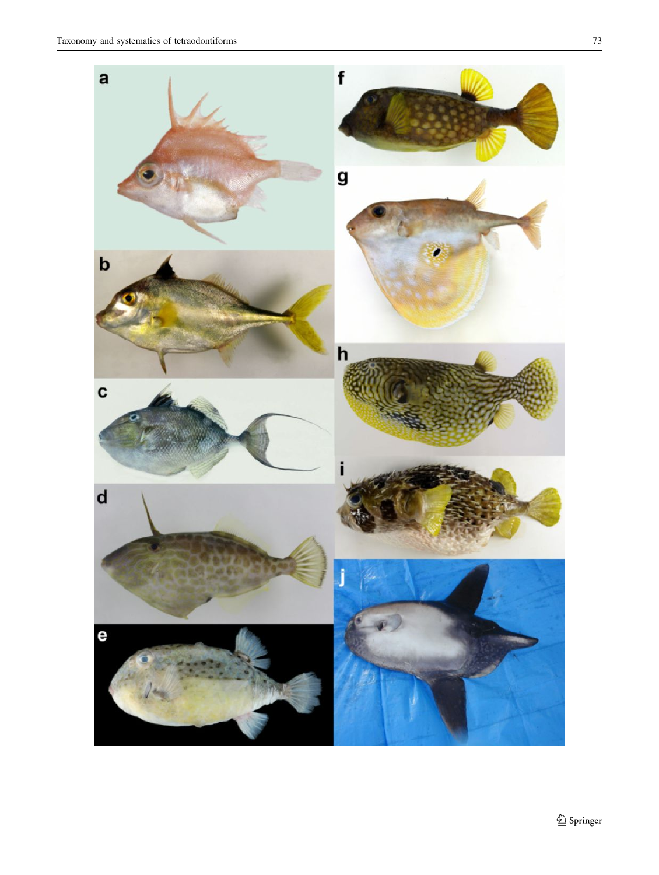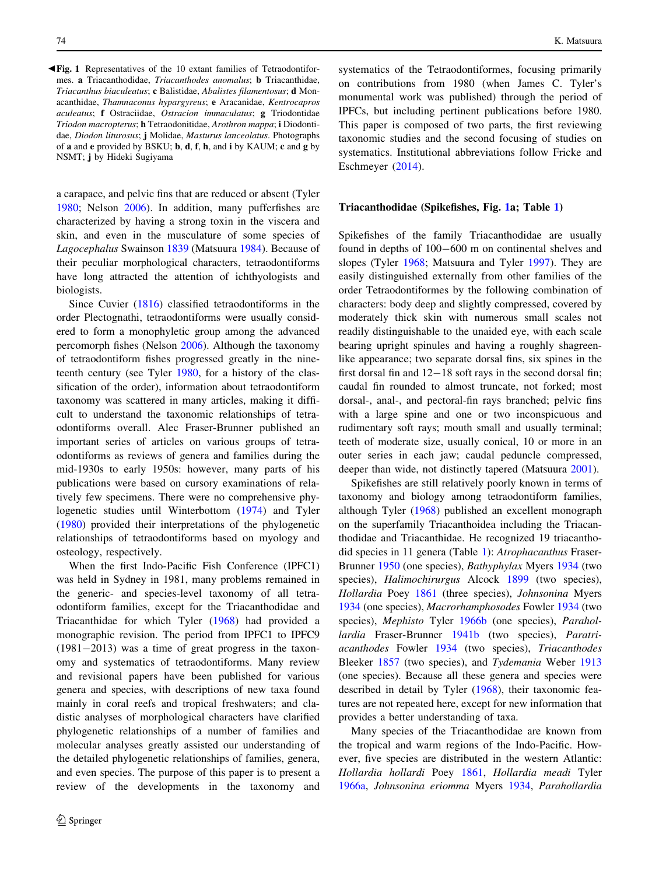$\blacktriangleleft$  **Fig. 1** Representatives of the 10 extant families of Tetraodontiformes. a Triacanthodidae, Triacanthodes anomalus; b Triacanthidae, Triacanthus biaculeatus; c Balistidae, Abalistes filamentosus; d Monacanthidae, Thamnaconus hypargyreus; e Aracanidae, Kentrocapros aculeatus; f Ostraciidae, Ostracion immaculatus; g Triodontidae Triodon macropterus; h Tetraodonitidae, Arothron mappa; i Diodontidae, Diodon liturosus; j Molidae, Masturus lanceolatus. Photographs of **a** and **e** provided by BSKU; **b**, **d**, **f**, **h**, and **i** by KAUM; **c** and **g** by NSMT; j by Hideki Sugiyama

a carapace, and pelvic fins that are reduced or absent (Tyler 1980; Nelson 2006). In addition, many pufferfishes are characterized by having a strong toxin in the viscera and skin, and even in the musculature of some species of Lagocephalus Swainson 1839 (Matsuura 1984). Because of their peculiar morphological characters, tetraodontiforms have long attracted the attention of ichthyologists and biologists.

Since Cuvier (1816) classified tetraodontiforms in the order Plectognathi, tetraodontiforms were usually considered to form a monophyletic group among the advanced percomorph fishes (Nelson 2006). Although the taxonomy of tetraodontiform fishes progressed greatly in the nineteenth century (see Tyler 1980, for a history of the classification of the order), information about tetraodontiform taxonomy was scattered in many articles, making it difficult to understand the taxonomic relationships of tetraodontiforms overall. Alec Fraser-Brunner published an important series of articles on various groups of tetraodontiforms as reviews of genera and families during the mid-1930s to early 1950s: however, many parts of his publications were based on cursory examinations of relatively few specimens. There were no comprehensive phylogenetic studies until Winterbottom (1974) and Tyler (1980) provided their interpretations of the phylogenetic relationships of tetraodontiforms based on myology and osteology, respectively.

When the first Indo-Pacific Fish Conference (IPFC1) was held in Sydney in 1981, many problems remained in the generic- and species-level taxonomy of all tetraodontiform families, except for the Triacanthodidae and Triacanthidae for which Tyler (1968) had provided a monographic revision. The period from IPFC1 to IPFC9 (1981-2013) was a time of great progress in the taxonomy and systematics of tetraodontiforms. Many review and revisional papers have been published for various genera and species, with descriptions of new taxa found mainly in coral reefs and tropical freshwaters; and cladistic analyses of morphological characters have clarified phylogenetic relationships of a number of families and molecular analyses greatly assisted our understanding of the detailed phylogenetic relationships of families, genera, and even species. The purpose of this paper is to present a review of the developments in the taxonomy and systematics of the Tetraodontiformes, focusing primarily on contributions from 1980 (when James C. Tyler's monumental work was published) through the period of IPFCs, but including pertinent publications before 1980. This paper is composed of two parts, the first reviewing taxonomic studies and the second focusing of studies on systematics. Institutional abbreviations follow Fricke and Eschmeyer (2014).

## Triacanthodidae (Spikefishes, Fig. 1a; Table 1)

Spikefishes of the family Triacanthodidae are usually found in depths of 100-600 m on continental shelves and slopes (Tyler 1968; Matsuura and Tyler 1997). They are easily distinguished externally from other families of the order Tetraodontiformes by the following combination of characters: body deep and slightly compressed, covered by moderately thick skin with numerous small scales not readily distinguishable to the unaided eye, with each scale bearing upright spinules and having a roughly shagreenlike appearance; two separate dorsal fins, six spines in the first dorsal fin and  $12-18$  soft rays in the second dorsal fin; caudal fin rounded to almost truncate, not forked; most dorsal-, anal-, and pectoral-fin rays branched; pelvic fins with a large spine and one or two inconspicuous and rudimentary soft rays; mouth small and usually terminal; teeth of moderate size, usually conical, 10 or more in an outer series in each jaw; caudal peduncle compressed, deeper than wide, not distinctly tapered (Matsuura 2001).

Spikefishes are still relatively poorly known in terms of taxonomy and biology among tetraodontiform families, although Tyler (1968) published an excellent monograph on the superfamily Triacanthoidea including the Triacanthodidae and Triacanthidae. He recognized 19 triacanthodid species in 11 genera (Table 1): Atrophacanthus Fraser-Brunner 1950 (one species), Bathyphylax Myers 1934 (two species), *Halimochirurgus* Alcock 1899 (two species), Hollardia Poey 1861 (three species), Johnsonina Myers 1934 (one species), Macrorhamphosodes Fowler 1934 (two species), Mephisto Tyler 1966b (one species), Parahollardia Fraser-Brunner 1941b (two species), Paratriacanthodes Fowler 1934 (two species), Triacanthodes Bleeker 1857 (two species), and Tydemania Weber 1913 (one species). Because all these genera and species were described in detail by Tyler (1968), their taxonomic features are not repeated here, except for new information that provides a better understanding of taxa.

Many species of the Triacanthodidae are known from the tropical and warm regions of the Indo-Pacific. However, five species are distributed in the western Atlantic: Hollardia hollardi Poey 1861, Hollardia meadi Tyler 1966a, Johnsonina eriomma Myers 1934, Parahollardia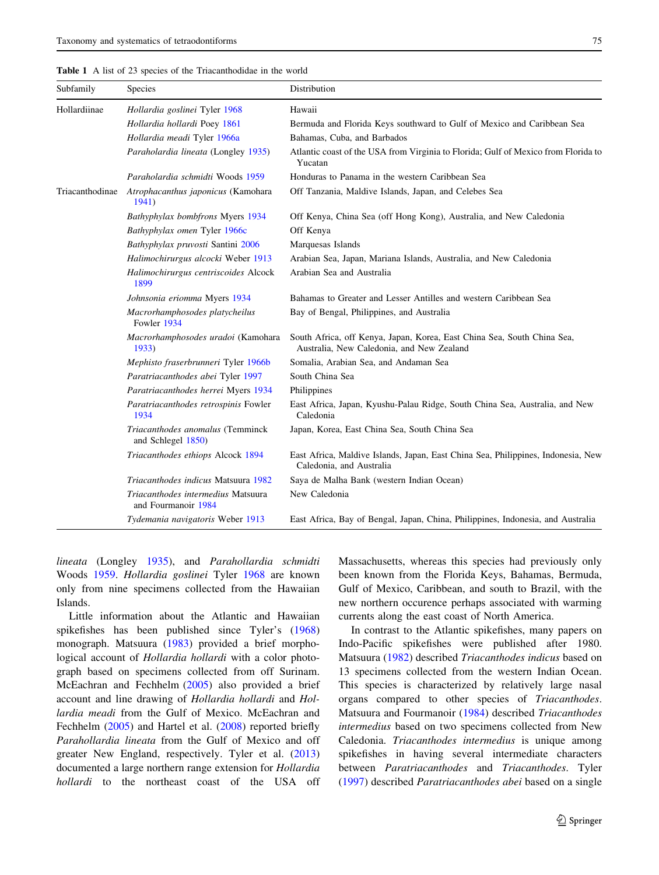Table 1 A list of 23 species of the Triacanthodidae in the world

| Subfamily       | Species                                                   | Distribution                                                                                                         |
|-----------------|-----------------------------------------------------------|----------------------------------------------------------------------------------------------------------------------|
| Hollardiinae    | Hollardia goslinei Tyler 1968                             | Hawaii                                                                                                               |
|                 | Hollardia hollardi Poey 1861                              | Bermuda and Florida Keys southward to Gulf of Mexico and Caribbean Sea                                               |
|                 | Hollardia meadi Tyler 1966a                               | Bahamas, Cuba, and Barbados                                                                                          |
|                 | Paraholardia lineata (Longley 1935)                       | Atlantic coast of the USA from Virginia to Florida; Gulf of Mexico from Florida to<br>Yucatan                        |
|                 | Paraholardia schmidti Woods 1959                          | Honduras to Panama in the western Caribbean Sea                                                                      |
| Triacanthodinae | Atrophacanthus japonicus (Kamohara<br>1941)               | Off Tanzania, Maldive Islands, Japan, and Celebes Sea                                                                |
|                 | Bathyphylax bombfrons Myers 1934                          | Off Kenya, China Sea (off Hong Kong), Australia, and New Caledonia                                                   |
|                 | Bathyphylax omen Tyler 1966c                              | Off Kenya                                                                                                            |
|                 | Bathyphylax pruvosti Santini 2006                         | Marquesas Islands                                                                                                    |
|                 | Halimochirurgus alcocki Weber 1913                        | Arabian Sea, Japan, Mariana Islands, Australia, and New Caledonia                                                    |
|                 | Halimochirurgus centriscoides Alcock<br>1899              | Arabian Sea and Australia                                                                                            |
|                 | Johnsonia eriomma Myers 1934                              | Bahamas to Greater and Lesser Antilles and western Caribbean Sea                                                     |
|                 | Macrorhamphosodes platycheilus<br>Fowler 1934             | Bay of Bengal, Philippines, and Australia                                                                            |
|                 | Macrorhamphosodes uradoi (Kamohara<br>1933)               | South Africa, off Kenya, Japan, Korea, East China Sea, South China Sea,<br>Australia, New Caledonia, and New Zealand |
|                 | Mephisto fraserbrunneri Tyler 1966b                       | Somalia, Arabian Sea, and Andaman Sea                                                                                |
|                 | Paratriacanthodes abei Tyler 1997                         | South China Sea                                                                                                      |
|                 | Paratriacanthodes herrei Myers 1934                       | Philippines                                                                                                          |
|                 | Paratriacanthodes retrospinis Fowler<br>1934              | East Africa, Japan, Kyushu-Palau Ridge, South China Sea, Australia, and New<br>Caledonia                             |
|                 | Triacanthodes anomalus (Temminck<br>and Schlegel 1850)    | Japan, Korea, East China Sea, South China Sea                                                                        |
|                 | Triacanthodes ethiops Alcock 1894                         | East Africa, Maldive Islands, Japan, East China Sea, Philippines, Indonesia, New<br>Caledonia, and Australia         |
|                 | Triacanthodes indicus Matsuura 1982                       | Saya de Malha Bank (western Indian Ocean)                                                                            |
|                 | Triacanthodes intermedius Matsuura<br>and Fourmanoir 1984 | New Caledonia                                                                                                        |
|                 | Tydemania navigatoris Weber 1913                          | East Africa, Bay of Bengal, Japan, China, Philippines, Indonesia, and Australia                                      |

lineata (Longley 1935), and Parahollardia schmidti Woods 1959. Hollardia goslinei Tyler 1968 are known only from nine specimens collected from the Hawaiian Islands.

Little information about the Atlantic and Hawaiian spikefishes has been published since Tyler's (1968) monograph. Matsuura (1983) provided a brief morphological account of Hollardia hollardi with a color photograph based on specimens collected from off Surinam. McEachran and Fechhelm (2005) also provided a brief account and line drawing of Hollardia hollardi and Hollardia meadi from the Gulf of Mexico. McEachran and Fechhelm (2005) and Hartel et al. (2008) reported briefly Parahollardia lineata from the Gulf of Mexico and off greater New England, respectively. Tyler et al. (2013) documented a large northern range extension for Hollardia hollardi to the northeast coast of the USA off Massachusetts, whereas this species had previously only been known from the Florida Keys, Bahamas, Bermuda, Gulf of Mexico, Caribbean, and south to Brazil, with the new northern occurence perhaps associated with warming currents along the east coast of North America.

In contrast to the Atlantic spikefishes, many papers on Indo-Pacific spikefishes were published after 1980. Matsuura (1982) described Triacanthodes indicus based on 13 specimens collected from the western Indian Ocean. This species is characterized by relatively large nasal organs compared to other species of Triacanthodes. Matsuura and Fourmanoir (1984) described Triacanthodes intermedius based on two specimens collected from New Caledonia. Triacanthodes intermedius is unique among spikefishes in having several intermediate characters between Paratriacanthodes and Triacanthodes. Tyler (1997) described Paratriacanthodes abei based on a single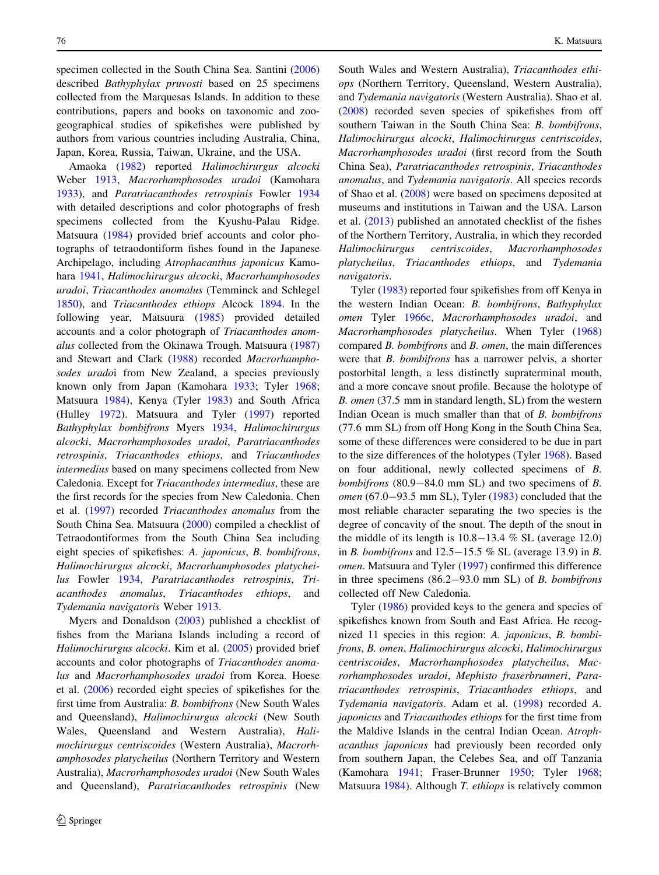specimen collected in the South China Sea. Santini (2006) described Bathyphylax pruvosti based on 25 specimens collected from the Marquesas Islands. In addition to these contributions, papers and books on taxonomic and zoogeographical studies of spikefishes were published by authors from various countries including Australia, China, Japan, Korea, Russia, Taiwan, Ukraine, and the USA.

Amaoka (1982) reported Halimochirurgus alcocki Weber 1913, Macrorhamphosodes uradoi (Kamohara 1933), and Paratriacanthodes retrospinis Fowler 1934 with detailed descriptions and color photographs of fresh specimens collected from the Kyushu-Palau Ridge. Matsuura (1984) provided brief accounts and color photographs of tetraodontiform fishes found in the Japanese Archipelago, including Atrophacanthus japonicus Kamohara 1941, Halimochirurgus alcocki, Macrorhamphosodes uradoi, Triacanthodes anomalus (Temminck and Schlegel 1850), and Triacanthodes ethiops Alcock 1894. In the following year, Matsuura (1985) provided detailed accounts and a color photograph of Triacanthodes anomalus collected from the Okinawa Trough. Matsuura (1987) and Stewart and Clark (1988) recorded Macrorhamphosodes uradoi from New Zealand, a species previously known only from Japan (Kamohara 1933; Tyler 1968; Matsuura 1984), Kenya (Tyler 1983) and South Africa (Hulley 1972). Matsuura and Tyler (1997) reported Bathyphylax bombifrons Myers 1934, Halimochirurgus alcocki, Macrorhamphosodes uradoi, Paratriacanthodes retrospinis, Triacanthodes ethiops, and Triacanthodes intermedius based on many specimens collected from New Caledonia. Except for Triacanthodes intermedius, these are the first records for the species from New Caledonia. Chen et al. (1997) recorded Triacanthodes anomalus from the South China Sea. Matsuura (2000) compiled a checklist of Tetraodontiformes from the South China Sea including eight species of spikefishes: A. japonicus, B. bombifrons, Halimochirurgus alcocki, Macrorhamphosodes platycheilus Fowler 1934, Paratriacanthodes retrospinis, Triacanthodes anomalus, Triacanthodes ethiops, and Tydemania navigatoris Weber 1913.

Myers and Donaldson (2003) published a checklist of fishes from the Mariana Islands including a record of Halimochirurgus alcocki. Kim et al. (2005) provided brief accounts and color photographs of Triacanthodes anomalus and Macrorhamphosodes uradoi from Korea. Hoese et al. (2006) recorded eight species of spikefishes for the first time from Australia: B. bombifrons (New South Wales and Queensland), Halimochirurgus alcocki (New South Wales, Queensland and Western Australia), Halimochirurgus centriscoides (Western Australia), Macrorhamphosodes platycheilus (Northern Territory and Western Australia), Macrorhamphosodes uradoi (New South Wales and Queensland), Paratriacanthodes retrospinis (New South Wales and Western Australia), Triacanthodes ethiops (Northern Territory, Queensland, Western Australia), and Tydemania navigatoris (Western Australia). Shao et al. (2008) recorded seven species of spikefishes from off southern Taiwan in the South China Sea: B. bombifrons, Halimochirurgus alcocki, Halimochirurgus centriscoides, Macrorhamphosodes uradoi (first record from the South China Sea), Paratriacanthodes retrospinis, Triacanthodes anomalus, and Tydemania navigatoris. All species records of Shao et al. (2008) were based on specimens deposited at museums and institutions in Taiwan and the USA. Larson et al. (2013) published an annotated checklist of the fishes of the Northern Territory, Australia, in which they recorded Halimochirurgus centriscoides, Macrorhamphosodes platycheilus, Triacanthodes ethiops, and Tydemania navigatoris.

Tyler (1983) reported four spikefishes from off Kenya in the western Indian Ocean: B. bombifrons, Bathyphylax omen Tyler 1966c, Macrorhamphosodes uradoi, and Macrorhamphosodes platycheilus. When Tyler (1968) compared B. bombifrons and B. omen, the main differences were that B. bombifrons has a narrower pelvis, a shorter postorbital length, a less distinctly supraterminal mouth, and a more concave snout profile. Because the holotype of B. omen (37.5 mm in standard length, SL) from the western Indian Ocean is much smaller than that of B. bombifrons (77.6 mm SL) from off Hong Kong in the South China Sea, some of these differences were considered to be due in part to the size differences of the holotypes (Tyler 1968). Based on four additional, newly collected specimens of B. bombifrons (80.9-84.0 mm SL) and two specimens of B. omen (67.0–93.5 mm SL), Tyler  $(1983)$  concluded that the most reliable character separating the two species is the degree of concavity of the snout. The depth of the snout in the middle of its length is  $10.8-13.4$  % SL (average 12.0) in B. bombifrons and  $12.5-15.5$  % SL (average 13.9) in B. omen. Matsuura and Tyler (1997) confirmed this difference in three specimens  $(86.2-93.0 \text{ mm SL})$  of *B. bombifrons* collected off New Caledonia.

Tyler (1986) provided keys to the genera and species of spikefishes known from South and East Africa. He recognized 11 species in this region: A. japonicus, B. bombifrons, B. omen, Halimochirurgus alcocki, Halimochirurgus centriscoides, Macrorhamphosodes platycheilus, Macrorhamphosodes uradoi, Mephisto fraserbrunneri, Paratriacanthodes retrospinis, Triacanthodes ethiops, and Tydemania navigatoris. Adam et al. (1998) recorded A. japonicus and Triacanthodes ethiops for the first time from the Maldive Islands in the central Indian Ocean. Atrophacanthus japonicus had previously been recorded only from southern Japan, the Celebes Sea, and off Tanzania (Kamohara 1941; Fraser-Brunner 1950; Tyler 1968; Matsuura 1984). Although T. ethiops is relatively common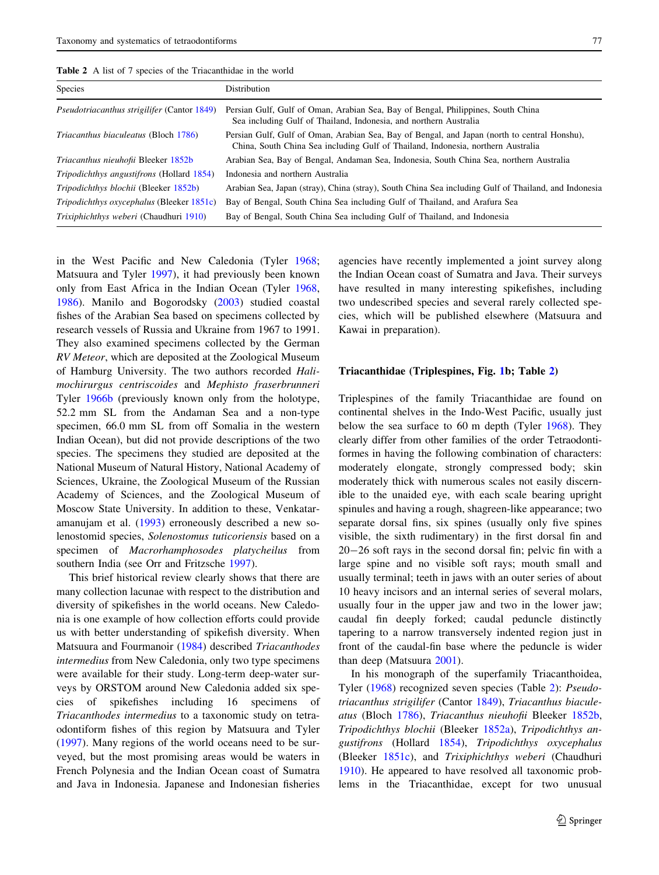Table 2 A list of 7 species of the Triacanthidae in the world

| Persian Gulf, Gulf of Oman, Arabian Sea, Bay of Bengal, and Japan (north to central Honshu),         |
|------------------------------------------------------------------------------------------------------|
|                                                                                                      |
|                                                                                                      |
| Arabian Sea, Japan (stray), China (stray), South China Sea including Gulf of Thailand, and Indonesia |
|                                                                                                      |
|                                                                                                      |
|                                                                                                      |

in the West Pacific and New Caledonia (Tyler 1968; Matsuura and Tyler 1997), it had previously been known only from East Africa in the Indian Ocean (Tyler 1968, 1986). Manilo and Bogorodsky (2003) studied coastal fishes of the Arabian Sea based on specimens collected by research vessels of Russia and Ukraine from 1967 to 1991. They also examined specimens collected by the German RV Meteor, which are deposited at the Zoological Museum of Hamburg University. The two authors recorded Halimochirurgus centriscoides and Mephisto fraserbrunneri Tyler 1966b (previously known only from the holotype, 52.2 mm SL from the Andaman Sea and a non-type specimen, 66.0 mm SL from off Somalia in the western Indian Ocean), but did not provide descriptions of the two species. The specimens they studied are deposited at the National Museum of Natural History, National Academy of Sciences, Ukraine, the Zoological Museum of the Russian Academy of Sciences, and the Zoological Museum of Moscow State University. In addition to these, Venkataramanujam et al. (1993) erroneously described a new solenostomid species, Solenostomus tuticoriensis based on a specimen of Macrorhamphosodes platycheilus from southern India (see Orr and Fritzsche 1997).

This brief historical review clearly shows that there are many collection lacunae with respect to the distribution and diversity of spikefishes in the world oceans. New Caledonia is one example of how collection efforts could provide us with better understanding of spikefish diversity. When Matsuura and Fourmanoir (1984) described Triacanthodes intermedius from New Caledonia, only two type specimens were available for their study. Long-term deep-water surveys by ORSTOM around New Caledonia added six species of spikefishes including 16 specimens of Triacanthodes intermedius to a taxonomic study on tetraodontiform fishes of this region by Matsuura and Tyler (1997). Many regions of the world oceans need to be surveyed, but the most promising areas would be waters in French Polynesia and the Indian Ocean coast of Sumatra and Java in Indonesia. Japanese and Indonesian fisheries agencies have recently implemented a joint survey along the Indian Ocean coast of Sumatra and Java. Their surveys have resulted in many interesting spikefishes, including two undescribed species and several rarely collected species, which will be published elsewhere (Matsuura and Kawai in preparation).

#### Triacanthidae (Triplespines, Fig. 1b; Table 2)

Triplespines of the family Triacanthidae are found on continental shelves in the Indo-West Pacific, usually just below the sea surface to 60 m depth (Tyler 1968). They clearly differ from other families of the order Tetraodontiformes in having the following combination of characters: moderately elongate, strongly compressed body; skin moderately thick with numerous scales not easily discernible to the unaided eye, with each scale bearing upright spinules and having a rough, shagreen-like appearance; two separate dorsal fins, six spines (usually only five spines visible, the sixth rudimentary) in the first dorsal fin and 20-26 soft rays in the second dorsal fin; pelvic fin with a large spine and no visible soft rays; mouth small and usually terminal; teeth in jaws with an outer series of about 10 heavy incisors and an internal series of several molars, usually four in the upper jaw and two in the lower jaw; caudal fin deeply forked; caudal peduncle distinctly tapering to a narrow transversely indented region just in front of the caudal-fin base where the peduncle is wider than deep (Matsuura 2001).

In his monograph of the superfamily Triacanthoidea, Tyler (1968) recognized seven species (Table 2): Pseudotriacanthus strigilifer (Cantor 1849), Triacanthus biaculeatus (Bloch 1786), Triacanthus nieuhofii Bleeker 1852b, Tripodichthys blochii (Bleeker 1852a), Tripodichthys angustifrons (Hollard 1854), Tripodichthys oxycephalus (Bleeker 1851c), and Trixiphichthys weberi (Chaudhuri 1910). He appeared to have resolved all taxonomic problems in the Triacanthidae, except for two unusual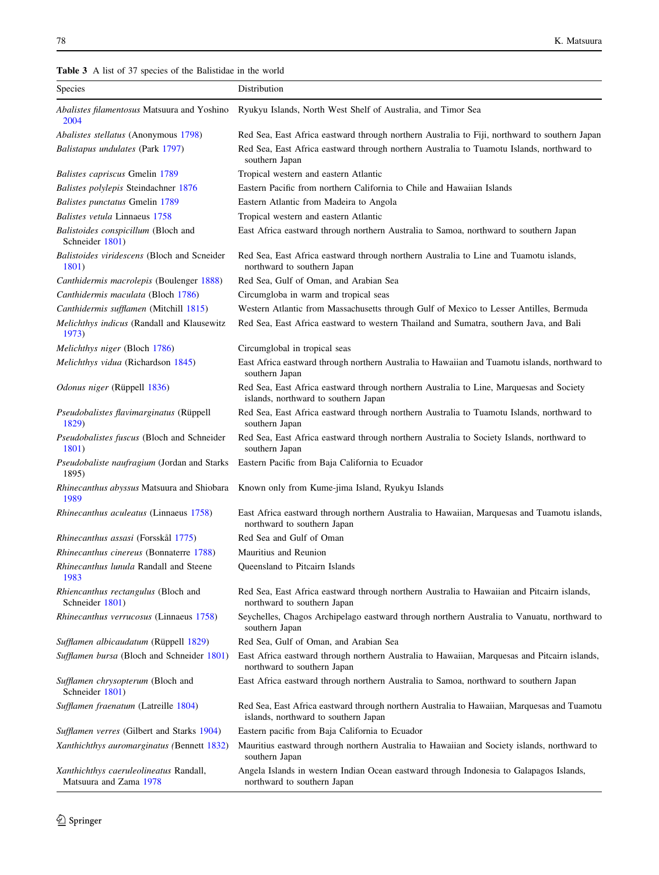Table 3 A list of 37 species of the Balistidae in the world

| Species                                                          | Distribution                                                                                                                        |
|------------------------------------------------------------------|-------------------------------------------------------------------------------------------------------------------------------------|
| Abalistes filamentosus Matsuura and Yoshino<br>2004              | Ryukyu Islands, North West Shelf of Australia, and Timor Sea                                                                        |
| Abalistes stellatus (Anonymous 1798)                             | Red Sea, East Africa eastward through northern Australia to Fiji, northward to southern Japan                                       |
| Balistapus undulates (Park 1797)                                 | Red Sea, East Africa eastward through northern Australia to Tuamotu Islands, northward to<br>southern Japan                         |
| <b>Balistes capriscus Gmelin 1789</b>                            | Tropical western and eastern Atlantic                                                                                               |
| Balistes polylepis Steindachner 1876                             | Eastern Pacific from northern California to Chile and Hawaiian Islands                                                              |
| <b>Balistes punctatus Gmelin 1789</b>                            | Eastern Atlantic from Madeira to Angola                                                                                             |
| Balistes vetula Linnaeus 1758                                    | Tropical western and eastern Atlantic                                                                                               |
| Balistoides conspicillum (Bloch and<br>Schneider 1801)           | East Africa eastward through northern Australia to Samoa, northward to southern Japan                                               |
| Balistoides viridescens (Bloch and Scneider<br>1801)             | Red Sea, East Africa eastward through northern Australia to Line and Tuamotu islands,<br>northward to southern Japan                |
| Canthidermis macrolepis (Boulenger 1888)                         | Red Sea, Gulf of Oman, and Arabian Sea                                                                                              |
| Canthidermis maculata (Bloch 1786)                               | Circumgloba in warm and tropical seas                                                                                               |
| Canthidermis sufflamen (Mitchill 1815)                           | Western Atlantic from Massachusetts through Gulf of Mexico to Lesser Antilles, Bermuda                                              |
| Melichthys indicus (Randall and Klausewitz<br>1973)              | Red Sea, East Africa eastward to western Thailand and Sumatra, southern Java, and Bali                                              |
| Melichthys niger (Bloch 1786)                                    | Circumglobal in tropical seas                                                                                                       |
| Melichthys vidua (Richardson 1845)                               | East Africa eastward through northern Australia to Hawaiian and Tuamotu islands, northward to<br>southern Japan                     |
| Odonus niger (Rüppell 1836)                                      | Red Sea, East Africa eastward through northern Australia to Line, Marquesas and Society<br>islands, northward to southern Japan     |
| Pseudobalistes flavimarginatus (Rüppell<br>1829)                 | Red Sea, East Africa eastward through northern Australia to Tuamotu Islands, northward to<br>southern Japan                         |
| Pseudobalistes fuscus (Bloch and Schneider<br><b>1801</b> )      | Red Sea, East Africa eastward through northern Australia to Society Islands, northward to<br>southern Japan                         |
| Pseudobaliste naufragium (Jordan and Starks<br>1895)             | Eastern Pacific from Baja California to Ecuador                                                                                     |
| Rhinecanthus abyssus Matsuura and Shiobara<br>1989               | Known only from Kume-jima Island, Ryukyu Islands                                                                                    |
| Rhinecanthus aculeatus (Linnaeus 1758)                           | East Africa eastward through northern Australia to Hawaiian, Marquesas and Tuamotu islands,<br>northward to southern Japan          |
| Rhinecanthus assasi (Forsskål 1775)                              | Red Sea and Gulf of Oman                                                                                                            |
| Rhinecanthus cinereus (Bonnaterre 1788)                          | Mauritius and Reunion                                                                                                               |
| Rhinecanthus lunula Randall and Steene<br>1983                   | Queensland to Pitcairn Islands                                                                                                      |
| <i>Rhiencanthus rectangulus</i> (Bloch and<br>Schneider 1801)    | Red Sea, East Africa eastward through northern Australia to Hawaiian and Pitcairn islands,<br>northward to southern Japan           |
| Rhinecanthus verrucosus (Linnaeus 1758)                          | Seychelles, Chagos Archipelago eastward through northern Australia to Vanuatu, northward to<br>southern Japan                       |
| Sufflamen albicaudatum (Rüppell 1829)                            | Red Sea, Gulf of Oman, and Arabian Sea                                                                                              |
| Sufflamen bursa (Bloch and Schneider 1801)                       | East Africa eastward through northern Australia to Hawaiian, Marquesas and Pitcairn islands,<br>northward to southern Japan         |
| Sufflamen chrysopterum (Bloch and<br>Schneider 1801)             | East Africa eastward through northern Australia to Samoa, northward to southern Japan                                               |
| Sufflamen fraenatum (Latreille 1804)                             | Red Sea, East Africa eastward through northern Australia to Hawaiian, Marquesas and Tuamotu<br>islands, northward to southern Japan |
| Sufflamen verres (Gilbert and Starks 1904)                       | Eastern pacific from Baja California to Ecuador                                                                                     |
| <i>Xanthichthys auromarginatus (Bennett 1832)</i>                | Mauritius eastward through northern Australia to Hawaiian and Society islands, northward to<br>southern Japan                       |
| Xanthichthys caeruleolineatus Randall,<br>Matsuura and Zama 1978 | Angela Islands in western Indian Ocean eastward through Indonesia to Galapagos Islands,<br>northward to southern Japan              |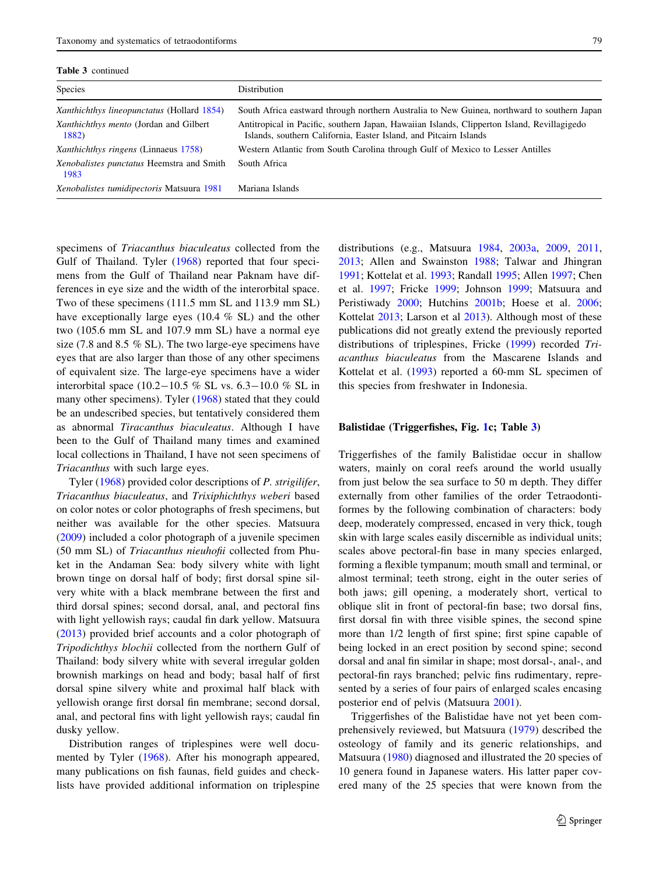Table 3 continued

| Species                                                | Distribution                                                                                                                                                     |
|--------------------------------------------------------|------------------------------------------------------------------------------------------------------------------------------------------------------------------|
| Xanthichthys lineopunctatus (Hollard 1854)             | South Africa eastward through northern Australia to New Guinea, northward to southern Japan                                                                      |
| <i>Xanthichthys mento</i> (Jordan and Gilbert<br>1882) | Antitropical in Pacific, southern Japan, Hawaiian Islands, Clipperton Island, Revillagigedo<br>Islands, southern California, Easter Island, and Pitcairn Islands |
| <i>Xanthichthys ringens</i> (Linnaeus 1758)            | Western Atlantic from South Carolina through Gulf of Mexico to Lesser Antilles                                                                                   |
| Xenobalistes punctatus Heemstra and Smith<br>1983      | South Africa                                                                                                                                                     |
| <i>Xenobalistes tumidipectoris</i> Matsuura 1981       | Mariana Islands                                                                                                                                                  |

specimens of Triacanthus biaculeatus collected from the Gulf of Thailand. Tyler (1968) reported that four specimens from the Gulf of Thailand near Paknam have differences in eye size and the width of the interorbital space. Two of these specimens (111.5 mm SL and 113.9 mm SL) have exceptionally large eyes (10.4 % SL) and the other two (105.6 mm SL and 107.9 mm SL) have a normal eye size (7.8 and 8.5 % SL). The two large-eye specimens have eyes that are also larger than those of any other specimens of equivalent size. The large-eye specimens have a wider interorbital space  $(10.2-10.5 \% SL \text{ vs. } 6.3-10.0 \% SL \text{ in}$ many other specimens). Tyler (1968) stated that they could be an undescribed species, but tentatively considered them as abnormal Tiracanthus biaculeatus. Although I have been to the Gulf of Thailand many times and examined local collections in Thailand, I have not seen specimens of Triacanthus with such large eyes.

Tyler (1968) provided color descriptions of P. strigilifer, Triacanthus biaculeatus, and Trixiphichthys weberi based on color notes or color photographs of fresh specimens, but neither was available for the other species. Matsuura (2009) included a color photograph of a juvenile specimen (50 mm SL) of Triacanthus nieuhofii collected from Phuket in the Andaman Sea: body silvery white with light brown tinge on dorsal half of body; first dorsal spine silvery white with a black membrane between the first and third dorsal spines; second dorsal, anal, and pectoral fins with light yellowish rays; caudal fin dark yellow. Matsuura (2013) provided brief accounts and a color photograph of Tripodichthys blochii collected from the northern Gulf of Thailand: body silvery white with several irregular golden brownish markings on head and body; basal half of first dorsal spine silvery white and proximal half black with yellowish orange first dorsal fin membrane; second dorsal, anal, and pectoral fins with light yellowish rays; caudal fin dusky yellow.

Distribution ranges of triplespines were well documented by Tyler (1968). After his monograph appeared, many publications on fish faunas, field guides and checklists have provided additional information on triplespine distributions (e.g., Matsuura 1984, 2003a, 2009, 2011, 2013; Allen and Swainston 1988; Talwar and Jhingran 1991; Kottelat et al. 1993; Randall 1995; Allen 1997; Chen et al. 1997; Fricke 1999; Johnson 1999; Matsuura and Peristiwady 2000; Hutchins 2001b; Hoese et al. 2006; Kottelat 2013; Larson et al 2013). Although most of these publications did not greatly extend the previously reported distributions of triplespines, Fricke (1999) recorded Triacanthus biaculeatus from the Mascarene Islands and Kottelat et al. (1993) reported a 60-mm SL specimen of this species from freshwater in Indonesia.

# Balistidae (Triggerfishes, Fig. 1c; Table 3)

Triggerfishes of the family Balistidae occur in shallow waters, mainly on coral reefs around the world usually from just below the sea surface to 50 m depth. They differ externally from other families of the order Tetraodontiformes by the following combination of characters: body deep, moderately compressed, encased in very thick, tough skin with large scales easily discernible as individual units; scales above pectoral-fin base in many species enlarged, forming a flexible tympanum; mouth small and terminal, or almost terminal; teeth strong, eight in the outer series of both jaws; gill opening, a moderately short, vertical to oblique slit in front of pectoral-fin base; two dorsal fins, first dorsal fin with three visible spines, the second spine more than 1/2 length of first spine; first spine capable of being locked in an erect position by second spine; second dorsal and anal fin similar in shape; most dorsal-, anal-, and pectoral-fin rays branched; pelvic fins rudimentary, represented by a series of four pairs of enlarged scales encasing posterior end of pelvis (Matsuura 2001).

Triggerfishes of the Balistidae have not yet been comprehensively reviewed, but Matsuura (1979) described the osteology of family and its generic relationships, and Matsuura (1980) diagnosed and illustrated the 20 species of 10 genera found in Japanese waters. His latter paper covered many of the 25 species that were known from the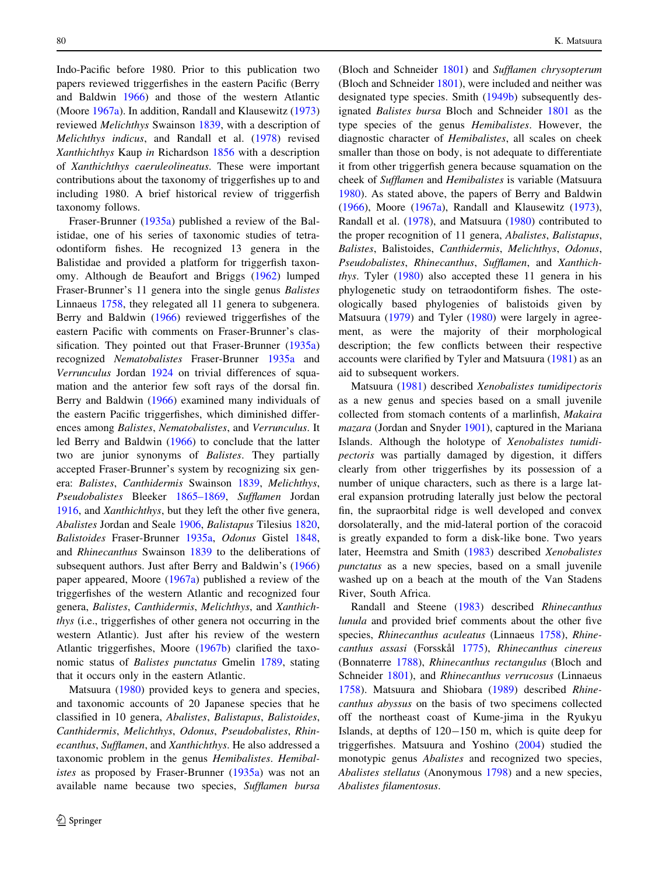Indo-Pacific before 1980. Prior to this publication two papers reviewed triggerfishes in the eastern Pacific (Berry and Baldwin 1966) and those of the western Atlantic (Moore 1967a). In addition, Randall and Klausewitz (1973) reviewed Melichthys Swainson 1839, with a description of Melichthys indicus, and Randall et al. (1978) revised Xanthichthys Kaup in Richardson 1856 with a description of Xanthichthys caeruleolineatus. These were important contributions about the taxonomy of triggerfishes up to and including 1980. A brief historical review of triggerfish taxonomy follows.

Fraser-Brunner (1935a) published a review of the Balistidae, one of his series of taxonomic studies of tetraodontiform fishes. He recognized 13 genera in the Balistidae and provided a platform for triggerfish taxonomy. Although de Beaufort and Briggs (1962) lumped Fraser-Brunner's 11 genera into the single genus Balistes Linnaeus 1758, they relegated all 11 genera to subgenera. Berry and Baldwin (1966) reviewed triggerfishes of the eastern Pacific with comments on Fraser-Brunner's classification. They pointed out that Fraser-Brunner (1935a) recognized Nematobalistes Fraser-Brunner 1935a and Verrunculus Jordan 1924 on trivial differences of squamation and the anterior few soft rays of the dorsal fin. Berry and Baldwin (1966) examined many individuals of the eastern Pacific triggerfishes, which diminished differences among Balistes, Nematobalistes, and Verrunculus. It led Berry and Baldwin (1966) to conclude that the latter two are junior synonyms of Balistes. They partially accepted Fraser-Brunner's system by recognizing six genera: Balistes, Canthidermis Swainson 1839, Melichthys, Pseudobalistes Bleeker 1865–1869, Sufflamen Jordan 1916, and Xanthichthys, but they left the other five genera, Abalistes Jordan and Seale 1906, Balistapus Tilesius 1820, Balistoides Fraser-Brunner 1935a, Odonus Gistel 1848, and Rhinecanthus Swainson 1839 to the deliberations of subsequent authors. Just after Berry and Baldwin's (1966) paper appeared, Moore (1967a) published a review of the triggerfishes of the western Atlantic and recognized four genera, Balistes, Canthidermis, Melichthys, and Xanthichthys (i.e., triggerfishes of other genera not occurring in the western Atlantic). Just after his review of the western Atlantic triggerfishes, Moore (1967b) clarified the taxonomic status of Balistes punctatus Gmelin 1789, stating that it occurs only in the eastern Atlantic.

Matsuura (1980) provided keys to genera and species, and taxonomic accounts of 20 Japanese species that he classified in 10 genera, Abalistes, Balistapus, Balistoides, Canthidermis, Melichthys, Odonus, Pseudobalistes, Rhinecanthus, Sufflamen, and Xanthichthys. He also addressed a taxonomic problem in the genus Hemibalistes. Hemibalistes as proposed by Fraser-Brunner (1935a) was not an available name because two species, Sufflamen bursa (Bloch and Schneider 1801) and Sufflamen chrysopterum (Bloch and Schneider 1801), were included and neither was designated type species. Smith (1949b) subsequently designated Balistes bursa Bloch and Schneider 1801 as the type species of the genus Hemibalistes. However, the diagnostic character of Hemibalistes, all scales on cheek smaller than those on body, is not adequate to differentiate it from other triggerfish genera because squamation on the cheek of Sufflamen and Hemibalistes is variable (Matsuura 1980). As stated above, the papers of Berry and Baldwin (1966), Moore (1967a), Randall and Klausewitz (1973), Randall et al. (1978), and Matsuura (1980) contributed to the proper recognition of 11 genera, Abalistes, Balistapus, Balistes, Balistoides, Canthidermis, Melichthys, Odonus, Pseudobalistes, Rhinecanthus, Sufflamen, and Xanthichthys. Tyler (1980) also accepted these 11 genera in his phylogenetic study on tetraodontiform fishes. The osteologically based phylogenies of balistoids given by Matsuura (1979) and Tyler (1980) were largely in agreement, as were the majority of their morphological description; the few conflicts between their respective accounts were clarified by Tyler and Matsuura (1981) as an aid to subsequent workers.

Matsuura (1981) described Xenobalistes tumidipectoris as a new genus and species based on a small juvenile collected from stomach contents of a marlinfish, Makaira mazara (Jordan and Snyder 1901), captured in the Mariana Islands. Although the holotype of Xenobalistes tumidipectoris was partially damaged by digestion, it differs clearly from other triggerfishes by its possession of a number of unique characters, such as there is a large lateral expansion protruding laterally just below the pectoral fin, the supraorbital ridge is well developed and convex dorsolaterally, and the mid-lateral portion of the coracoid is greatly expanded to form a disk-like bone. Two years later, Heemstra and Smith (1983) described Xenobalistes punctatus as a new species, based on a small juvenile washed up on a beach at the mouth of the Van Stadens River, South Africa.

Randall and Steene (1983) described Rhinecanthus lunula and provided brief comments about the other five species, Rhinecanthus aculeatus (Linnaeus 1758), Rhinecanthus assasi (Forsskål 1775), Rhinecanthus cinereus (Bonnaterre 1788), Rhinecanthus rectangulus (Bloch and Schneider 1801), and Rhinecanthus verrucosus (Linnaeus 1758). Matsuura and Shiobara (1989) described Rhinecanthus abyssus on the basis of two specimens collected off the northeast coast of Kume-jima in the Ryukyu Islands, at depths of  $120-150$  m, which is quite deep for triggerfishes. Matsuura and Yoshino (2004) studied the monotypic genus Abalistes and recognized two species, Abalistes stellatus (Anonymous 1798) and a new species, Abalistes filamentosus.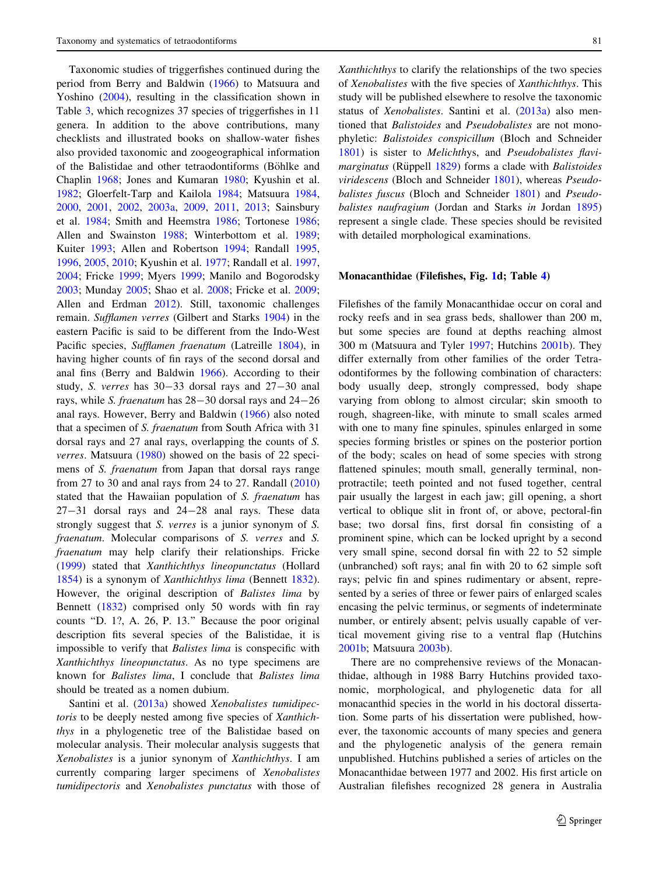Taxonomic studies of triggerfishes continued during the period from Berry and Baldwin (1966) to Matsuura and Yoshino (2004), resulting in the classification shown in Table 3, which recognizes 37 species of triggerfishes in 11 genera. In addition to the above contributions, many checklists and illustrated books on shallow-water fishes also provided taxonomic and zoogeographical information of the Balistidae and other tetraodontiforms (Böhlke and Chaplin 1968; Jones and Kumaran 1980; Kyushin et al. 1982; Gloerfelt-Tarp and Kailola 1984; Matsuura 1984, 2000, 2001, 2002, 2003a, 2009, 2011, 2013; Sainsbury et al. 1984; Smith and Heemstra 1986; Tortonese 1986; Allen and Swainston 1988; Winterbottom et al. 1989; Kuiter 1993; Allen and Robertson 1994; Randall 1995, 1996, 2005, 2010; Kyushin et al. 1977; Randall et al. 1997, 2004; Fricke 1999; Myers 1999; Manilo and Bogorodsky 2003; Munday 2005; Shao et al. 2008; Fricke et al. 2009; Allen and Erdman 2012). Still, taxonomic challenges remain. Sufflamen verres (Gilbert and Starks 1904) in the eastern Pacific is said to be different from the Indo-West Pacific species, Sufflamen fraenatum (Latreille 1804), in having higher counts of fin rays of the second dorsal and anal fins (Berry and Baldwin 1966). According to their study, S. verres has 30-33 dorsal rays and 27-30 anal rays, while S. fraenatum has 28-30 dorsal rays and 24-26 anal rays. However, Berry and Baldwin (1966) also noted that a specimen of S. fraenatum from South Africa with 31 dorsal rays and 27 anal rays, overlapping the counts of S. verres. Matsuura (1980) showed on the basis of 22 specimens of S. fraenatum from Japan that dorsal rays range from 27 to 30 and anal rays from 24 to 27. Randall (2010) stated that the Hawaiian population of S. fraenatum has 27-31 dorsal rays and 24-28 anal rays. These data strongly suggest that S. verres is a junior synonym of S. fraenatum. Molecular comparisons of S. verres and S. fraenatum may help clarify their relationships. Fricke (1999) stated that Xanthichthys lineopunctatus (Hollard 1854) is a synonym of Xanthichthys lima (Bennett 1832). However, the original description of Balistes lima by Bennett (1832) comprised only 50 words with fin ray counts ''D. 1?, A. 26, P. 13.'' Because the poor original description fits several species of the Balistidae, it is impossible to verify that Balistes lima is conspecific with Xanthichthys lineopunctatus. As no type specimens are known for Balistes lima, I conclude that Balistes lima should be treated as a nomen dubium.

Santini et al. (2013a) showed Xenobalistes tumidipectoris to be deeply nested among five species of Xanthichthys in a phylogenetic tree of the Balistidae based on molecular analysis. Their molecular analysis suggests that Xenobalistes is a junior synonym of Xanthichthys. I am currently comparing larger specimens of Xenobalistes tumidipectoris and Xenobalistes punctatus with those of Xanthichthys to clarify the relationships of the two species of Xenobalistes with the five species of Xanthichthys. This study will be published elsewhere to resolve the taxonomic status of Xenobalistes. Santini et al. (2013a) also mentioned that Balistoides and Pseudobalistes are not monophyletic: Balistoides conspicillum (Bloch and Schneider 1801) is sister to Melichthys, and Pseudobalistes flavi $marginatus$  (Rüppell  $1829$ ) forms a clade with *Balistoides* viridescens (Bloch and Schneider 1801), whereas Pseudobalistes fuscus (Bloch and Schneider 1801) and Pseudobalistes naufragium (Jordan and Starks in Jordan 1895) represent a single clade. These species should be revisited with detailed morphological examinations.

#### Monacanthidae (Filefishes, Fig. 1d; Table 4)

Filefishes of the family Monacanthidae occur on coral and rocky reefs and in sea grass beds, shallower than 200 m, but some species are found at depths reaching almost 300 m (Matsuura and Tyler 1997; Hutchins 2001b). They differ externally from other families of the order Tetraodontiformes by the following combination of characters: body usually deep, strongly compressed, body shape varying from oblong to almost circular; skin smooth to rough, shagreen-like, with minute to small scales armed with one to many fine spinules, spinules enlarged in some species forming bristles or spines on the posterior portion of the body; scales on head of some species with strong flattened spinules; mouth small, generally terminal, nonprotractile; teeth pointed and not fused together, central pair usually the largest in each jaw; gill opening, a short vertical to oblique slit in front of, or above, pectoral-fin base; two dorsal fins, first dorsal fin consisting of a prominent spine, which can be locked upright by a second very small spine, second dorsal fin with 22 to 52 simple (unbranched) soft rays; anal fin with 20 to 62 simple soft rays; pelvic fin and spines rudimentary or absent, represented by a series of three or fewer pairs of enlarged scales encasing the pelvic terminus, or segments of indeterminate number, or entirely absent; pelvis usually capable of vertical movement giving rise to a ventral flap (Hutchins 2001b; Matsuura 2003b).

There are no comprehensive reviews of the Monacanthidae, although in 1988 Barry Hutchins provided taxonomic, morphological, and phylogenetic data for all monacanthid species in the world in his doctoral dissertation. Some parts of his dissertation were published, however, the taxonomic accounts of many species and genera and the phylogenetic analysis of the genera remain unpublished. Hutchins published a series of articles on the Monacanthidae between 1977 and 2002. His first article on Australian filefishes recognized 28 genera in Australia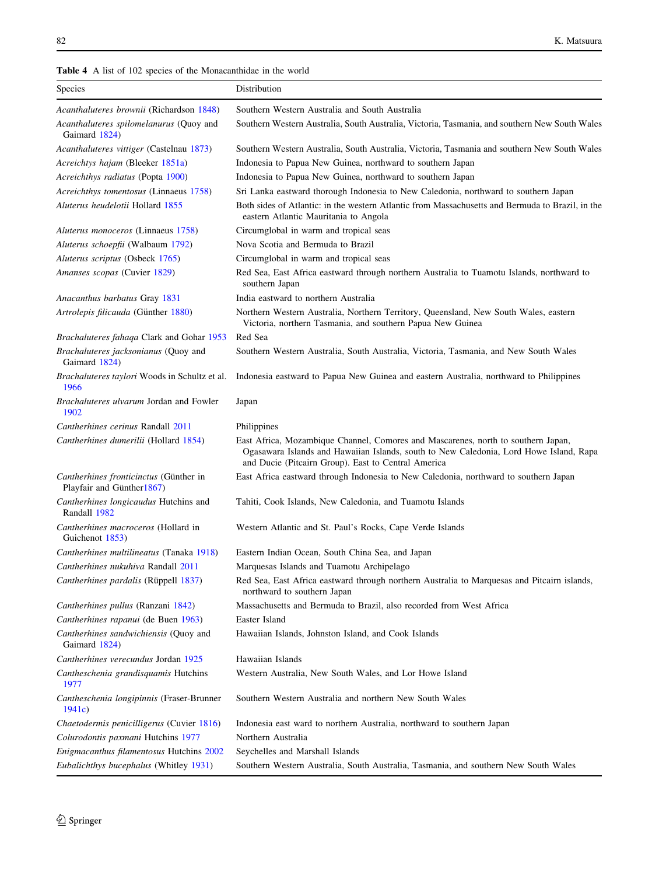Table 4 A list of 102 species of the Monacanthidae in the world

| Species                                                             | Distribution<br>Southern Western Australia and South Australia                                                                                                                                                                     |  |
|---------------------------------------------------------------------|------------------------------------------------------------------------------------------------------------------------------------------------------------------------------------------------------------------------------------|--|
| Acanthaluteres brownii (Richardson 1848)                            |                                                                                                                                                                                                                                    |  |
| Acanthaluteres spilomelanurus (Quoy and<br>Gaimard 1824)            | Southern Western Australia, South Australia, Victoria, Tasmania, and southern New South Wales                                                                                                                                      |  |
| Acanthaluteres vittiger (Castelnau 1873)                            | Southern Western Australia, South Australia, Victoria, Tasmania and southern New South Wales                                                                                                                                       |  |
| Acreichtys hajam (Bleeker 1851a)                                    | Indonesia to Papua New Guinea, northward to southern Japan                                                                                                                                                                         |  |
| Acreichthys radiatus (Popta 1900)                                   | Indonesia to Papua New Guinea, northward to southern Japan                                                                                                                                                                         |  |
| Acreichthys tomentosus (Linnaeus 1758)                              | Sri Lanka eastward thorough Indonesia to New Caledonia, northward to southern Japan                                                                                                                                                |  |
| Aluterus heudelotii Hollard 1855                                    | Both sides of Atlantic: in the western Atlantic from Massachusetts and Bermuda to Brazil, in the<br>eastern Atlantic Mauritania to Angola                                                                                          |  |
| Aluterus monoceros (Linnaeus 1758)                                  | Circumglobal in warm and tropical seas                                                                                                                                                                                             |  |
| Aluterus schoepfii (Walbaum 1792)                                   | Nova Scotia and Bermuda to Brazil                                                                                                                                                                                                  |  |
| Aluterus scriptus (Osbeck 1765)                                     | Circumglobal in warm and tropical seas                                                                                                                                                                                             |  |
| Amanses scopas (Cuvier 1829)                                        | Red Sea, East Africa eastward through northern Australia to Tuamotu Islands, northward to<br>southern Japan                                                                                                                        |  |
| Anacanthus barbatus Gray 1831                                       | India eastward to northern Australia                                                                                                                                                                                               |  |
| Artrolepis filicauda (Günther 1880)                                 | Northern Western Australia, Northern Territory, Queensland, New South Wales, eastern<br>Victoria, northern Tasmania, and southern Papua New Guinea                                                                                 |  |
| <i>Brachaluteres fahaqa</i> Clark and Gohar 1953                    | Red Sea                                                                                                                                                                                                                            |  |
| Brachaluteres jacksonianus (Quoy and<br>Gaimard 1824)               | Southern Western Australia, South Australia, Victoria, Tasmania, and New South Wales                                                                                                                                               |  |
| Brachaluteres taylori Woods in Schultz et al.<br>1966               | Indonesia eastward to Papua New Guinea and eastern Australia, northward to Philippines                                                                                                                                             |  |
| <i>Brachaluteres ulvarum Jordan and Fowler</i><br>1902              | Japan                                                                                                                                                                                                                              |  |
| Cantherhines cerinus Randall 2011                                   | Philippines                                                                                                                                                                                                                        |  |
| Cantherhines dumerilii (Hollard 1854)                               | East Africa, Mozambique Channel, Comores and Mascarenes, north to southern Japan,<br>Ogasawara Islands and Hawaiian Islands, south to New Caledonia, Lord Howe Island, Rapa<br>and Ducie (Pitcairn Group). East to Central America |  |
| Cantherhines fronticinctus (Günther in<br>Playfair and Günther1867) | East Africa eastward through Indonesia to New Caledonia, northward to southern Japan                                                                                                                                               |  |
| Cantherhines longicaudus Hutchins and<br>Randall 1982               | Tahiti, Cook Islands, New Caledonia, and Tuamotu Islands                                                                                                                                                                           |  |
| Cantherhines macroceros (Hollard in<br>Guichenot 1853)              | Western Atlantic and St. Paul's Rocks, Cape Verde Islands                                                                                                                                                                          |  |
| Cantherhines multilineatus (Tanaka 1918)                            | Eastern Indian Ocean, South China Sea, and Japan                                                                                                                                                                                   |  |
| Cantherhines nukuhiva Randall 2011                                  | Marquesas Islands and Tuamotu Archipelago                                                                                                                                                                                          |  |
| Cantherhines pardalis (Rüppell 1837)                                | Red Sea, East Africa eastward through northern Australia to Marquesas and Pitcairn islands,<br>northward to southern Japan                                                                                                         |  |
| Cantherhines pullus (Ranzani 1842)                                  | Massachusetts and Bermuda to Brazil, also recorded from West Africa                                                                                                                                                                |  |
| Cantherhines rapanui (de Buen 1963)                                 | Easter Island                                                                                                                                                                                                                      |  |
| Cantherhines sandwichiensis (Quoy and<br>Gaimard 1824)              | Hawaiian Islands, Johnston Island, and Cook Islands                                                                                                                                                                                |  |
| Cantherhines verecundus Jordan 1925                                 | Hawaiian Islands                                                                                                                                                                                                                   |  |
| Cantheschenia grandisquamis Hutchins<br>1977                        | Western Australia, New South Wales, and Lor Howe Island                                                                                                                                                                            |  |
| Cantheschenia longipinnis (Fraser-Brunner<br>1941c)                 | Southern Western Australia and northern New South Wales                                                                                                                                                                            |  |
| Chaetodermis penicilligerus (Cuvier 1816)                           | Indonesia east ward to northern Australia, northward to southern Japan                                                                                                                                                             |  |
| Colurodontis paxmani Hutchins 1977                                  | Northern Australia                                                                                                                                                                                                                 |  |
| Enigmacanthus filamentosus Hutchins 2002                            | Seychelles and Marshall Islands                                                                                                                                                                                                    |  |
| Eubalichthys bucephalus (Whitley 1931)                              | Southern Western Australia, South Australia, Tasmania, and southern New South Wales                                                                                                                                                |  |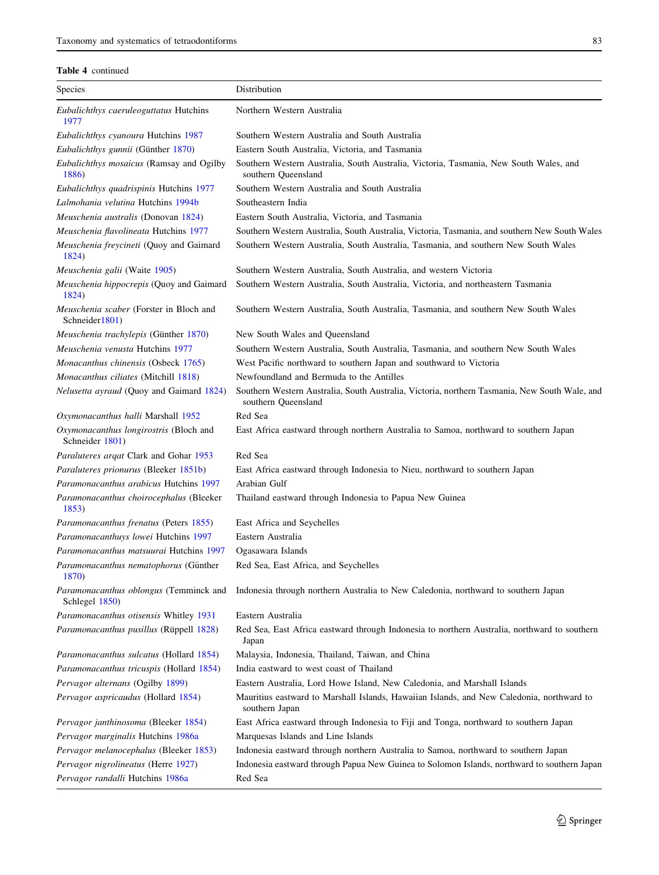#### Table 4 continued

| Species                                                                 | Distribution                                                                                                         |
|-------------------------------------------------------------------------|----------------------------------------------------------------------------------------------------------------------|
| Eubalichthys caeruleoguttatus Hutchins<br>1977                          | Northern Western Australia                                                                                           |
| Eubalichthys cyanoura Hutchins 1987                                     | Southern Western Australia and South Australia                                                                       |
| Eubalichthys gunnii (Günther 1870)                                      | Eastern South Australia, Victoria, and Tasmania                                                                      |
| Eubalichthys mosaicus (Ramsay and Ogilby<br>1886)                       | Southern Western Australia, South Australia, Victoria, Tasmania, New South Wales, and<br>southern Queensland         |
| Eubalichthys quadrispinis Hutchins 1977                                 | Southern Western Australia and South Australia                                                                       |
| Lalmohania velutina Hutchins 1994b                                      | Southeastern India                                                                                                   |
| Meuschenia australis (Donovan 1824)                                     | Eastern South Australia, Victoria, and Tasmania                                                                      |
| Meuschenia flavolineata Hutchins 1977                                   | Southern Western Australia, South Australia, Victoria, Tasmania, and southern New South Wales                        |
| Meuschenia freycineti (Quoy and Gaimard<br>1824)                        | Southern Western Australia, South Australia, Tasmania, and southern New South Wales                                  |
| Meuschenia galii (Waite 1905)                                           | Southern Western Australia, South Australia, and western Victoria                                                    |
| Meuschenia hippocrepis (Quoy and Gaimard<br>1824)                       | Southern Western Australia, South Australia, Victoria, and northeastern Tasmania                                     |
| Meuschenia scaber (Forster in Bloch and<br>Schneider1801)               | Southern Western Australia, South Australia, Tasmania, and southern New South Wales                                  |
| Meuschenia trachylepis (Günther 1870)                                   | New South Wales and Oueensland                                                                                       |
| Meuschenia venusta Hutchins 1977                                        | Southern Western Australia, South Australia, Tasmania, and southern New South Wales                                  |
| Monacanthus chinensis (Osbeck 1765)                                     | West Pacific northward to southern Japan and southward to Victoria                                                   |
| Monacanthus ciliates (Mitchill 1818)                                    | Newfoundland and Bermuda to the Antilles                                                                             |
| Nelusetta ayraud (Quoy and Gaimard 1824)                                | Southern Western Australia, South Australia, Victoria, northern Tasmania, New South Wale, and<br>southern Queensland |
| Oxymonacanthus halli Marshall 1952                                      | Red Sea                                                                                                              |
| Oxymonacanthus longirostris (Bloch and<br>Schneider 1801)               | East Africa eastward through northern Australia to Samoa, northward to southern Japan                                |
| Paraluteres argat Clark and Gohar 1953                                  | Red Sea                                                                                                              |
| Paraluteres prionurus (Bleeker 1851b)                                   | East Africa eastward through Indonesia to Nieu, northward to southern Japan                                          |
| <i>Paramonacanthus arabicus</i> Hutchins 1997                           | Arabian Gulf                                                                                                         |
| Paramonacanthus choirocephalus (Bleeker<br>1853)                        | Thailand eastward through Indonesia to Papua New Guinea                                                              |
| Paramonacanthus frenatus (Peters 1855)                                  | East Africa and Seychelles                                                                                           |
| Paramonacanthuys lowei Hutchins 1997                                    | Eastern Australia                                                                                                    |
| Paramonacanthus matsuurai Hutchins 1997                                 | Ogasawara Islands                                                                                                    |
| Paramonacanthus nematophorus (Günther<br>1870)                          | Red Sea, East Africa, and Seychelles                                                                                 |
| Paramonacanthus oblongus (Temminck and<br>Schlegel 1850)                | Indonesia through northern Australia to New Caledonia, northward to southern Japan                                   |
| Paramonacanthus otisensis Whitley 1931                                  | Eastern Australia                                                                                                    |
| Paramonacanthus pusillus (Rüppell 1828)                                 | Red Sea, East Africa eastward through Indonesia to northern Australia, northward to southern<br>Japan                |
| Paramonacanthus sulcatus (Hollard 1854)                                 | Malaysia, Indonesia, Thailand, Taiwan, and China                                                                     |
| Paramonacanthus tricuspis (Hollard 1854)                                | India eastward to west coast of Thailand                                                                             |
| Pervagor alternans (Ogilby 1899)                                        | Eastern Australia, Lord Howe Island, New Caledonia, and Marshall Islands                                             |
| Pervagor aspricaudus (Hollard 1854)                                     | Mauritius eastward to Marshall Islands, Hawaiian Islands, and New Caledonia, northward to<br>southern Japan          |
| Pervagor janthinosoma (Bleeker 1854)                                    | East Africa eastward through Indonesia to Fiji and Tonga, northward to southern Japan                                |
| Pervagor marginalis Hutchins 1986a                                      | Marquesas Islands and Line Islands                                                                                   |
| Pervagor melanocephalus (Bleeker 1853)                                  | Indonesia eastward through northern Australia to Samoa, northward to southern Japan                                  |
| Pervagor nigrolineatus (Herre 1927)<br>Pervagor randalli Hutchins 1986a | Indonesia eastward through Papua New Guinea to Solomon Islands, northward to southern Japan<br>Red Sea               |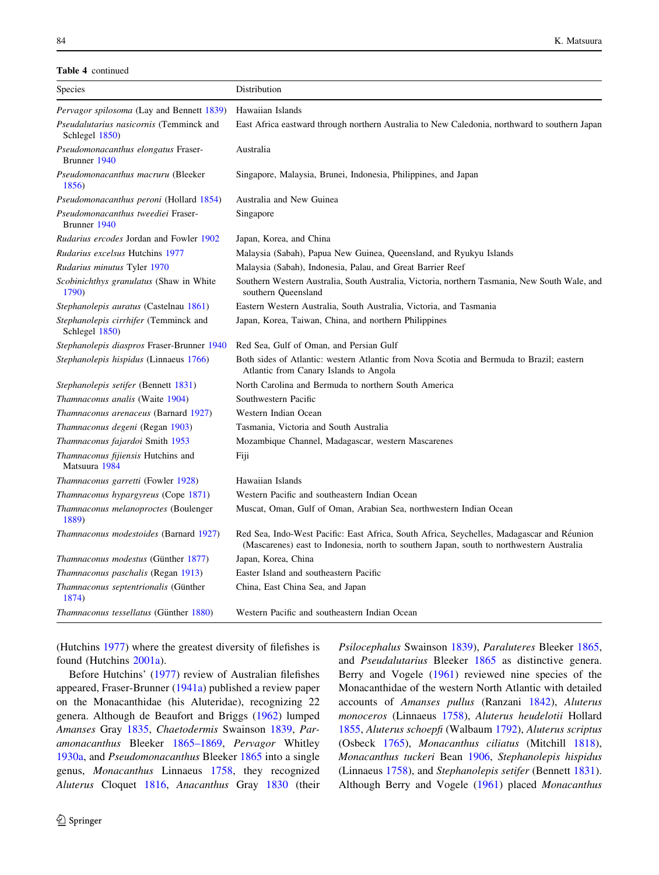#### Table 4 continued

| Species                                                   | Distribution                                                                                                                                                                          |  |
|-----------------------------------------------------------|---------------------------------------------------------------------------------------------------------------------------------------------------------------------------------------|--|
| Pervagor spilosoma (Lay and Bennett 1839)                 | Hawaiian Islands                                                                                                                                                                      |  |
| Pseudalutarius nasicornis (Temminck and<br>Schlegel 1850) | East Africa eastward through northern Australia to New Caledonia, northward to southern Japan                                                                                         |  |
| Pseudomonacanthus elongatus Fraser-<br>Brunner 1940       | Australia                                                                                                                                                                             |  |
| Pseudomonacanthus macruru (Bleeker<br>1856)               | Singapore, Malaysia, Brunei, Indonesia, Philippines, and Japan                                                                                                                        |  |
| Pseudomonacanthus peroni (Hollard 1854)                   | Australia and New Guinea                                                                                                                                                              |  |
| Pseudomonacanthus tweediei Fraser-<br>Brunner 1940        | Singapore                                                                                                                                                                             |  |
| <i>Rudarius ercodes</i> Jordan and Fowler 1902            | Japan, Korea, and China                                                                                                                                                               |  |
| <i>Rudarius excelsus</i> Hutchins 1977                    | Malaysia (Sabah), Papua New Guinea, Queensland, and Ryukyu Islands                                                                                                                    |  |
| Rudarius minutus Tyler 1970                               | Malaysia (Sabah), Indonesia, Palau, and Great Barrier Reef                                                                                                                            |  |
| Scobinichthys granulatus (Shaw in White<br>1790)          | Southern Western Australia, South Australia, Victoria, northern Tasmania, New South Wale, and<br>southern Queensland                                                                  |  |
| <i>Stephanolepis auratus</i> (Castelnau 1861)             | Eastern Western Australia, South Australia, Victoria, and Tasmania                                                                                                                    |  |
| Stephanolepis cirrhifer (Temminck and<br>Schlegel 1850)   | Japan, Korea, Taiwan, China, and northern Philippines                                                                                                                                 |  |
| Stephanolepis diaspros Fraser-Brunner 1940                | Red Sea, Gulf of Oman, and Persian Gulf                                                                                                                                               |  |
| Stephanolepis hispidus (Linnaeus 1766)                    | Both sides of Atlantic: western Atlantic from Nova Scotia and Bermuda to Brazil; eastern<br>Atlantic from Canary Islands to Angola                                                    |  |
| Stephanolepis setifer (Bennett 1831)                      | North Carolina and Bermuda to northern South America                                                                                                                                  |  |
| <i>Thamnaconus analis</i> (Waite 1904)                    | Southwestern Pacific                                                                                                                                                                  |  |
| Thamnaconus arenaceus (Barnard 1927)                      | Western Indian Ocean                                                                                                                                                                  |  |
| Thamnaconus degeni (Regan 1903)                           | Tasmania, Victoria and South Australia                                                                                                                                                |  |
| Thamnaconus fajardoi Smith 1953                           | Mozambique Channel, Madagascar, western Mascarenes                                                                                                                                    |  |
| Thamnaconus fijiensis Hutchins and<br>Matsuura 1984       | Fiji                                                                                                                                                                                  |  |
| Thamnaconus garretti (Fowler 1928)                        | Hawaiian Islands                                                                                                                                                                      |  |
| Thamnaconus hypargyreus (Cope 1871)                       | Western Pacific and southeastern Indian Ocean                                                                                                                                         |  |
| <i>Thamnaconus melanoproctes</i> (Boulenger<br>1889)      | Muscat, Oman, Gulf of Oman, Arabian Sea, northwestern Indian Ocean                                                                                                                    |  |
| <i>Thamnaconus modestoides</i> (Barnard 1927)             | Red Sea, Indo-West Pacific: East Africa, South Africa, Seychelles, Madagascar and Réunion<br>(Mascarenes) east to Indonesia, north to southern Japan, south to northwestern Australia |  |
| <i>Thamnaconus modestus</i> (Günther 1877)                | Japan, Korea, China                                                                                                                                                                   |  |
| <i>Thamnaconus paschalis</i> (Regan 1913)                 | Easter Island and southeastern Pacific                                                                                                                                                |  |
| <i>Thamnaconus septentrionalis</i> (Günther<br>1874)      | China, East China Sea, and Japan                                                                                                                                                      |  |
| <i>Thamnaconus tessellatus</i> (Günther 1880)             | Western Pacific and southeastern Indian Ocean                                                                                                                                         |  |

(Hutchins 1977) where the greatest diversity of filefishes is found (Hutchins 2001a).

Before Hutchins' (1977) review of Australian filefishes appeared, Fraser-Brunner (1941a) published a review paper on the Monacanthidae (his Aluteridae), recognizing 22 genera. Although de Beaufort and Briggs (1962) lumped Amanses Gray 1835, Chaetodermis Swainson 1839, Paramonacanthus Bleeker 1865–1869, Pervagor Whitley 1930a, and Pseudomonacanthus Bleeker 1865 into a single genus, Monacanthus Linnaeus 1758, they recognized Aluterus Cloquet 1816, Anacanthus Gray 1830 (their Psilocephalus Swainson 1839), Paraluteres Bleeker 1865, and Pseudalutarius Bleeker 1865 as distinctive genera. Berry and Vogele (1961) reviewed nine species of the Monacanthidae of the western North Atlantic with detailed accounts of Amanses pullus (Ranzani 1842), Aluterus monoceros (Linnaeus 1758), Aluterus heudelotii Hollard 1855, Aluterus schoepfi (Walbaum 1792), Aluterus scriptus (Osbeck 1765), Monacanthus ciliatus (Mitchill 1818), Monacanthus tuckeri Bean 1906, Stephanolepis hispidus (Linnaeus 1758), and Stephanolepis setifer (Bennett 1831). Although Berry and Vogele (1961) placed Monacanthus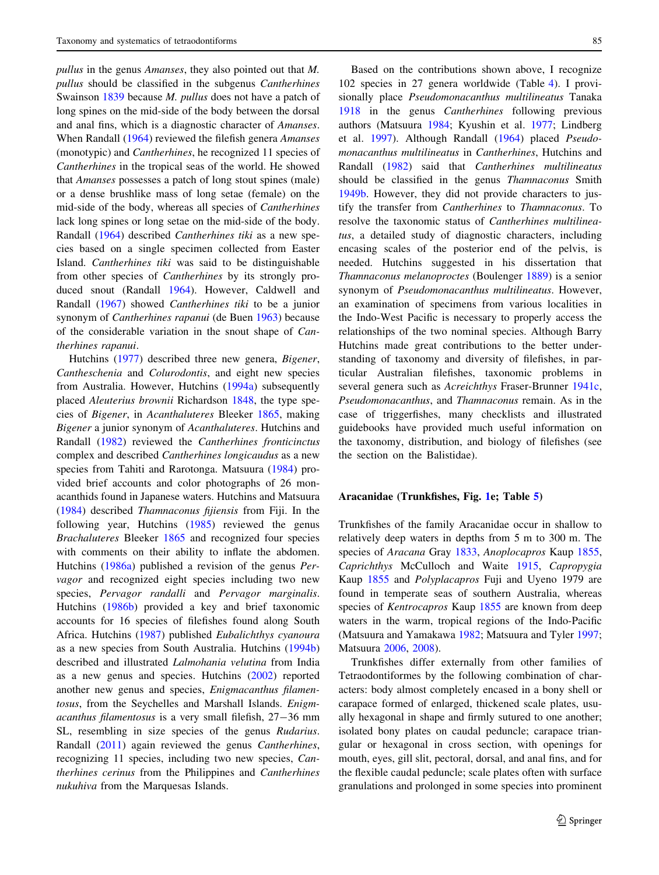pullus in the genus Amanses, they also pointed out that M. pullus should be classified in the subgenus Cantherhines Swainson 1839 because M. pullus does not have a patch of long spines on the mid-side of the body between the dorsal and anal fins, which is a diagnostic character of Amanses. When Randall (1964) reviewed the filefish genera Amanses (monotypic) and Cantherhines, he recognized 11 species of Cantherhines in the tropical seas of the world. He showed that Amanses possesses a patch of long stout spines (male) or a dense brushlike mass of long setae (female) on the mid-side of the body, whereas all species of Cantherhines lack long spines or long setae on the mid-side of the body. Randall (1964) described Cantherhines tiki as a new species based on a single specimen collected from Easter Island. Cantherhines tiki was said to be distinguishable from other species of Cantherhines by its strongly produced snout (Randall 1964). However, Caldwell and Randall (1967) showed Cantherhines tiki to be a junior synonym of Cantherhines rapanui (de Buen 1963) because of the considerable variation in the snout shape of Cantherhines rapanui.

Hutchins (1977) described three new genera, Bigener, Cantheschenia and Colurodontis, and eight new species from Australia. However, Hutchins (1994a) subsequently placed Aleuterius brownii Richardson 1848, the type species of Bigener, in Acanthaluteres Bleeker 1865, making Bigener a junior synonym of Acanthaluteres. Hutchins and Randall (1982) reviewed the Cantherhines fronticinctus complex and described Cantherhines longicaudus as a new species from Tahiti and Rarotonga. Matsuura (1984) provided brief accounts and color photographs of 26 monacanthids found in Japanese waters. Hutchins and Matsuura (1984) described Thamnaconus fijiensis from Fiji. In the following year, Hutchins (1985) reviewed the genus Brachaluteres Bleeker 1865 and recognized four species with comments on their ability to inflate the abdomen. Hutchins (1986a) published a revision of the genus Pervagor and recognized eight species including two new species, Pervagor randalli and Pervagor marginalis. Hutchins (1986b) provided a key and brief taxonomic accounts for 16 species of filefishes found along South Africa. Hutchins (1987) published Eubalichthys cyanoura as a new species from South Australia. Hutchins (1994b) described and illustrated Lalmohania velutina from India as a new genus and species. Hutchins (2002) reported another new genus and species, Enigmacanthus filamentosus, from the Seychelles and Marshall Islands. Enigmacanthus filamentosus is a very small filefish, 27-36 mm SL, resembling in size species of the genus Rudarius. Randall (2011) again reviewed the genus Cantherhines, recognizing 11 species, including two new species, Cantherhines cerinus from the Philippines and Cantherhines nukuhiva from the Marquesas Islands.

Based on the contributions shown above, I recognize 102 species in 27 genera worldwide (Table 4). I provisionally place Pseudomonacanthus multilineatus Tanaka 1918 in the genus Cantherhines following previous authors (Matsuura 1984; Kyushin et al. 1977; Lindberg et al. 1997). Although Randall (1964) placed Pseudomonacanthus multilineatus in Cantherhines, Hutchins and Randall (1982) said that Cantherhines multilineatus should be classified in the genus Thamnaconus Smith 1949b. However, they did not provide characters to justify the transfer from Cantherhines to Thamnaconus. To resolve the taxonomic status of Cantherhines multilineatus, a detailed study of diagnostic characters, including encasing scales of the posterior end of the pelvis, is needed. Hutchins suggested in his dissertation that Thamnaconus melanoproctes (Boulenger 1889) is a senior synonym of Pseudomonacanthus multilineatus. However, an examination of specimens from various localities in the Indo-West Pacific is necessary to properly access the relationships of the two nominal species. Although Barry Hutchins made great contributions to the better understanding of taxonomy and diversity of filefishes, in particular Australian filefishes, taxonomic problems in several genera such as Acreichthys Fraser-Brunner 1941c, Pseudomonacanthus, and Thamnaconus remain. As in the case of triggerfishes, many checklists and illustrated guidebooks have provided much useful information on the taxonomy, distribution, and biology of filefishes (see the section on the Balistidae).

### Aracanidae (Trunkfishes, Fig. 1e; Table 5)

Trunkfishes of the family Aracanidae occur in shallow to relatively deep waters in depths from 5 m to 300 m. The species of Aracana Gray 1833, Anoplocapros Kaup 1855, Caprichthys McCulloch and Waite 1915, Capropygia Kaup 1855 and Polyplacapros Fuji and Uyeno 1979 are found in temperate seas of southern Australia, whereas species of *Kentrocapros* Kaup 1855 are known from deep waters in the warm, tropical regions of the Indo-Pacific (Matsuura and Yamakawa 1982; Matsuura and Tyler 1997; Matsuura 2006, 2008).

Trunkfishes differ externally from other families of Tetraodontiformes by the following combination of characters: body almost completely encased in a bony shell or carapace formed of enlarged, thickened scale plates, usually hexagonal in shape and firmly sutured to one another; isolated bony plates on caudal peduncle; carapace triangular or hexagonal in cross section, with openings for mouth, eyes, gill slit, pectoral, dorsal, and anal fins, and for the flexible caudal peduncle; scale plates often with surface granulations and prolonged in some species into prominent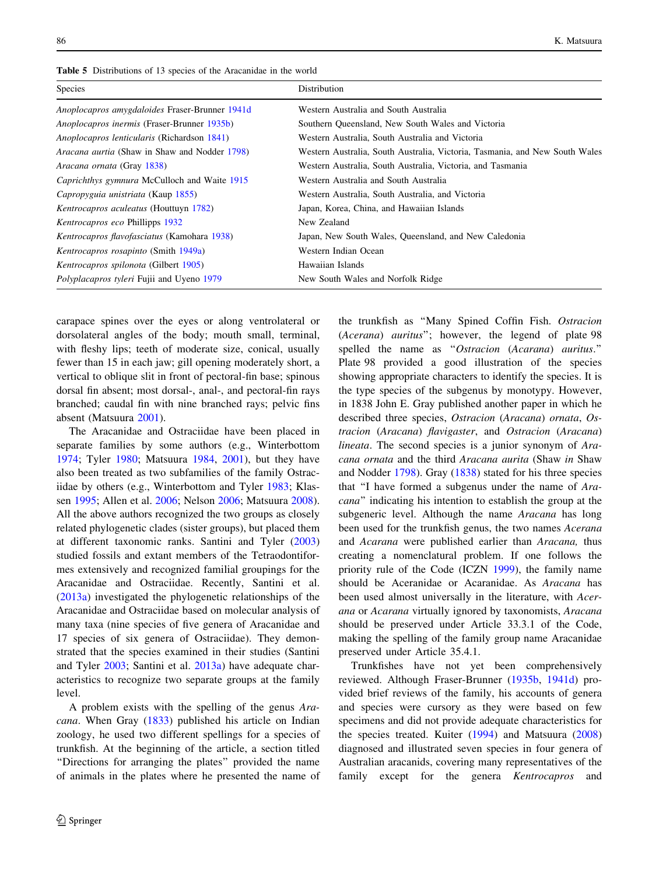| <b>Species</b>                                      | Distribution                                                                |  |
|-----------------------------------------------------|-----------------------------------------------------------------------------|--|
| Anoplocapros amygdaloides Fraser-Brunner 1941d      | Western Australia and South Australia                                       |  |
| Anoplocapros inermis (Fraser-Brunner 1935b)         | Southern Queensland, New South Wales and Victoria                           |  |
| Anoplocapros lenticularis (Richardson 1841)         | Western Australia, South Australia and Victoria                             |  |
| Aracana aurtia (Shaw in Shaw and Nodder 1798)       | Western Australia, South Australia, Victoria, Tasmania, and New South Wales |  |
| Aracana ornata (Gray 1838)                          | Western Australia, South Australia, Victoria, and Tasmania                  |  |
| <i>Caprichthys gymnura</i> McCulloch and Waite 1915 | Western Australia and South Australia                                       |  |
| Capropyguia unistriata (Kaup 1855)                  | Western Australia, South Australia, and Victoria                            |  |
| <i>Kentrocapros aculeatus</i> (Houttuyn 1782)       | Japan, Korea, China, and Hawaiian Islands                                   |  |
| <i>Kentrocapros eco Phillipps</i> 1932              | New Zealand                                                                 |  |
| <i>Kentrocapros flavofasciatus</i> (Kamohara 1938)  | Japan, New South Wales, Queensland, and New Caledonia                       |  |
| <i>Kentrocapros rosapinto</i> (Smith 1949a)         | Western Indian Ocean                                                        |  |
| <i>Kentrocapros spilonota</i> (Gilbert 1905)        | Hawaiian Islands                                                            |  |
| Polyplacapros tyleri Fujii and Uyeno 1979           | New South Wales and Norfolk Ridge                                           |  |

Table 5 Distributions of 13 species of the Aracanidae in the world

carapace spines over the eyes or along ventrolateral or dorsolateral angles of the body; mouth small, terminal, with fleshy lips; teeth of moderate size, conical, usually fewer than 15 in each jaw; gill opening moderately short, a vertical to oblique slit in front of pectoral-fin base; spinous dorsal fin absent; most dorsal-, anal-, and pectoral-fin rays branched; caudal fin with nine branched rays; pelvic fins absent (Matsuura 2001).

The Aracanidae and Ostraciidae have been placed in separate families by some authors (e.g., Winterbottom 1974; Tyler 1980; Matsuura 1984, 2001), but they have also been treated as two subfamilies of the family Ostraciidae by others (e.g., Winterbottom and Tyler 1983; Klassen 1995; Allen et al. 2006; Nelson 2006; Matsuura 2008). All the above authors recognized the two groups as closely related phylogenetic clades (sister groups), but placed them at different taxonomic ranks. Santini and Tyler (2003) studied fossils and extant members of the Tetraodontiformes extensively and recognized familial groupings for the Aracanidae and Ostraciidae. Recently, Santini et al. (2013a) investigated the phylogenetic relationships of the Aracanidae and Ostraciidae based on molecular analysis of many taxa (nine species of five genera of Aracanidae and 17 species of six genera of Ostraciidae). They demonstrated that the species examined in their studies (Santini and Tyler 2003; Santini et al. 2013a) have adequate characteristics to recognize two separate groups at the family level.

A problem exists with the spelling of the genus Aracana. When Gray (1833) published his article on Indian zoology, he used two different spellings for a species of trunkfish. At the beginning of the article, a section titled ''Directions for arranging the plates'' provided the name of animals in the plates where he presented the name of the trunkfish as ''Many Spined Coffin Fish. Ostracion (Acerana) auritus''; however, the legend of plate 98 spelled the name as "Ostracion (Acarana) auritus." Plate 98 provided a good illustration of the species showing appropriate characters to identify the species. It is the type species of the subgenus by monotypy. However, in 1838 John E. Gray published another paper in which he described three species, Ostracion (Aracana) ornata, Ostracion (Aracana) flavigaster, and Ostracion (Aracana) lineata. The second species is a junior synonym of Aracana ornata and the third Aracana aurita (Shaw in Shaw and Nodder 1798). Gray (1838) stated for his three species that ''I have formed a subgenus under the name of Aracana'' indicating his intention to establish the group at the subgeneric level. Although the name Aracana has long been used for the trunkfish genus, the two names Acerana and Acarana were published earlier than Aracana, thus creating a nomenclatural problem. If one follows the priority rule of the Code (ICZN 1999), the family name should be Aceranidae or Acaranidae. As Aracana has been used almost universally in the literature, with Acerana or Acarana virtually ignored by taxonomists, Aracana should be preserved under Article 33.3.1 of the Code, making the spelling of the family group name Aracanidae preserved under Article 35.4.1.

Trunkfishes have not yet been comprehensively reviewed. Although Fraser-Brunner (1935b, 1941d) provided brief reviews of the family, his accounts of genera and species were cursory as they were based on few specimens and did not provide adequate characteristics for the species treated. Kuiter (1994) and Matsuura (2008) diagnosed and illustrated seven species in four genera of Australian aracanids, covering many representatives of the family except for the genera *Kentrocapros* and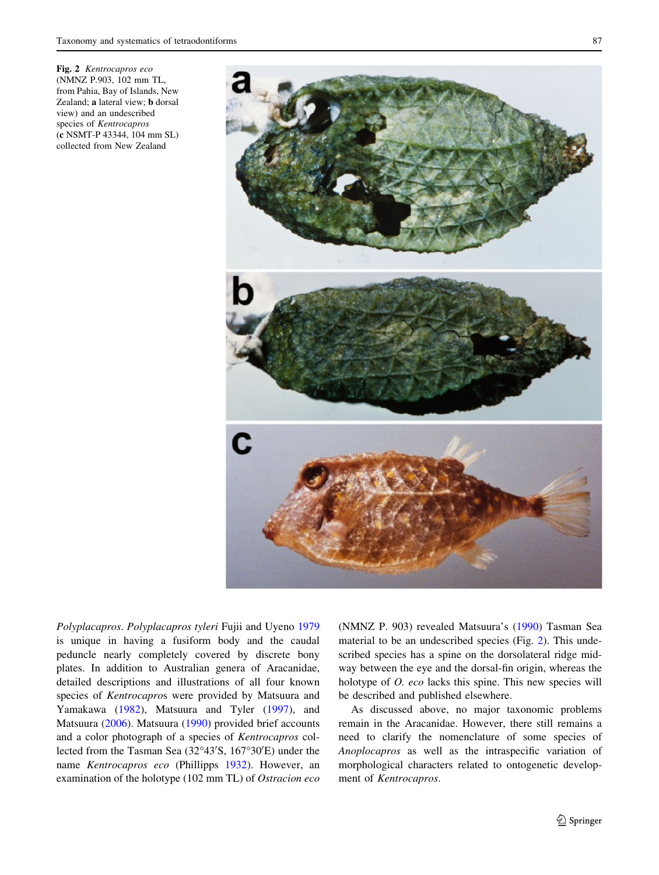Fig. 2 Kentrocapros eco (NMNZ P.903, 102 mm TL, from Pahia, Bay of Islands, New Zealand; a lateral view; b dorsal view) and an undescribed species of Kentrocapros (c NSMT-P 43344, 104 mm SL) collected from New Zealand



Polyplacapros. Polyplacapros tyleri Fujii and Uyeno 1979 is unique in having a fusiform body and the caudal peduncle nearly completely covered by discrete bony plates. In addition to Australian genera of Aracanidae, detailed descriptions and illustrations of all four known species of Kentrocapros were provided by Matsuura and Yamakawa (1982), Matsuura and Tyler (1997), and Matsuura (2006). Matsuura (1990) provided brief accounts and a color photograph of a species of Kentrocapros collected from the Tasman Sea  $(32^{\circ}43'S, 167^{\circ}30'E)$  under the name Kentrocapros eco (Phillipps 1932). However, an examination of the holotype (102 mm TL) of Ostracion eco (NMNZ P. 903) revealed Matsuura's (1990) Tasman Sea material to be an undescribed species (Fig. 2). This undescribed species has a spine on the dorsolateral ridge midway between the eye and the dorsal-fin origin, whereas the holotype of *O. eco* lacks this spine. This new species will be described and published elsewhere.

As discussed above, no major taxonomic problems remain in the Aracanidae. However, there still remains a need to clarify the nomenclature of some species of Anoplocapros as well as the intraspecific variation of morphological characters related to ontogenetic development of Kentrocapros.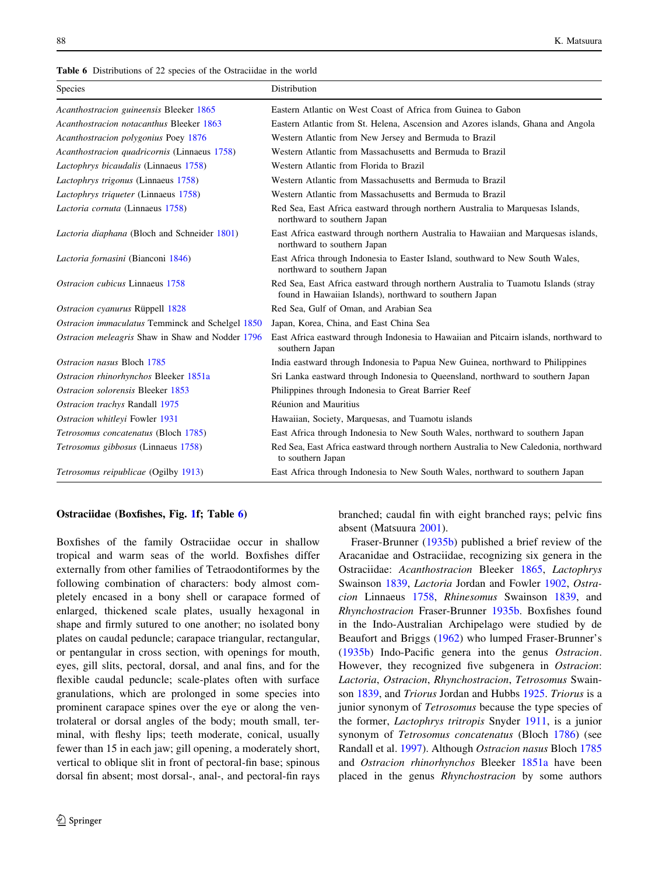| Species                                          | Distribution                                                                                                                                  |
|--------------------------------------------------|-----------------------------------------------------------------------------------------------------------------------------------------------|
| Acanthostracion guineensis Bleeker 1865          | Eastern Atlantic on West Coast of Africa from Guinea to Gabon                                                                                 |
| Acanthostracion notacanthus Bleeker 1863         | Eastern Atlantic from St. Helena, Ascension and Azores islands, Ghana and Angola                                                              |
| Acanthostracion polygonius Poey 1876             | Western Atlantic from New Jersey and Bermuda to Brazil                                                                                        |
| Acanthostracion quadricornis (Linnaeus 1758)     | Western Atlantic from Massachusetts and Bermuda to Brazil                                                                                     |
| Lactophrys bicaudalis (Linnaeus 1758)            | Western Atlantic from Florida to Brazil                                                                                                       |
| <i>Lactophrys trigonus</i> (Linnaeus 1758)       | Western Atlantic from Massachusetts and Bermuda to Brazil                                                                                     |
| <i>Lactophrys triqueter</i> (Linnaeus 1758)      | Western Atlantic from Massachusetts and Bermuda to Brazil                                                                                     |
| Lactoria cornuta (Linnaeus 1758)                 | Red Sea, East Africa eastward through northern Australia to Marquesas Islands,<br>northward to southern Japan                                 |
| Lactoria diaphana (Bloch and Schneider 1801)     | East Africa eastward through northern Australia to Hawaiian and Marquesas islands,<br>northward to southern Japan                             |
| Lactoria fornasini (Bianconi 1846)               | East Africa through Indonesia to Easter Island, southward to New South Wales,<br>northward to southern Japan                                  |
| Ostracion cubicus Linnaeus 1758                  | Red Sea, East Africa eastward through northern Australia to Tuamotu Islands (stray<br>found in Hawaiian Islands), northward to southern Japan |
| Ostracion cyanurus Rüppell 1828                  | Red Sea, Gulf of Oman, and Arabian Sea                                                                                                        |
| Ostracion immaculatus Temminck and Schelgel 1850 | Japan, Korea, China, and East China Sea                                                                                                       |
| Ostracion meleagris Shaw in Shaw and Nodder 1796 | East Africa eastward through Indonesia to Hawaiian and Pitcairn islands, northward to<br>southern Japan                                       |
| Ostracion nasus Bloch 1785                       | India eastward through Indonesia to Papua New Guinea, northward to Philippines                                                                |
| Ostracion rhinorhynchos Bleeker 1851a            | Sri Lanka eastward through Indonesia to Queensland, northward to southern Japan                                                               |
| Ostracion solorensis Bleeker 1853                | Philippines through Indonesia to Great Barrier Reef                                                                                           |
| Ostracion trachys Randall 1975                   | Réunion and Mauritius                                                                                                                         |
| Ostracion whitleyi Fowler 1931                   | Hawaiian, Society, Marquesas, and Tuamotu islands                                                                                             |
| Tetrosomus concatenatus (Bloch 1785)             | East Africa through Indonesia to New South Wales, northward to southern Japan                                                                 |
| Tetrosomus gibbosus (Linnaeus 1758)              | Red Sea, East Africa eastward through northern Australia to New Caledonia, northward<br>to southern Japan                                     |
| Tetrosomus reipublicae (Ogilby 1913)             | East Africa through Indonesia to New South Wales, northward to southern Japan                                                                 |

## Ostraciidae (Boxfishes, Fig. 1f; Table 6)

Boxfishes of the family Ostraciidae occur in shallow tropical and warm seas of the world. Boxfishes differ externally from other families of Tetraodontiformes by the following combination of characters: body almost completely encased in a bony shell or carapace formed of enlarged, thickened scale plates, usually hexagonal in shape and firmly sutured to one another; no isolated bony plates on caudal peduncle; carapace triangular, rectangular, or pentangular in cross section, with openings for mouth, eyes, gill slits, pectoral, dorsal, and anal fins, and for the flexible caudal peduncle; scale-plates often with surface granulations, which are prolonged in some species into prominent carapace spines over the eye or along the ventrolateral or dorsal angles of the body; mouth small, terminal, with fleshy lips; teeth moderate, conical, usually fewer than 15 in each jaw; gill opening, a moderately short, vertical to oblique slit in front of pectoral-fin base; spinous dorsal fin absent; most dorsal-, anal-, and pectoral-fin rays branched; caudal fin with eight branched rays; pelvic fins absent (Matsuura 2001).

Fraser-Brunner (1935b) published a brief review of the Aracanidae and Ostraciidae, recognizing six genera in the Ostraciidae: Acanthostracion Bleeker 1865, Lactophrys Swainson 1839, Lactoria Jordan and Fowler 1902, Ostracion Linnaeus 1758, Rhinesomus Swainson 1839, and Rhynchostracion Fraser-Brunner 1935b. Boxfishes found in the Indo-Australian Archipelago were studied by de Beaufort and Briggs (1962) who lumped Fraser-Brunner's (1935b) Indo-Pacific genera into the genus Ostracion. However, they recognized five subgenera in Ostracion: Lactoria, Ostracion, Rhynchostracion, Tetrosomus Swainson 1839, and Triorus Jordan and Hubbs 1925. Triorus is a junior synonym of Tetrosomus because the type species of the former, Lactophrys tritropis Snyder 1911, is a junior synonym of Tetrosomus concatenatus (Bloch 1786) (see Randall et al. 1997). Although Ostracion nasus Bloch 1785 and Ostracion rhinorhynchos Bleeker 1851a have been placed in the genus Rhynchostracion by some authors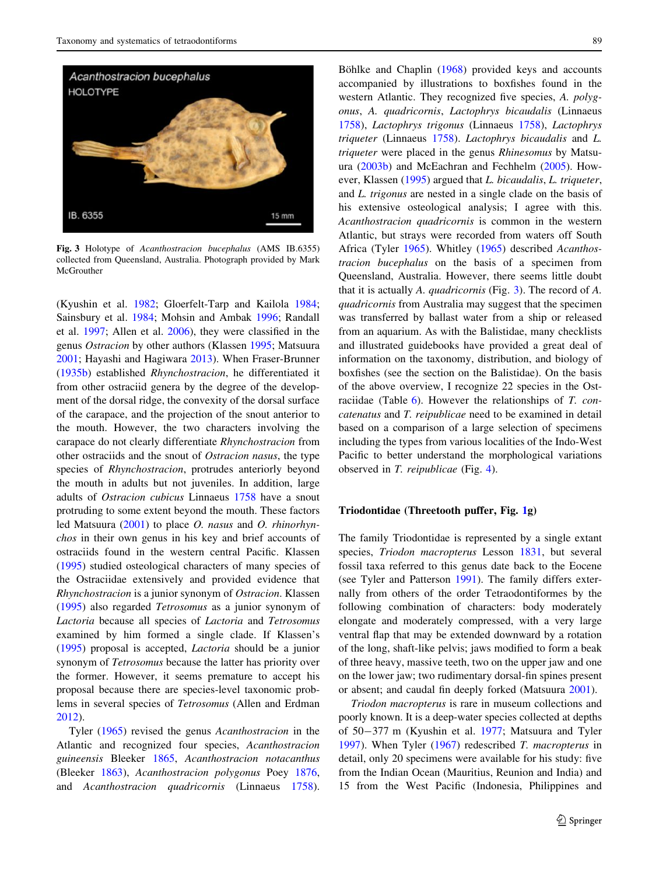

Fig. 3 Holotype of Acanthostracion bucephalus (AMS IB.6355) collected from Queensland, Australia. Photograph provided by Mark **McGrouther** 

(Kyushin et al. 1982; Gloerfelt-Tarp and Kailola 1984; Sainsbury et al. 1984; Mohsin and Ambak 1996; Randall et al. 1997; Allen et al. 2006), they were classified in the genus Ostracion by other authors (Klassen 1995; Matsuura 2001; Hayashi and Hagiwara 2013). When Fraser-Brunner (1935b) established Rhynchostracion, he differentiated it from other ostraciid genera by the degree of the development of the dorsal ridge, the convexity of the dorsal surface of the carapace, and the projection of the snout anterior to the mouth. However, the two characters involving the carapace do not clearly differentiate Rhynchostracion from other ostraciids and the snout of Ostracion nasus, the type species of Rhynchostracion, protrudes anteriorly beyond the mouth in adults but not juveniles. In addition, large adults of Ostracion cubicus Linnaeus 1758 have a snout protruding to some extent beyond the mouth. These factors led Matsuura (2001) to place *O. nasus* and *O. rhinorhyn*chos in their own genus in his key and brief accounts of ostraciids found in the western central Pacific. Klassen (1995) studied osteological characters of many species of the Ostraciidae extensively and provided evidence that Rhynchostracion is a junior synonym of Ostracion. Klassen (1995) also regarded Tetrosomus as a junior synonym of Lactoria because all species of Lactoria and Tetrosomus examined by him formed a single clade. If Klassen's (1995) proposal is accepted, Lactoria should be a junior synonym of Tetrosomus because the latter has priority over the former. However, it seems premature to accept his proposal because there are species-level taxonomic problems in several species of Tetrosomus (Allen and Erdman 2012).

Tyler (1965) revised the genus Acanthostracion in the Atlantic and recognized four species, Acanthostracion guineensis Bleeker 1865, Acanthostracion notacanthus (Bleeker 1863), Acanthostracion polygonus Poey 1876, and Acanthostracion quadricornis (Linnaeus 1758).

Böhlke and Chaplin (1968) provided keys and accounts accompanied by illustrations to boxfishes found in the western Atlantic. They recognized five species, A. polygonus, A. quadricornis, Lactophrys bicaudalis (Linnaeus 1758), Lactophrys trigonus (Linnaeus 1758), Lactophrys triqueter (Linnaeus 1758). Lactophrys bicaudalis and L. triqueter were placed in the genus Rhinesomus by Matsuura (2003b) and McEachran and Fechhelm (2005). However, Klassen (1995) argued that L. bicaudalis, L. triqueter, and L. trigonus are nested in a single clade on the basis of his extensive osteological analysis; I agree with this. Acanthostracion quadricornis is common in the western Atlantic, but strays were recorded from waters off South Africa (Tyler 1965). Whitley (1965) described Acanthostracion bucephalus on the basis of a specimen from Queensland, Australia. However, there seems little doubt that it is actually A. quadricornis (Fig. 3). The record of A. quadricornis from Australia may suggest that the specimen was transferred by ballast water from a ship or released from an aquarium. As with the Balistidae, many checklists and illustrated guidebooks have provided a great deal of information on the taxonomy, distribution, and biology of boxfishes (see the section on the Balistidae). On the basis of the above overview, I recognize 22 species in the Ostraciidae (Table 6). However the relationships of T. concatenatus and T. reipublicae need to be examined in detail based on a comparison of a large selection of specimens including the types from various localities of the Indo-West Pacific to better understand the morphological variations observed in T. reipublicae (Fig. 4).

### Triodontidae (Threetooth puffer, Fig. 1g)

The family Triodontidae is represented by a single extant species, Triodon macropterus Lesson 1831, but several fossil taxa referred to this genus date back to the Eocene (see Tyler and Patterson 1991). The family differs externally from others of the order Tetraodontiformes by the following combination of characters: body moderately elongate and moderately compressed, with a very large ventral flap that may be extended downward by a rotation of the long, shaft-like pelvis; jaws modified to form a beak of three heavy, massive teeth, two on the upper jaw and one on the lower jaw; two rudimentary dorsal-fin spines present or absent; and caudal fin deeply forked (Matsuura 2001).

Triodon macropterus is rare in museum collections and poorly known. It is a deep-water species collected at depths of 50-377 m (Kyushin et al. 1977; Matsuura and Tyler 1997). When Tyler (1967) redescribed T. macropterus in detail, only 20 specimens were available for his study: five from the Indian Ocean (Mauritius, Reunion and India) and 15 from the West Pacific (Indonesia, Philippines and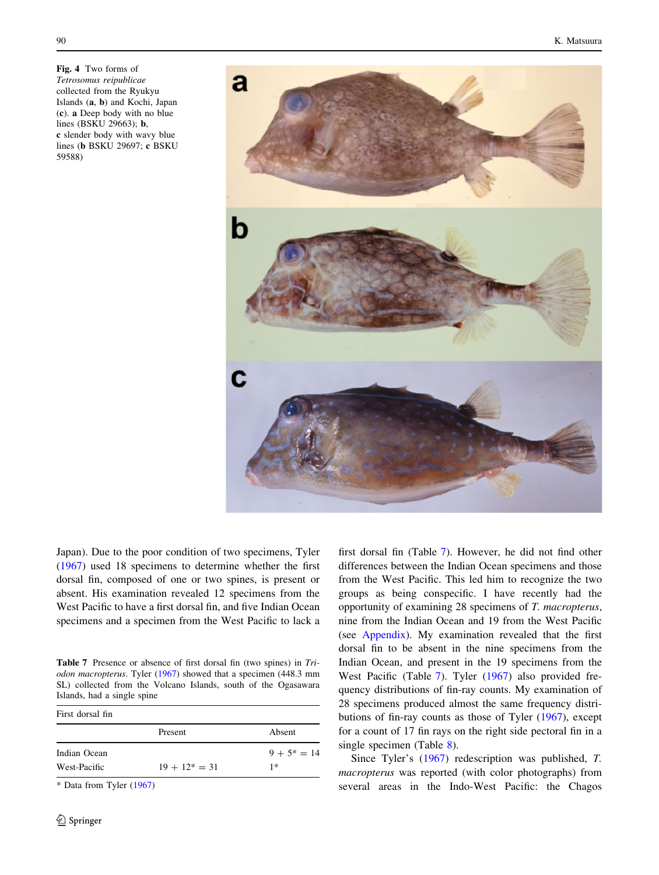Fig. 4 Two forms of Tetrosomus reipublicae collected from the Ryukyu Islands (a, b) and Kochi, Japan (c). a Deep body with no blue lines (BSKU 29663); b, c slender body with wavy blue lines (b BSKU 29697; c BSKU 59588)



Japan). Due to the poor condition of two specimens, Tyler (1967) used 18 specimens to determine whether the first dorsal fin, composed of one or two spines, is present or absent. His examination revealed 12 specimens from the West Pacific to have a first dorsal fin, and five Indian Ocean specimens and a specimen from the West Pacific to lack a

Table 7 Presence or absence of first dorsal fin (two spines) in Triodon macropterus. Tyler (1967) showed that a specimen (448.3 mm SL) collected from the Volcano Islands, south of the Ogasawara Islands, had a single spine

| First dorsal fin         |                  |                |  |
|--------------------------|------------------|----------------|--|
|                          | Present          | Absent         |  |
| Indian Ocean             |                  | $9 + 5^* = 14$ |  |
| West-Pacific             | $19 + 12^* = 31$ | 1∗             |  |
| * Data from Tyler (1967) |                  |                |  |

first dorsal fin (Table 7). However, he did not find other differences between the Indian Ocean specimens and those from the West Pacific. This led him to recognize the two groups as being conspecific. I have recently had the opportunity of examining 28 specimens of T. macropterus, nine from the Indian Ocean and 19 from the West Pacific (see Appendix). My examination revealed that the first dorsal fin to be absent in the nine specimens from the Indian Ocean, and present in the 19 specimens from the West Pacific (Table 7). Tyler (1967) also provided frequency distributions of fin-ray counts. My examination of 28 specimens produced almost the same frequency distributions of fin-ray counts as those of Tyler (1967), except for a count of 17 fin rays on the right side pectoral fin in a single specimen (Table 8).

Since Tyler's (1967) redescription was published, T. macropterus was reported (with color photographs) from several areas in the Indo-West Pacific: the Chagos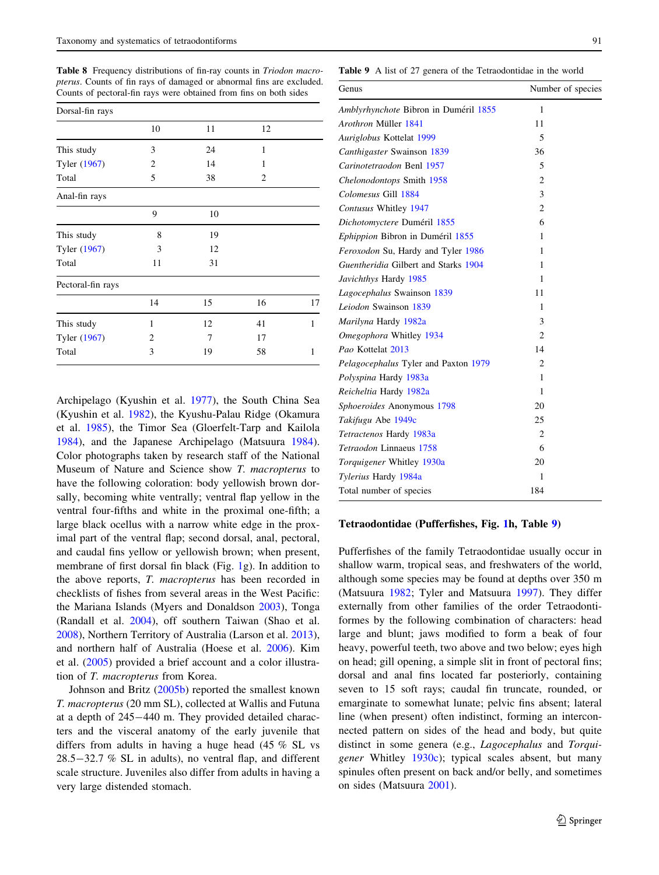Table 8 Frequency distributions of fin-ray counts in *Triodon macro*pterus. Counts of fin rays of damaged or abnormal fins are excluded. Counts of pectoral-fin rays were obtained from fins on both sides

| Dorsal-fin rays   |    |    |    |    |
|-------------------|----|----|----|----|
|                   | 10 | 11 | 12 |    |
| This study        | 3  | 24 | 1  |    |
| Tyler (1967)      | 2  | 14 | 1  |    |
| Total             | 5  | 38 | 2  |    |
| Anal-fin rays     |    |    |    |    |
|                   | 9  | 10 |    |    |
| This study        | 8  | 19 |    |    |
| Tyler (1967)      | 3  | 12 |    |    |
| Total             | 11 | 31 |    |    |
| Pectoral-fin rays |    |    |    |    |
|                   | 14 | 15 | 16 | 17 |
| This study        | 1  | 12 | 41 | 1  |
| Tyler (1967)      | 2  | 7  | 17 |    |
| Total             | 3  | 19 | 58 | 1  |

Archipelago (Kyushin et al. 1977), the South China Sea (Kyushin et al. 1982), the Kyushu-Palau Ridge (Okamura et al. 1985), the Timor Sea (Gloerfelt-Tarp and Kailola 1984), and the Japanese Archipelago (Matsuura 1984). Color photographs taken by research staff of the National Museum of Nature and Science show T. macropterus to have the following coloration: body yellowish brown dorsally, becoming white ventrally; ventral flap yellow in the ventral four-fifths and white in the proximal one-fifth; a large black ocellus with a narrow white edge in the proximal part of the ventral flap; second dorsal, anal, pectoral, and caudal fins yellow or yellowish brown; when present, membrane of first dorsal fin black (Fig. 1g). In addition to the above reports, T. macropterus has been recorded in checklists of fishes from several areas in the West Pacific: the Mariana Islands (Myers and Donaldson 2003), Tonga (Randall et al. 2004), off southern Taiwan (Shao et al. 2008), Northern Territory of Australia (Larson et al. 2013), and northern half of Australia (Hoese et al. 2006). Kim et al. (2005) provided a brief account and a color illustration of T. macropterus from Korea.

Johnson and Britz (2005b) reported the smallest known T. macropterus (20 mm SL), collected at Wallis and Futuna at a depth of 245-440 m. They provided detailed characters and the visceral anatomy of the early juvenile that differs from adults in having a huge head (45 % SL vs 28.5-32.7 % SL in adults), no ventral flap, and different scale structure. Juveniles also differ from adults in having a very large distended stomach.

Table 9 A list of 27 genera of the Tetraodontidae in the world

| Genus                                 | Number of species |
|---------------------------------------|-------------------|
| Amblyrhynchote Bibron in Duméril 1855 | 1                 |
| Arothron Müller 1841                  | 11                |
| Auriglobus Kottelat 1999              | 5                 |
| Canthigaster Swainson 1839            | 36                |
| Carinotetraodon Benl 1957             | 5                 |
| Chelonodontops Smith 1958             | $\overline{c}$    |
| Colomesus Gill 1884                   | 3                 |
| Contusus Whitley 1947                 | $\overline{2}$    |
| Dichotomyctere Duméril 1855           | 6                 |
| Ephippion Bibron in Duméril 1855      | 1                 |
| Feroxodon Su, Hardy and Tyler 1986    | 1                 |
| Guentheridia Gilbert and Starks 1904  | 1                 |
| Javichthys Hardy 1985                 | 1                 |
| Lagocephalus Swainson 1839            | 11                |
| Leiodon Swainson 1839                 | 1                 |
| Marilyna Hardy 1982a                  | 3                 |
| Omegophora Whitley 1934               | $\overline{2}$    |
| Pao Kottelat 2013                     | 14                |
| Pelagocephalus Tyler and Paxton 1979  | 2                 |
| Polyspina Hardy 1983a                 | 1                 |
| Reicheltia Hardy 1982a                | 1                 |
| Sphoeroides Anonymous 1798            | 20                |
| Takifugu Abe 1949c                    | 25                |
| Tetractenos Hardy 1983a               | 2                 |
| Tetraodon Linnaeus 1758               | 6                 |
| Torquigener Whitley 1930a             | 20                |
| Tylerius Hardy 1984a                  | 1                 |
| Total number of species               | 184               |

#### Tetraodontidae (Pufferfishes, Fig. 1h, Table 9)

Pufferfishes of the family Tetraodontidae usually occur in shallow warm, tropical seas, and freshwaters of the world, although some species may be found at depths over 350 m (Matsuura 1982; Tyler and Matsuura 1997). They differ externally from other families of the order Tetraodontiformes by the following combination of characters: head large and blunt; jaws modified to form a beak of four heavy, powerful teeth, two above and two below; eyes high on head; gill opening, a simple slit in front of pectoral fins; dorsal and anal fins located far posteriorly, containing seven to 15 soft rays; caudal fin truncate, rounded, or emarginate to somewhat lunate; pelvic fins absent; lateral line (when present) often indistinct, forming an interconnected pattern on sides of the head and body, but quite distinct in some genera (e.g., Lagocephalus and Torquigener Whitley 1930c); typical scales absent, but many spinules often present on back and/or belly, and sometimes on sides (Matsuura 2001).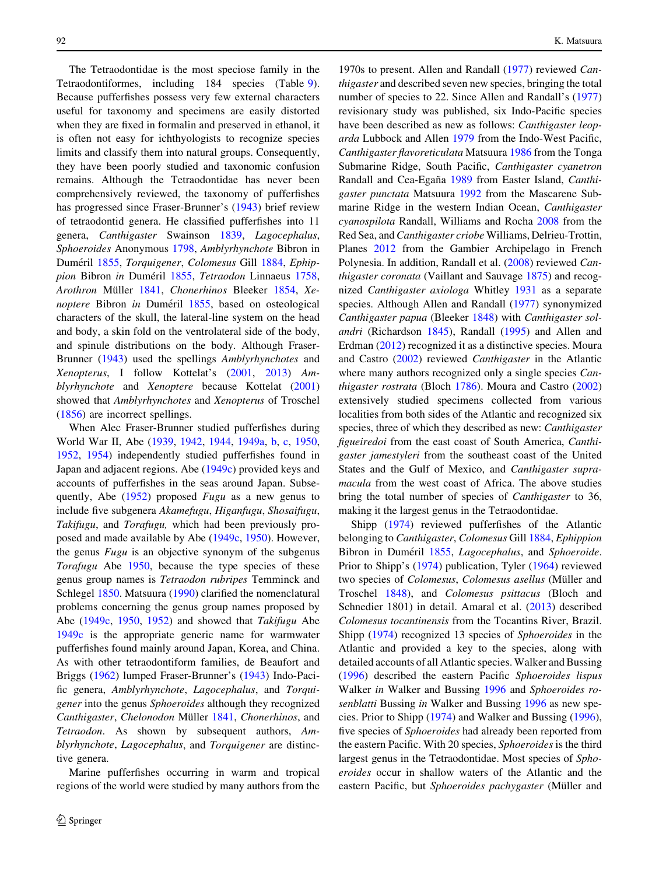The Tetraodontidae is the most speciose family in the Tetraodontiformes, including 184 species (Table 9). Because pufferfishes possess very few external characters useful for taxonomy and specimens are easily distorted when they are fixed in formalin and preserved in ethanol, it is often not easy for ichthyologists to recognize species limits and classify them into natural groups. Consequently, they have been poorly studied and taxonomic confusion remains. Although the Tetraodontidae has never been comprehensively reviewed, the taxonomy of pufferfishes has progressed since Fraser-Brunner's (1943) brief review of tetraodontid genera. He classified pufferfishes into 11 genera, Canthigaster Swainson 1839, Lagocephalus, Sphoeroides Anonymous 1798, Amblyrhynchote Bibron in Duméril 1855, Torquigener, Colomesus Gill 1884, Ephippion Bibron in Duméril 1855, Tetraodon Linnaeus 1758, Arothron Müller 1841, Chonerhinos Bleeker 1854, Xenoptere Bibron in Duméril 1855, based on osteological characters of the skull, the lateral-line system on the head and body, a skin fold on the ventrolateral side of the body, and spinule distributions on the body. Although Fraser-Brunner (1943) used the spellings Amblyrhynchotes and Xenopterus, I follow Kottelat's (2001, 2013) Amblyrhynchote and Xenoptere because Kottelat (2001) showed that Amblyrhynchotes and Xenopterus of Troschel (1856) are incorrect spellings.

When Alec Fraser-Brunner studied pufferfishes during World War II, Abe (1939, 1942, 1944, 1949a, b, c, 1950, 1952, 1954) independently studied pufferfishes found in Japan and adjacent regions. Abe (1949c) provided keys and accounts of pufferfishes in the seas around Japan. Subsequently, Abe (1952) proposed Fugu as a new genus to include five subgenera Akamefugu, Higanfugu, Shosaifugu, Takifugu, and Torafugu, which had been previously proposed and made available by Abe (1949c, 1950). However, the genus  $Fugu$  is an objective synonym of the subgenus Torafugu Abe 1950, because the type species of these genus group names is Tetraodon rubripes Temminck and Schlegel 1850. Matsuura (1990) clarified the nomenclatural problems concerning the genus group names proposed by Abe (1949c, 1950, 1952) and showed that Takifugu Abe 1949c is the appropriate generic name for warmwater pufferfishes found mainly around Japan, Korea, and China. As with other tetraodontiform families, de Beaufort and Briggs (1962) lumped Fraser-Brunner's (1943) Indo-Pacific genera, Amblyrhynchote, Lagocephalus, and Torquigener into the genus Sphoeroides although they recognized Canthigaster, Chelonodon Müller 1841, Chonerhinos, and Tetraodon. As shown by subsequent authors, Amblyrhynchote, Lagocephalus, and Torquigener are distinctive genera.

Marine pufferfishes occurring in warm and tropical regions of the world were studied by many authors from the

1970s to present. Allen and Randall (1977) reviewed Canthigaster and described seven new species, bringing the total number of species to 22. Since Allen and Randall's (1977) revisionary study was published, six Indo-Pacific species have been described as new as follows: *Canthigaster leop*arda Lubbock and Allen 1979 from the Indo-West Pacific, Canthigaster flavoreticulata Matsuura 1986 from the Tonga Submarine Ridge, South Pacific, Canthigaster cyanetron Randall and Cea-Egaña 1989 from Easter Island, Canthigaster punctata Matsuura 1992 from the Mascarene Submarine Ridge in the western Indian Ocean, Canthigaster cyanospilota Randall, Williams and Rocha 2008 from the Red Sea, and Canthigaster criobe Williams, Delrieu-Trottin, Planes 2012 from the Gambier Archipelago in French Polynesia. In addition, Randall et al. (2008) reviewed Canthigaster coronata (Vaillant and Sauvage 1875) and recognized Canthigaster axiologa Whitley 1931 as a separate species. Although Allen and Randall (1977) synonymized Canthigaster papua (Bleeker 1848) with Canthigaster solandri (Richardson 1845), Randall (1995) and Allen and Erdman (2012) recognized it as a distinctive species. Moura and Castro (2002) reviewed Canthigaster in the Atlantic where many authors recognized only a single species *Can*thigaster rostrata (Bloch 1786). Moura and Castro (2002) extensively studied specimens collected from various localities from both sides of the Atlantic and recognized six species, three of which they described as new: Canthigaster figueiredoi from the east coast of South America, Canthigaster jamestyleri from the southeast coast of the United States and the Gulf of Mexico, and Canthigaster supramacula from the west coast of Africa. The above studies bring the total number of species of Canthigaster to 36, making it the largest genus in the Tetraodontidae.

Shipp (1974) reviewed pufferfishes of the Atlantic belonging to Canthigaster, Colomesus Gill 1884, Ephippion Bibron in Duméril 1855, Lagocephalus, and Sphoeroide. Prior to Shipp's (1974) publication, Tyler (1964) reviewed two species of *Colomesus*, *Colomesus asellus* (Müller and Troschel 1848), and Colomesus psittacus (Bloch and Schnedier 1801) in detail. Amaral et al. (2013) described Colomesus tocantinensis from the Tocantins River, Brazil. Shipp (1974) recognized 13 species of Sphoeroides in the Atlantic and provided a key to the species, along with detailed accounts of all Atlantic species. Walker and Bussing (1996) described the eastern Pacific Sphoeroides lispus Walker in Walker and Bussing 1996 and Sphoeroides rosenblatti Bussing in Walker and Bussing 1996 as new species. Prior to Shipp (1974) and Walker and Bussing (1996), five species of Sphoeroides had already been reported from the eastern Pacific. With 20 species, Sphoeroides is the third largest genus in the Tetraodontidae. Most species of Sphoeroides occur in shallow waters of the Atlantic and the eastern Pacific, but Sphoeroides pachygaster (Müller and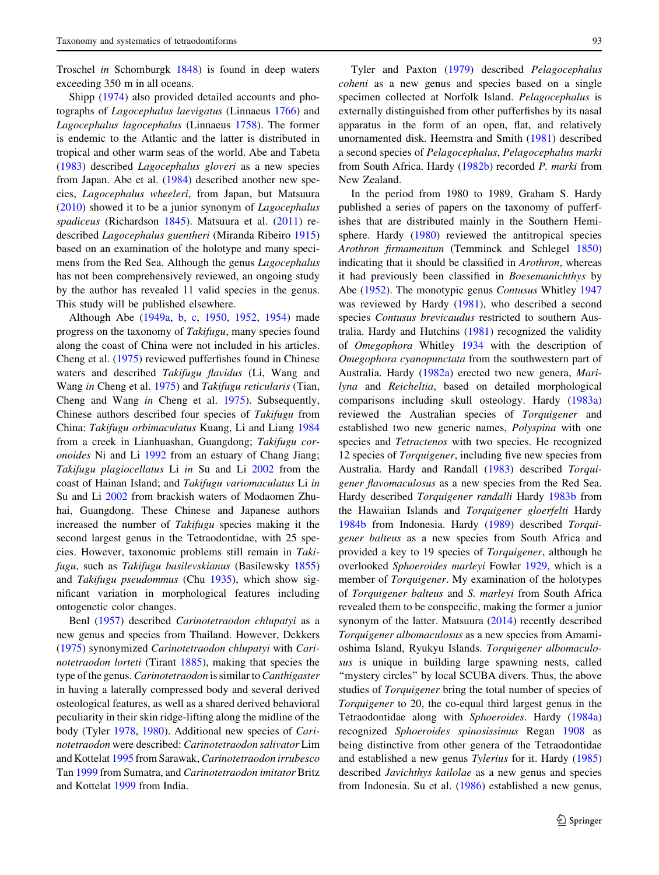Troschel in Schomburgk 1848) is found in deep waters exceeding 350 m in all oceans.

Shipp (1974) also provided detailed accounts and photographs of Lagocephalus laevigatus (Linnaeus 1766) and Lagocephalus lagocephalus (Linnaeus 1758). The former is endemic to the Atlantic and the latter is distributed in tropical and other warm seas of the world. Abe and Tabeta (1983) described Lagocephalus gloveri as a new species from Japan. Abe et al. (1984) described another new species, Lagocephalus wheeleri, from Japan, but Matsuura (2010) showed it to be a junior synonym of Lagocephalus spadiceus (Richardson 1845). Matsuura et al. (2011) redescribed Lagocephalus guentheri (Miranda Ribeiro 1915) based on an examination of the holotype and many specimens from the Red Sea. Although the genus Lagocephalus has not been comprehensively reviewed, an ongoing study by the author has revealed 11 valid species in the genus. This study will be published elsewhere.

Although Abe (1949a, b, c, 1950, 1952, 1954) made progress on the taxonomy of Takifugu, many species found along the coast of China were not included in his articles. Cheng et al. (1975) reviewed pufferfishes found in Chinese waters and described Takifugu flavidus (Li, Wang and Wang in Cheng et al. 1975) and Takifugu reticularis (Tian, Cheng and Wang in Cheng et al. 1975). Subsequently, Chinese authors described four species of Takifugu from China: Takifugu orbimaculatus Kuang, Li and Liang 1984 from a creek in Lianhuashan, Guangdong; Takifugu coronoides Ni and Li 1992 from an estuary of Chang Jiang; Takifugu plagiocellatus Li in Su and Li 2002 from the coast of Hainan Island; and Takifugu variomaculatus Li in Su and Li 2002 from brackish waters of Modaomen Zhuhai, Guangdong. These Chinese and Japanese authors increased the number of Takifugu species making it the second largest genus in the Tetraodontidae, with 25 species. However, taxonomic problems still remain in Takifugu, such as Takifugu basilevskianus (Basilewsky 1855) and Takifugu pseudommus (Chu 1935), which show significant variation in morphological features including ontogenetic color changes.

Benl (1957) described Carinotetraodon chlupatyi as a new genus and species from Thailand. However, Dekkers (1975) synonymized Carinotetraodon chlupatyi with Carinotetraodon lorteti (Tirant 1885), making that species the type of the genus. Carinotetraodon is similar to Canthigaster in having a laterally compressed body and several derived osteological features, as well as a shared derived behavioral peculiarity in their skin ridge-lifting along the midline of the body (Tyler 1978, 1980). Additional new species of Carinotetraodon were described: Carinotetraodon salivator Lim and Kottelat 1995 from Sarawak, Carinotetraodon irrubesco Tan 1999 from Sumatra, and Carinotetraodon imitator Britz and Kottelat 1999 from India.

Tyler and Paxton (1979) described Pelagocephalus coheni as a new genus and species based on a single specimen collected at Norfolk Island. Pelagocephalus is externally distinguished from other pufferfishes by its nasal apparatus in the form of an open, flat, and relatively unornamented disk. Heemstra and Smith (1981) described a second species of Pelagocephalus, Pelagocephalus marki from South Africa. Hardy (1982b) recorded P. marki from New Zealand.

In the period from 1980 to 1989, Graham S. Hardy published a series of papers on the taxonomy of pufferfishes that are distributed mainly in the Southern Hemisphere. Hardy (1980) reviewed the antitropical species Arothron firmamentum (Temminck and Schlegel 1850) indicating that it should be classified in Arothron, whereas it had previously been classified in Boesemanichthys by Abe (1952). The monotypic genus Contusus Whitley 1947 was reviewed by Hardy (1981), who described a second species Contusus brevicaudus restricted to southern Australia. Hardy and Hutchins (1981) recognized the validity of Omegophora Whitley 1934 with the description of Omegophora cyanopunctata from the southwestern part of Australia. Hardy (1982a) erected two new genera, Marilyna and Reicheltia, based on detailed morphological comparisons including skull osteology. Hardy (1983a) reviewed the Australian species of Torquigener and established two new generic names, Polyspina with one species and Tetractenos with two species. He recognized 12 species of *Torquigener*, including five new species from Australia. Hardy and Randall (1983) described Torquigener flavomaculosus as a new species from the Red Sea. Hardy described Torquigener randalli Hardy 1983b from the Hawaiian Islands and Torquigener gloerfelti Hardy 1984b from Indonesia. Hardy (1989) described Torquigener balteus as a new species from South Africa and provided a key to 19 species of Torquigener, although he overlooked Sphoeroides marleyi Fowler 1929, which is a member of *Torquigener*. My examination of the holotypes of Torquigener balteus and S. marleyi from South Africa revealed them to be conspecific, making the former a junior synonym of the latter. Matsuura (2014) recently described Torquigener albomaculosus as a new species from Amamioshima Island, Ryukyu Islands. Torquigener albomaculosus is unique in building large spawning nests, called "mystery circles" by local SCUBA divers. Thus, the above studies of Torquigener bring the total number of species of Torquigener to 20, the co-equal third largest genus in the Tetraodontidae along with Sphoeroides. Hardy (1984a) recognized Sphoeroides spinosissimus Regan 1908 as being distinctive from other genera of the Tetraodontidae and established a new genus Tylerius for it. Hardy (1985) described *Javichthys kailolae* as a new genus and species from Indonesia. Su et al. (1986) established a new genus,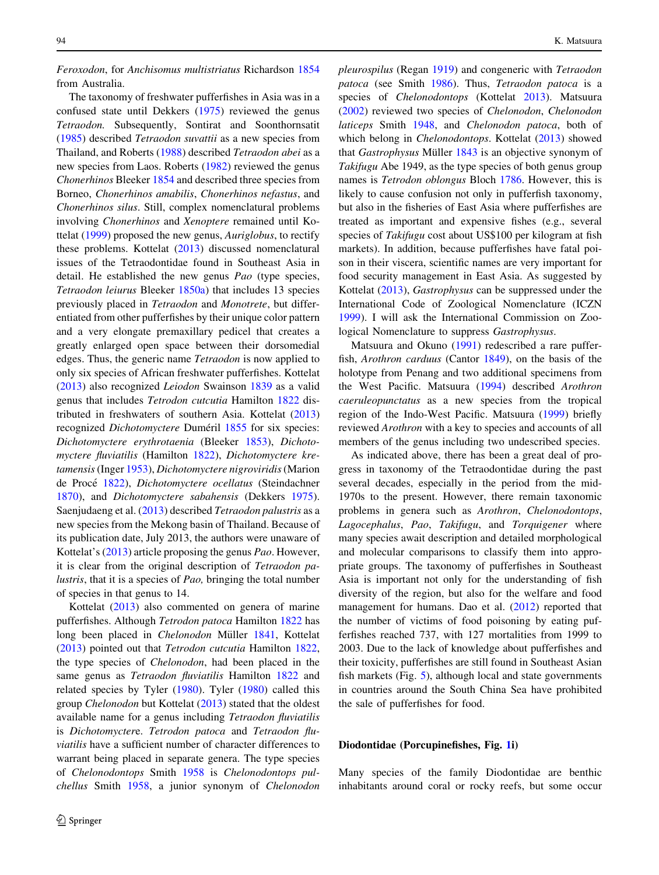Feroxodon, for Anchisomus multistriatus Richardson 1854 from Australia.

The taxonomy of freshwater pufferfishes in Asia was in a confused state until Dekkers (1975) reviewed the genus Tetraodon. Subsequently, Sontirat and Soonthornsatit (1985) described Tetraodon suvattii as a new species from Thailand, and Roberts (1988) described Tetraodon abei as a new species from Laos. Roberts (1982) reviewed the genus Chonerhinos Bleeker 1854 and described three species from Borneo, Chonerhinos amabilis, Chonerhinos nefastus, and Chonerhinos silus. Still, complex nomenclatural problems involving Chonerhinos and Xenoptere remained until Kottelat (1999) proposed the new genus, Auriglobus, to rectify these problems. Kottelat (2013) discussed nomenclatural issues of the Tetraodontidae found in Southeast Asia in detail. He established the new genus Pao (type species, Tetraodon leiurus Bleeker 1850a) that includes 13 species previously placed in Tetraodon and Monotrete, but differentiated from other pufferfishes by their unique color pattern and a very elongate premaxillary pedicel that creates a greatly enlarged open space between their dorsomedial edges. Thus, the generic name Tetraodon is now applied to only six species of African freshwater pufferfishes. Kottelat (2013) also recognized Leiodon Swainson 1839 as a valid genus that includes Tetrodon cutcutia Hamilton 1822 distributed in freshwaters of southern Asia. Kottelat (2013) recognized *Dichotomyctere* Duméril 1855 for six species: Dichotomyctere erythrotaenia (Bleeker 1853), Dichotomyctere fluviatilis (Hamilton 1822), Dichotomyctere kretamensis(Inger 1953), Dichotomyctere nigroviridis(Marion de Procé 1822), Dichotomyctere ocellatus (Steindachner 1870), and Dichotomyctere sabahensis (Dekkers 1975). Saenjudaeng et al. (2013) described Tetraodon palustris as a new species from the Mekong basin of Thailand. Because of its publication date, July 2013, the authors were unaware of Kottelat's (2013) article proposing the genus Pao. However, it is clear from the original description of Tetraodon palustris, that it is a species of *Pao*, bringing the total number of species in that genus to 14.

Kottelat (2013) also commented on genera of marine pufferfishes. Although Tetrodon patoca Hamilton 1822 has long been placed in *Chelonodon* Müller 1841, Kottelat (2013) pointed out that Tetrodon cutcutia Hamilton 1822, the type species of Chelonodon, had been placed in the same genus as Tetraodon fluviatilis Hamilton 1822 and related species by Tyler (1980). Tyler (1980) called this group Chelonodon but Kottelat (2013) stated that the oldest available name for a genus including Tetraodon fluviatilis is Dichotomyctere. Tetrodon patoca and Tetraodon fluviatilis have a sufficient number of character differences to warrant being placed in separate genera. The type species of Chelonodontops Smith 1958 is Chelonodontops pulchellus Smith 1958, a junior synonym of Chelonodon pleurospilus (Regan 1919) and congeneric with Tetraodon patoca (see Smith 1986). Thus, Tetraodon patoca is a species of *Chelonodontops* (Kottelat 2013). Matsuura (2002) reviewed two species of Chelonodon, Chelonodon laticeps Smith 1948, and Chelonodon patoca, both of which belong in *Chelonodontops*. Kottelat (2013) showed that Gastrophysus Müller 1843 is an objective synonym of Takifugu Abe 1949, as the type species of both genus group names is Tetrodon oblongus Bloch 1786. However, this is likely to cause confusion not only in pufferfish taxonomy, but also in the fisheries of East Asia where pufferfishes are treated as important and expensive fishes (e.g., several species of Takifugu cost about US\$100 per kilogram at fish markets). In addition, because pufferfishes have fatal poison in their viscera, scientific names are very important for food security management in East Asia. As suggested by Kottelat (2013), Gastrophysus can be suppressed under the International Code of Zoological Nomenclature (ICZN 1999). I will ask the International Commission on Zoological Nomenclature to suppress Gastrophysus.

Matsuura and Okuno (1991) redescribed a rare pufferfish, Arothron carduus (Cantor 1849), on the basis of the holotype from Penang and two additional specimens from the West Pacific. Matsuura (1994) described Arothron caeruleopunctatus as a new species from the tropical region of the Indo-West Pacific. Matsuura (1999) briefly reviewed Arothron with a key to species and accounts of all members of the genus including two undescribed species.

As indicated above, there has been a great deal of progress in taxonomy of the Tetraodontidae during the past several decades, especially in the period from the mid-1970s to the present. However, there remain taxonomic problems in genera such as Arothron, Chelonodontops, Lagocephalus, Pao, Takifugu, and Torquigener where many species await description and detailed morphological and molecular comparisons to classify them into appropriate groups. The taxonomy of pufferfishes in Southeast Asia is important not only for the understanding of fish diversity of the region, but also for the welfare and food management for humans. Dao et al. (2012) reported that the number of victims of food poisoning by eating pufferfishes reached 737, with 127 mortalities from 1999 to 2003. Due to the lack of knowledge about pufferfishes and their toxicity, pufferfishes are still found in Southeast Asian fish markets (Fig. 5), although local and state governments in countries around the South China Sea have prohibited the sale of pufferfishes for food.

# Diodontidae (Porcupinefishes, Fig. 1i)

Many species of the family Diodontidae are benthic inhabitants around coral or rocky reefs, but some occur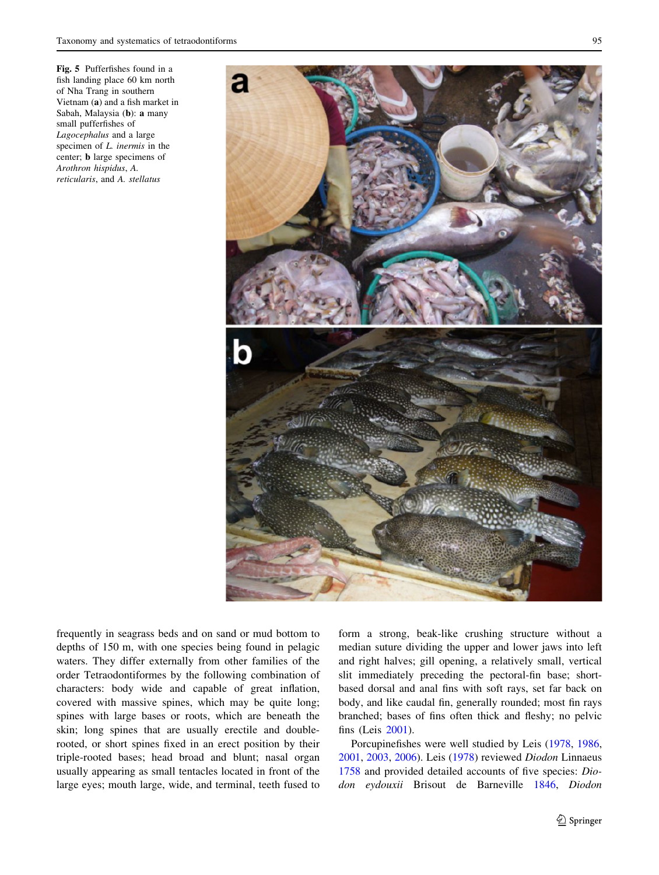Arothron hispidus, A. reticularis, and A. stellatus



frequently in seagrass beds and on sand or mud bottom to depths of 150 m, with one species being found in pelagic waters. They differ externally from other families of the order Tetraodontiformes by the following combination of characters: body wide and capable of great inflation, covered with massive spines, which may be quite long; spines with large bases or roots, which are beneath the skin; long spines that are usually erectile and doublerooted, or short spines fixed in an erect position by their triple-rooted bases; head broad and blunt; nasal organ usually appearing as small tentacles located in front of the large eyes; mouth large, wide, and terminal, teeth fused to

form a strong, beak-like crushing structure without a median suture dividing the upper and lower jaws into left and right halves; gill opening, a relatively small, vertical slit immediately preceding the pectoral-fin base; shortbased dorsal and anal fins with soft rays, set far back on body, and like caudal fin, generally rounded; most fin rays branched; bases of fins often thick and fleshy; no pelvic fins (Leis 2001).

Porcupinefishes were well studied by Leis (1978, 1986, 2001, 2003, 2006). Leis (1978) reviewed Diodon Linnaeus 1758 and provided detailed accounts of five species: Diodon eydouxii Brisout de Barneville 1846, Diodon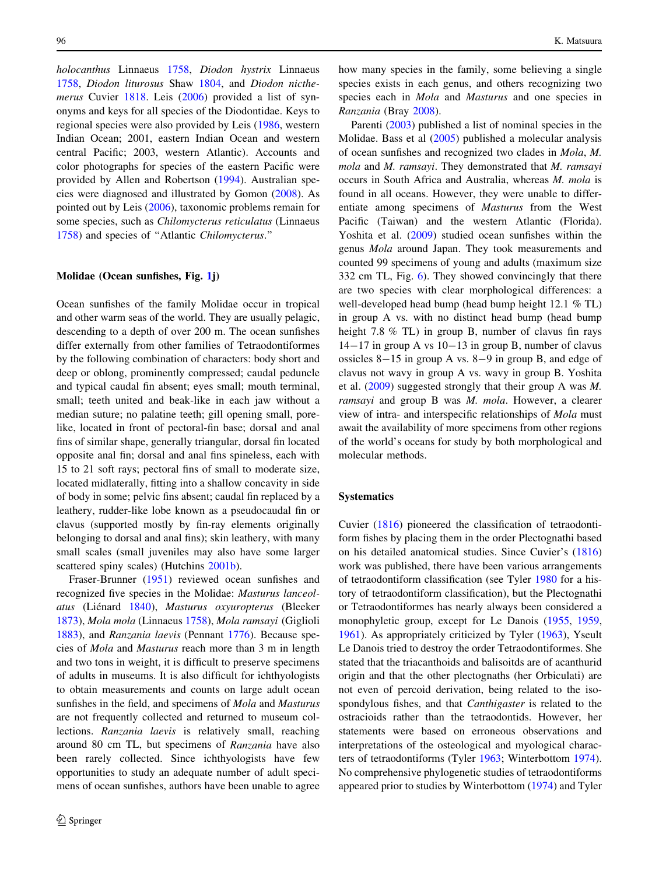holocanthus Linnaeus 1758, Diodon hystrix Linnaeus 1758, Diodon liturosus Shaw 1804, and Diodon nicthemerus Cuvier 1818. Leis (2006) provided a list of synonyms and keys for all species of the Diodontidae. Keys to regional species were also provided by Leis (1986, western Indian Ocean; 2001, eastern Indian Ocean and western central Pacific; 2003, western Atlantic). Accounts and color photographs for species of the eastern Pacific were provided by Allen and Robertson (1994). Australian species were diagnosed and illustrated by Gomon (2008). As pointed out by Leis (2006), taxonomic problems remain for some species, such as Chilomycterus reticulatus (Linnaeus 1758) and species of ''Atlantic Chilomycterus.''

# Molidae (Ocean sunfishes, Fig. 1j)

Ocean sunfishes of the family Molidae occur in tropical and other warm seas of the world. They are usually pelagic, descending to a depth of over 200 m. The ocean sunfishes differ externally from other families of Tetraodontiformes by the following combination of characters: body short and deep or oblong, prominently compressed; caudal peduncle and typical caudal fin absent; eyes small; mouth terminal, small; teeth united and beak-like in each jaw without a median suture; no palatine teeth; gill opening small, porelike, located in front of pectoral-fin base; dorsal and anal fins of similar shape, generally triangular, dorsal fin located opposite anal fin; dorsal and anal fins spineless, each with 15 to 21 soft rays; pectoral fins of small to moderate size, located midlaterally, fitting into a shallow concavity in side of body in some; pelvic fins absent; caudal fin replaced by a leathery, rudder-like lobe known as a pseudocaudal fin or clavus (supported mostly by fin-ray elements originally belonging to dorsal and anal fins); skin leathery, with many small scales (small juveniles may also have some larger scattered spiny scales) (Hutchins 2001b).

Fraser-Brunner (1951) reviewed ocean sunfishes and recognized five species in the Molidae: Masturus lanceolatus (Liénard 1840), Masturus oxyuropterus (Bleeker 1873), Mola mola (Linnaeus 1758), Mola ramsayi (Giglioli 1883), and Ranzania laevis (Pennant 1776). Because species of Mola and Masturus reach more than 3 m in length and two tons in weight, it is difficult to preserve specimens of adults in museums. It is also difficult for ichthyologists to obtain measurements and counts on large adult ocean sunfishes in the field, and specimens of Mola and Masturus are not frequently collected and returned to museum collections. Ranzania laevis is relatively small, reaching around 80 cm TL, but specimens of Ranzania have also been rarely collected. Since ichthyologists have few opportunities to study an adequate number of adult specimens of ocean sunfishes, authors have been unable to agree how many species in the family, some believing a single species exists in each genus, and others recognizing two species each in Mola and Masturus and one species in Ranzania (Bray 2008).

Parenti (2003) published a list of nominal species in the Molidae. Bass et al (2005) published a molecular analysis of ocean sunfishes and recognized two clades in Mola, M. mola and M. ramsayi. They demonstrated that M. ramsayi occurs in South Africa and Australia, whereas M. mola is found in all oceans. However, they were unable to differentiate among specimens of Masturus from the West Pacific (Taiwan) and the western Atlantic (Florida). Yoshita et al. (2009) studied ocean sunfishes within the genus Mola around Japan. They took measurements and counted 99 specimens of young and adults (maximum size 332 cm TL, Fig. 6). They showed convincingly that there are two species with clear morphological differences: a well-developed head bump (head bump height 12.1 % TL) in group A vs. with no distinct head bump (head bump height 7.8 % TL) in group B, number of clavus fin rays  $14-17$  in group A vs  $10-13$  in group B, number of clavus ossicles 8-15 in group A vs. 8-9 in group B, and edge of clavus not wavy in group A vs. wavy in group B. Yoshita et al. (2009) suggested strongly that their group A was M. ramsayi and group B was M. mola. However, a clearer view of intra- and interspecific relationships of Mola must await the availability of more specimens from other regions of the world's oceans for study by both morphological and molecular methods.

# **Systematics**

Cuvier (1816) pioneered the classification of tetraodontiform fishes by placing them in the order Plectognathi based on his detailed anatomical studies. Since Cuvier's (1816) work was published, there have been various arrangements of tetraodontiform classification (see Tyler 1980 for a history of tetraodontiform classification), but the Plectognathi or Tetraodontiformes has nearly always been considered a monophyletic group, except for Le Danois (1955, 1959, 1961). As appropriately criticized by Tyler (1963), Yseult Le Danois tried to destroy the order Tetraodontiformes. She stated that the triacanthoids and balisoitds are of acanthurid origin and that the other plectognaths (her Orbiculati) are not even of percoid derivation, being related to the isospondylous fishes, and that *Canthigaster* is related to the ostracioids rather than the tetraodontids. However, her statements were based on erroneous observations and interpretations of the osteological and myological characters of tetraodontiforms (Tyler 1963; Winterbottom 1974). No comprehensive phylogenetic studies of tetraodontiforms appeared prior to studies by Winterbottom (1974) and Tyler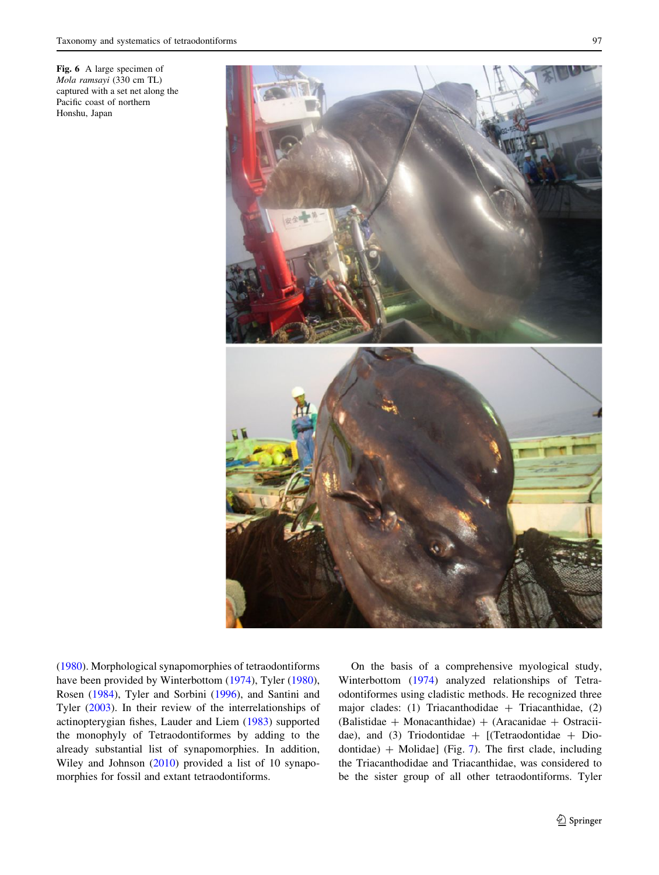Fig. 6 A large specimen of Mola ramsayi (330 cm TL) captured with a set net along the Pacific coast of northern Honshu, Japan



(1980). Morphological synapomorphies of tetraodontiforms have been provided by Winterbottom (1974), Tyler (1980), Rosen (1984), Tyler and Sorbini (1996), and Santini and Tyler (2003). In their review of the interrelationships of actinopterygian fishes, Lauder and Liem (1983) supported the monophyly of Tetraodontiformes by adding to the already substantial list of synapomorphies. In addition, Wiley and Johnson (2010) provided a list of 10 synapomorphies for fossil and extant tetraodontiforms.

On the basis of a comprehensive myological study, Winterbottom (1974) analyzed relationships of Tetraodontiformes using cladistic methods. He recognized three major clades: (1) Triacanthodidae  $+$  Triacanthidae, (2)  $(Balistidae + Monacanthidae) + (Aracanidae + Ostracii$ dae), and (3) Triodontidae  $+$  [(Tetraodontidae  $+$  Dio- $\phi$  dontidae)  $+$  Molidae] (Fig. 7). The first clade, including the Triacanthodidae and Triacanthidae, was considered to be the sister group of all other tetraodontiforms. Tyler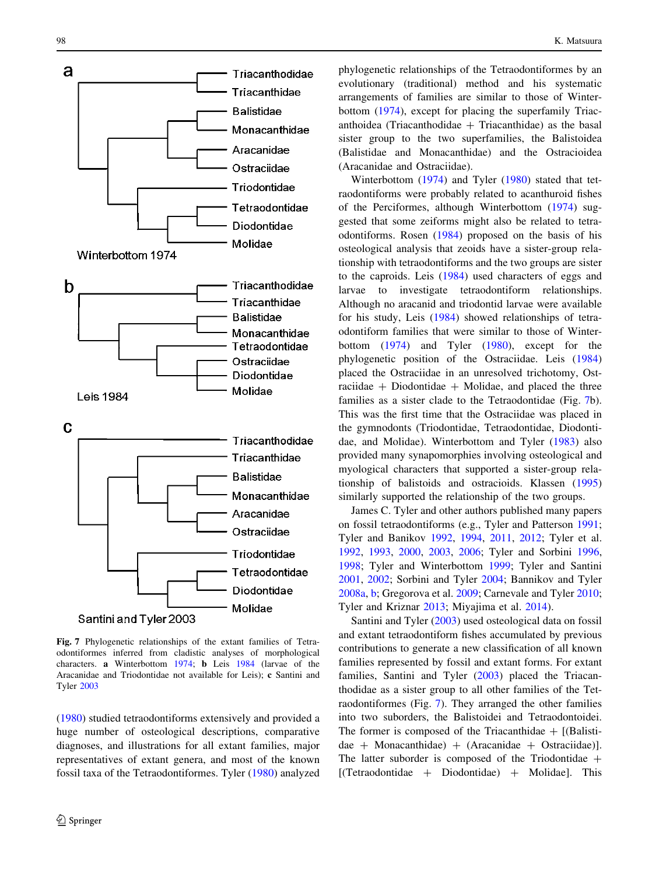

Fig. 7 Phylogenetic relationships of the extant families of Tetraodontiformes inferred from cladistic analyses of morphological characters. a Winterbottom 1974; b Leis 1984 (larvae of the Aracanidae and Triodontidae not available for Leis); c Santini and Tyler 2003

(1980) studied tetraodontiforms extensively and provided a huge number of osteological descriptions, comparative diagnoses, and illustrations for all extant families, major representatives of extant genera, and most of the known fossil taxa of the Tetraodontiformes. Tyler (1980) analyzed phylogenetic relationships of the Tetraodontiformes by an evolutionary (traditional) method and his systematic arrangements of families are similar to those of Winterbottom (1974), except for placing the superfamily Triacanthoidea (Triacanthodidae  $+$  Triacanthidae) as the basal sister group to the two superfamilies, the Balistoidea (Balistidae and Monacanthidae) and the Ostracioidea (Aracanidae and Ostraciidae).

Winterbottom (1974) and Tyler (1980) stated that tetraodontiforms were probably related to acanthuroid fishes of the Perciformes, although Winterbottom (1974) suggested that some zeiforms might also be related to tetraodontiforms. Rosen (1984) proposed on the basis of his osteological analysis that zeoids have a sister-group relationship with tetraodontiforms and the two groups are sister to the caproids. Leis (1984) used characters of eggs and larvae to investigate tetraodontiform relationships. Although no aracanid and triodontid larvae were available for his study, Leis (1984) showed relationships of tetraodontiform families that were similar to those of Winterbottom (1974) and Tyler (1980), except for the phylogenetic position of the Ostraciidae. Leis (1984) placed the Ostraciidae in an unresolved trichotomy, Ostraciidae  $+$  Diodontidae  $+$  Molidae, and placed the three families as a sister clade to the Tetraodontidae (Fig. 7b). This was the first time that the Ostraciidae was placed in the gymnodonts (Triodontidae, Tetraodontidae, Diodontidae, and Molidae). Winterbottom and Tyler (1983) also provided many synapomorphies involving osteological and myological characters that supported a sister-group relationship of balistoids and ostracioids. Klassen (1995) similarly supported the relationship of the two groups.

James C. Tyler and other authors published many papers on fossil tetraodontiforms (e.g., Tyler and Patterson 1991; Tyler and Banikov 1992, 1994, 2011, 2012; Tyler et al. 1992, 1993, 2000, 2003, 2006; Tyler and Sorbini 1996, 1998; Tyler and Winterbottom 1999; Tyler and Santini 2001, 2002; Sorbini and Tyler 2004; Bannikov and Tyler 2008a, b; Gregorova et al. 2009; Carnevale and Tyler 2010; Tyler and Kriznar 2013; Miyajima et al. 2014).

Santini and Tyler (2003) used osteological data on fossil and extant tetraodontiform fishes accumulated by previous contributions to generate a new classification of all known families represented by fossil and extant forms. For extant families, Santini and Tyler (2003) placed the Triacanthodidae as a sister group to all other families of the Tetraodontiformes (Fig. 7). They arranged the other families into two suborders, the Balistoidei and Tetraodontoidei. The former is composed of the Triacanthidae  $+$  [(Balisti $dae + Monacanthidae) + (Aracanidae + Ostraciidae)].$ The latter suborder is composed of the Triodontidae  $+$  $[(Tetraodontidae + Diodontidae) + Molidae].$  This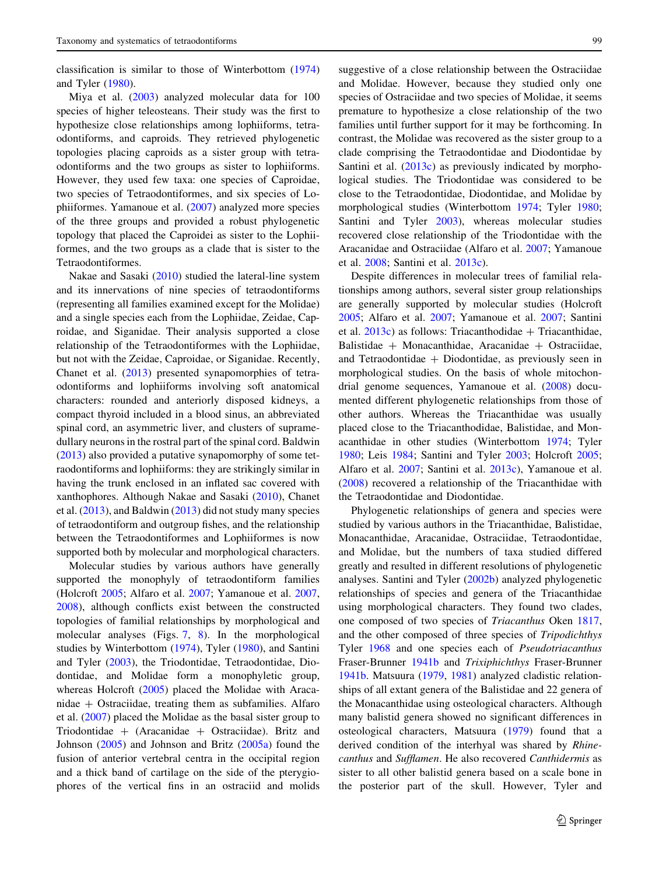classification is similar to those of Winterbottom (1974) and Tyler (1980).

Miya et al. (2003) analyzed molecular data for 100 species of higher teleosteans. Their study was the first to hypothesize close relationships among lophiiforms, tetraodontiforms, and caproids. They retrieved phylogenetic topologies placing caproids as a sister group with tetraodontiforms and the two groups as sister to lophiiforms. However, they used few taxa: one species of Caproidae, two species of Tetraodontiformes, and six species of Lophiiformes. Yamanoue et al. (2007) analyzed more species of the three groups and provided a robust phylogenetic topology that placed the Caproidei as sister to the Lophiiformes, and the two groups as a clade that is sister to the Tetraodontiformes.

Nakae and Sasaki (2010) studied the lateral-line system and its innervations of nine species of tetraodontiforms (representing all families examined except for the Molidae) and a single species each from the Lophiidae, Zeidae, Caproidae, and Siganidae. Their analysis supported a close relationship of the Tetraodontiformes with the Lophiidae, but not with the Zeidae, Caproidae, or Siganidae. Recently, Chanet et al. (2013) presented synapomorphies of tetraodontiforms and lophiiforms involving soft anatomical characters: rounded and anteriorly disposed kidneys, a compact thyroid included in a blood sinus, an abbreviated spinal cord, an asymmetric liver, and clusters of supramedullary neurons in the rostral part of the spinal cord. Baldwin (2013) also provided a putative synapomorphy of some tetraodontiforms and lophiiforms: they are strikingly similar in having the trunk enclosed in an inflated sac covered with xanthophores. Although Nakae and Sasaki (2010), Chanet et al.  $(2013)$ , and Baldwin  $(2013)$  did not study many species of tetraodontiform and outgroup fishes, and the relationship between the Tetraodontiformes and Lophiiformes is now supported both by molecular and morphological characters.

Molecular studies by various authors have generally supported the monophyly of tetraodontiform families (Holcroft 2005; Alfaro et al. 2007; Yamanoue et al. 2007, 2008), although conflicts exist between the constructed topologies of familial relationships by morphological and molecular analyses (Figs. 7, 8). In the morphological studies by Winterbottom (1974), Tyler (1980), and Santini and Tyler (2003), the Triodontidae, Tetraodontidae, Diodontidae, and Molidae form a monophyletic group, whereas Holcroft (2005) placed the Molidae with Aracanidae  $+$  Ostraciidae, treating them as subfamilies. Alfaro et al. (2007) placed the Molidae as the basal sister group to  $Triodontidae + (Aracanidae + Ostraciidae)$ . Britz and Johnson (2005) and Johnson and Britz (2005a) found the fusion of anterior vertebral centra in the occipital region and a thick band of cartilage on the side of the pterygiophores of the vertical fins in an ostraciid and molids suggestive of a close relationship between the Ostraciidae and Molidae. However, because they studied only one species of Ostraciidae and two species of Molidae, it seems premature to hypothesize a close relationship of the two families until further support for it may be forthcoming. In contrast, the Molidae was recovered as the sister group to a clade comprising the Tetraodontidae and Diodontidae by Santini et al. (2013c) as previously indicated by morphological studies. The Triodontidae was considered to be close to the Tetraodontidae, Diodontidae, and Molidae by morphological studies (Winterbottom 1974; Tyler 1980; Santini and Tyler 2003), whereas molecular studies recovered close relationship of the Triodontidae with the Aracanidae and Ostraciidae (Alfaro et al. 2007; Yamanoue et al. 2008; Santini et al. 2013c).

Despite differences in molecular trees of familial relationships among authors, several sister group relationships are generally supported by molecular studies (Holcroft 2005; Alfaro et al. 2007; Yamanoue et al. 2007; Santini et al.  $2013c$ ) as follows: Triacanthodidae + Triacanthidae, Balistidae  $+$  Monacanthidae, Aracanidae  $+$  Ostraciidae, and Tetraodontidae  $+$  Diodontidae, as previously seen in morphological studies. On the basis of whole mitochondrial genome sequences, Yamanoue et al. (2008) documented different phylogenetic relationships from those of other authors. Whereas the Triacanthidae was usually placed close to the Triacanthodidae, Balistidae, and Monacanthidae in other studies (Winterbottom 1974; Tyler 1980; Leis 1984; Santini and Tyler 2003; Holcroft 2005; Alfaro et al. 2007; Santini et al. 2013c), Yamanoue et al. (2008) recovered a relationship of the Triacanthidae with the Tetraodontidae and Diodontidae.

Phylogenetic relationships of genera and species were studied by various authors in the Triacanthidae, Balistidae, Monacanthidae, Aracanidae, Ostraciidae, Tetraodontidae, and Molidae, but the numbers of taxa studied differed greatly and resulted in different resolutions of phylogenetic analyses. Santini and Tyler (2002b) analyzed phylogenetic relationships of species and genera of the Triacanthidae using morphological characters. They found two clades, one composed of two species of Triacanthus Oken 1817, and the other composed of three species of Tripodichthys Tyler 1968 and one species each of Pseudotriacanthus Fraser-Brunner 1941b and Trixiphichthys Fraser-Brunner 1941b. Matsuura (1979, 1981) analyzed cladistic relationships of all extant genera of the Balistidae and 22 genera of the Monacanthidae using osteological characters. Although many balistid genera showed no significant differences in osteological characters, Matsuura (1979) found that a derived condition of the interhyal was shared by Rhinecanthus and Sufflamen. He also recovered Canthidermis as sister to all other balistid genera based on a scale bone in the posterior part of the skull. However, Tyler and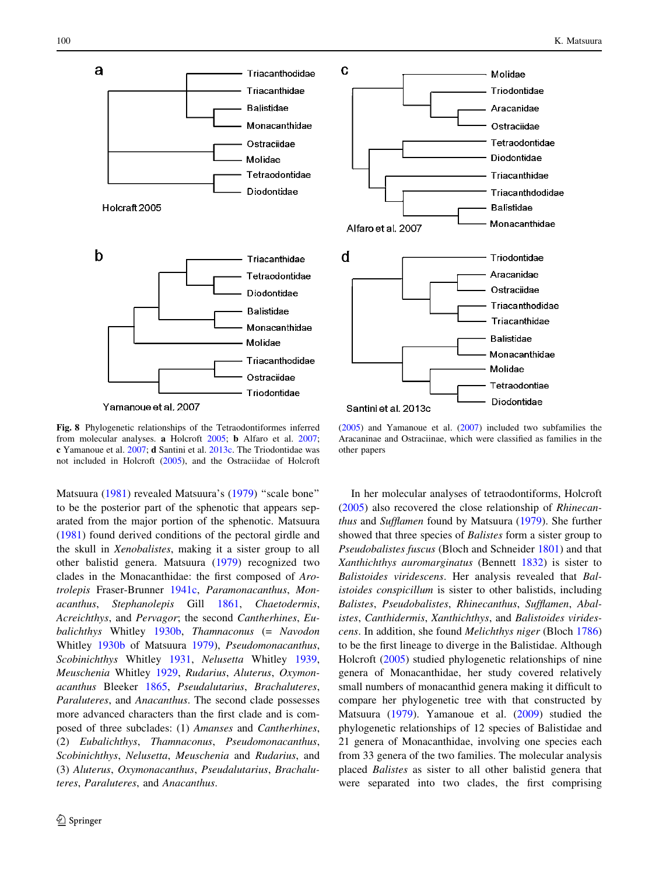

Fig. 8 Phylogenetic relationships of the Tetraodontiformes inferred from molecular analyses. a Holcroft 2005; b Alfaro et al. 2007; c Yamanoue et al. 2007; d Santini et al. 2013c. The Triodontidae was not included in Holcroft (2005), and the Ostraciidae of Holcroft

Matsuura (1981) revealed Matsuura's (1979) ''scale bone'' to be the posterior part of the sphenotic that appears separated from the major portion of the sphenotic. Matsuura (1981) found derived conditions of the pectoral girdle and the skull in Xenobalistes, making it a sister group to all other balistid genera. Matsuura (1979) recognized two clades in the Monacanthidae: the first composed of Arotrolepis Fraser-Brunner 1941c, Paramonacanthus, Monacanthus, Stephanolepis Gill 1861, Chaetodermis, Acreichthys, and Pervagor; the second Cantherhines, Eubalichthys Whitley 1930b, Thamnaconus (= Navodon Whitley 1930b of Matsuura 1979), Pseudomonacanthus, Scobinichthys Whitley 1931, Nelusetta Whitley 1939, Meuschenia Whitley 1929, Rudarius, Aluterus, Oxymonacanthus Bleeker 1865, Pseudalutarius, Brachaluteres, Paraluteres, and Anacanthus. The second clade possesses more advanced characters than the first clade and is composed of three subclades: (1) Amanses and Cantherhines, (2) Eubalichthys, Thamnaconus, Pseudomonacanthus, Scobinichthys, Nelusetta, Meuschenia and Rudarius, and (3) Aluterus, Oxymonacanthus, Pseudalutarius, Brachaluteres, Paraluteres, and Anacanthus.



(2005) and Yamanoue et al. (2007) included two subfamilies the Aracaninae and Ostraciinae, which were classified as families in the other papers

In her molecular analyses of tetraodontiforms, Holcroft (2005) also recovered the close relationship of Rhinecanthus and Sufflamen found by Matsuura (1979). She further showed that three species of Balistes form a sister group to Pseudobalistes fuscus (Bloch and Schneider 1801) and that Xanthichthys auromarginatus (Bennett 1832) is sister to Balistoides viridescens. Her analysis revealed that Balistoides conspicillum is sister to other balistids, including Balistes, Pseudobalistes, Rhinecanthus, Sufflamen, Abalistes, Canthidermis, Xanthichthys, and Balistoides viridescens. In addition, she found Melichthys niger (Bloch 1786) to be the first lineage to diverge in the Balistidae. Although Holcroft (2005) studied phylogenetic relationships of nine genera of Monacanthidae, her study covered relatively small numbers of monacanthid genera making it difficult to compare her phylogenetic tree with that constructed by Matsuura (1979). Yamanoue et al. (2009) studied the phylogenetic relationships of 12 species of Balistidae and 21 genera of Monacanthidae, involving one species each from 33 genera of the two families. The molecular analysis placed Balistes as sister to all other balistid genera that were separated into two clades, the first comprising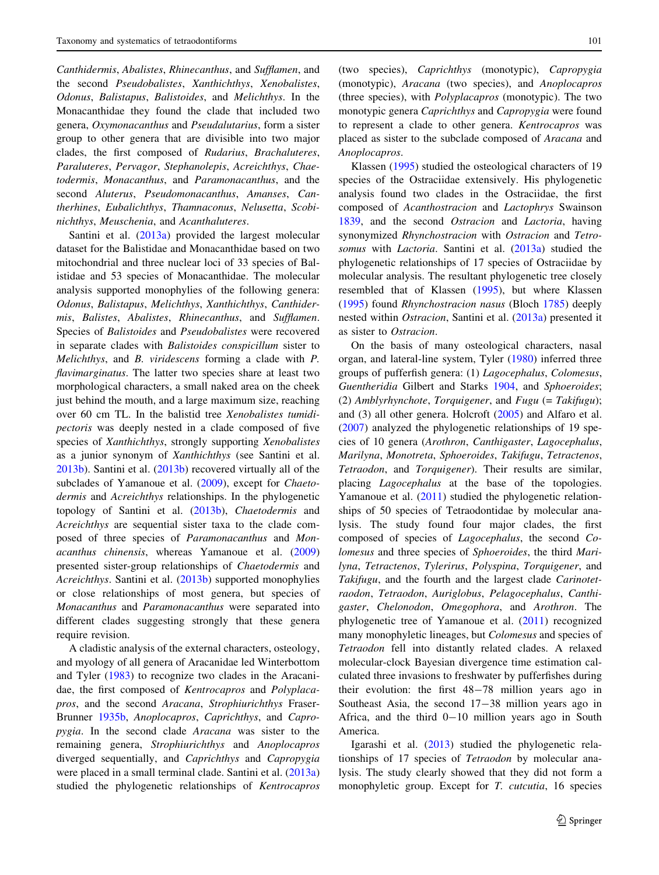Canthidermis, Abalistes, Rhinecanthus, and Sufflamen, and the second Pseudobalistes, Xanthichthys, Xenobalistes, Odonus, Balistapus, Balistoides, and Melichthys. In the Monacanthidae they found the clade that included two genera, Oxymonacanthus and Pseudalutarius, form a sister group to other genera that are divisible into two major clades, the first composed of Rudarius, Brachaluteres, Paraluteres, Pervagor, Stephanolepis, Acreichthys, Chaetodermis, Monacanthus, and Paramonacanthus, and the second Aluterus, Pseudomonacanthus, Amanses, Cantherhines, Eubalichthys, Thamnaconus, Nelusetta, Scobinichthys, Meuschenia, and Acanthaluteres.

Santini et al. (2013a) provided the largest molecular dataset for the Balistidae and Monacanthidae based on two mitochondrial and three nuclear loci of 33 species of Balistidae and 53 species of Monacanthidae. The molecular analysis supported monophylies of the following genera: Odonus, Balistapus, Melichthys, Xanthichthys, Canthidermis, Balistes, Abalistes, Rhinecanthus, and Sufflamen. Species of Balistoides and Pseudobalistes were recovered in separate clades with Balistoides conspicillum sister to Melichthys, and B. viridescens forming a clade with P. flavimarginatus. The latter two species share at least two morphological characters, a small naked area on the cheek just behind the mouth, and a large maximum size, reaching over 60 cm TL. In the balistid tree Xenobalistes tumidipectoris was deeply nested in a clade composed of five species of Xanthichthys, strongly supporting Xenobalistes as a junior synonym of Xanthichthys (see Santini et al. 2013b). Santini et al. (2013b) recovered virtually all of the subclades of Yamanoue et al. (2009), except for Chaetodermis and Acreichthys relationships. In the phylogenetic topology of Santini et al. (2013b), Chaetodermis and Acreichthys are sequential sister taxa to the clade composed of three species of Paramonacanthus and Monacanthus chinensis, whereas Yamanoue et al. (2009) presented sister-group relationships of Chaetodermis and Acreichthys. Santini et al. (2013b) supported monophylies or close relationships of most genera, but species of Monacanthus and Paramonacanthus were separated into different clades suggesting strongly that these genera require revision.

A cladistic analysis of the external characters, osteology, and myology of all genera of Aracanidae led Winterbottom and Tyler (1983) to recognize two clades in the Aracanidae, the first composed of Kentrocapros and Polyplacapros, and the second Aracana, Strophiurichthys Fraser-Brunner 1935b, Anoplocapros, Caprichthys, and Capropygia. In the second clade Aracana was sister to the remaining genera, Strophiurichthys and Anoplocapros diverged sequentially, and Caprichthys and Capropygia were placed in a small terminal clade. Santini et al. (2013a) studied the phylogenetic relationships of Kentrocapros

(two species), Caprichthys (monotypic), Capropygia (monotypic), Aracana (two species), and Anoplocapros (three species), with Polyplacapros (monotypic). The two monotypic genera Caprichthys and Capropygia were found to represent a clade to other genera. Kentrocapros was placed as sister to the subclade composed of Aracana and Anoplocapros.

Klassen (1995) studied the osteological characters of 19 species of the Ostraciidae extensively. His phylogenetic analysis found two clades in the Ostraciidae, the first composed of Acanthostracion and Lactophrys Swainson 1839, and the second Ostracion and Lactoria, having synonymized Rhynchostracion with Ostracion and Tetrosomus with *Lactoria*. Santini et al. (2013a) studied the phylogenetic relationships of 17 species of Ostraciidae by molecular analysis. The resultant phylogenetic tree closely resembled that of Klassen (1995), but where Klassen (1995) found Rhynchostracion nasus (Bloch 1785) deeply nested within Ostracion, Santini et al. (2013a) presented it as sister to Ostracion.

On the basis of many osteological characters, nasal organ, and lateral-line system, Tyler (1980) inferred three groups of pufferfish genera: (1) Lagocephalus, Colomesus, Guentheridia Gilbert and Starks 1904, and Sphoeroides; (2) Amblyrhynchote, Torquigener, and  $Fugu (= Takifugu)$ ; and (3) all other genera. Holcroft (2005) and Alfaro et al. (2007) analyzed the phylogenetic relationships of 19 species of 10 genera (Arothron, Canthigaster, Lagocephalus, Marilyna, Monotreta, Sphoeroides, Takifugu, Tetractenos, Tetraodon, and Torquigener). Their results are similar, placing Lagocephalus at the base of the topologies. Yamanoue et al. (2011) studied the phylogenetic relationships of 50 species of Tetraodontidae by molecular analysis. The study found four major clades, the first composed of species of Lagocephalus, the second Colomesus and three species of Sphoeroides, the third Marilyna, Tetractenos, Tylerirus, Polyspina, Torquigener, and Takifugu, and the fourth and the largest clade Carinotetraodon, Tetraodon, Auriglobus, Pelagocephalus, Canthigaster, Chelonodon, Omegophora, and Arothron. The phylogenetic tree of Yamanoue et al. (2011) recognized many monophyletic lineages, but Colomesus and species of Tetraodon fell into distantly related clades. A relaxed molecular-clock Bayesian divergence time estimation calculated three invasions to freshwater by pufferfishes during their evolution: the first 48-78 million years ago in Southeast Asia, the second  $17-38$  million years ago in Africa, and the third  $0-10$  million years ago in South America.

Igarashi et al. (2013) studied the phylogenetic relationships of 17 species of Tetraodon by molecular analysis. The study clearly showed that they did not form a monophyletic group. Except for T. cutcutia, 16 species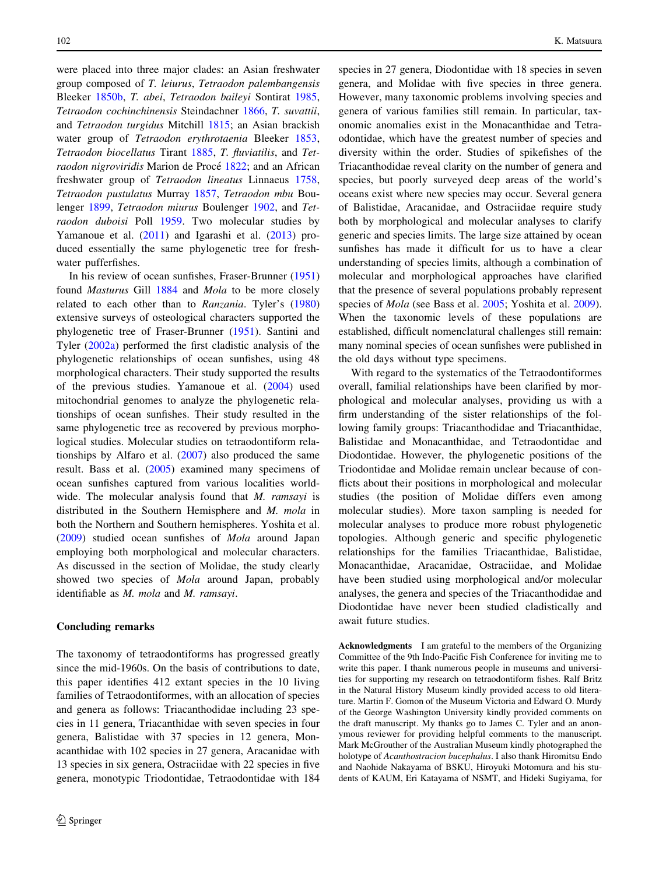were placed into three major clades: an Asian freshwater group composed of T. leiurus, Tetraodon palembangensis Bleeker 1850b, T. abei, Tetraodon baileyi Sontirat 1985, Tetraodon cochinchinensis Steindachner 1866, T. suvattii, and Tetraodon turgidus Mitchill 1815; an Asian brackish water group of Tetraodon erythrotaenia Bleeker 1853, Tetraodon biocellatus Tirant 1885, T. fluviatilis, and Tetraodon nigroviridis Marion de Procé 1822; and an African freshwater group of Tetraodon lineatus Linnaeus 1758, Tetraodon pustulatus Murray 1857, Tetraodon mbu Boulenger 1899, Tetraodon miurus Boulenger 1902, and Tetraodon duboisi Poll 1959. Two molecular studies by Yamanoue et al. (2011) and Igarashi et al. (2013) produced essentially the same phylogenetic tree for freshwater pufferfishes.

In his review of ocean sunfishes, Fraser-Brunner (1951) found Masturus Gill 1884 and Mola to be more closely related to each other than to Ranzania. Tyler's (1980) extensive surveys of osteological characters supported the phylogenetic tree of Fraser-Brunner (1951). Santini and Tyler (2002a) performed the first cladistic analysis of the phylogenetic relationships of ocean sunfishes, using 48 morphological characters. Their study supported the results of the previous studies. Yamanoue et al. (2004) used mitochondrial genomes to analyze the phylogenetic relationships of ocean sunfishes. Their study resulted in the same phylogenetic tree as recovered by previous morphological studies. Molecular studies on tetraodontiform relationships by Alfaro et al.  $(2007)$  also produced the same result. Bass et al. (2005) examined many specimens of ocean sunfishes captured from various localities worldwide. The molecular analysis found that M. ramsayi is distributed in the Southern Hemisphere and M. mola in both the Northern and Southern hemispheres. Yoshita et al. (2009) studied ocean sunfishes of Mola around Japan employing both morphological and molecular characters. As discussed in the section of Molidae, the study clearly showed two species of *Mola* around Japan, probably identifiable as M. mola and M. ramsayi.

## Concluding remarks

The taxonomy of tetraodontiforms has progressed greatly since the mid-1960s. On the basis of contributions to date, this paper identifies 412 extant species in the 10 living families of Tetraodontiformes, with an allocation of species and genera as follows: Triacanthodidae including 23 species in 11 genera, Triacanthidae with seven species in four genera, Balistidae with 37 species in 12 genera, Monacanthidae with 102 species in 27 genera, Aracanidae with 13 species in six genera, Ostraciidae with 22 species in five genera, monotypic Triodontidae, Tetraodontidae with 184 species in 27 genera, Diodontidae with 18 species in seven genera, and Molidae with five species in three genera. However, many taxonomic problems involving species and genera of various families still remain. In particular, taxonomic anomalies exist in the Monacanthidae and Tetraodontidae, which have the greatest number of species and diversity within the order. Studies of spikefishes of the Triacanthodidae reveal clarity on the number of genera and species, but poorly surveyed deep areas of the world's oceans exist where new species may occur. Several genera of Balistidae, Aracanidae, and Ostraciidae require study both by morphological and molecular analyses to clarify generic and species limits. The large size attained by ocean sunfishes has made it difficult for us to have a clear understanding of species limits, although a combination of molecular and morphological approaches have clarified that the presence of several populations probably represent species of *Mola* (see Bass et al. 2005; Yoshita et al. 2009). When the taxonomic levels of these populations are established, difficult nomenclatural challenges still remain: many nominal species of ocean sunfishes were published in the old days without type specimens.

With regard to the systematics of the Tetraodontiformes overall, familial relationships have been clarified by morphological and molecular analyses, providing us with a firm understanding of the sister relationships of the following family groups: Triacanthodidae and Triacanthidae, Balistidae and Monacanthidae, and Tetraodontidae and Diodontidae. However, the phylogenetic positions of the Triodontidae and Molidae remain unclear because of conflicts about their positions in morphological and molecular studies (the position of Molidae differs even among molecular studies). More taxon sampling is needed for molecular analyses to produce more robust phylogenetic topologies. Although generic and specific phylogenetic relationships for the families Triacanthidae, Balistidae, Monacanthidae, Aracanidae, Ostraciidae, and Molidae have been studied using morphological and/or molecular analyses, the genera and species of the Triacanthodidae and Diodontidae have never been studied cladistically and await future studies.

Acknowledgments I am grateful to the members of the Organizing Committee of the 9th Indo-Pacific Fish Conference for inviting me to write this paper. I thank numerous people in museums and universities for supporting my research on tetraodontiform fishes. Ralf Britz in the Natural History Museum kindly provided access to old literature. Martin F. Gomon of the Museum Victoria and Edward O. Murdy of the George Washington University kindly provided comments on the draft manuscript. My thanks go to James C. Tyler and an anonymous reviewer for providing helpful comments to the manuscript. Mark McGrouther of the Australian Museum kindly photographed the holotype of Acanthostracion bucephalus. I also thank Hiromitsu Endo and Naohide Nakayama of BSKU, Hiroyuki Motomura and his students of KAUM, Eri Katayama of NSMT, and Hideki Sugiyama, for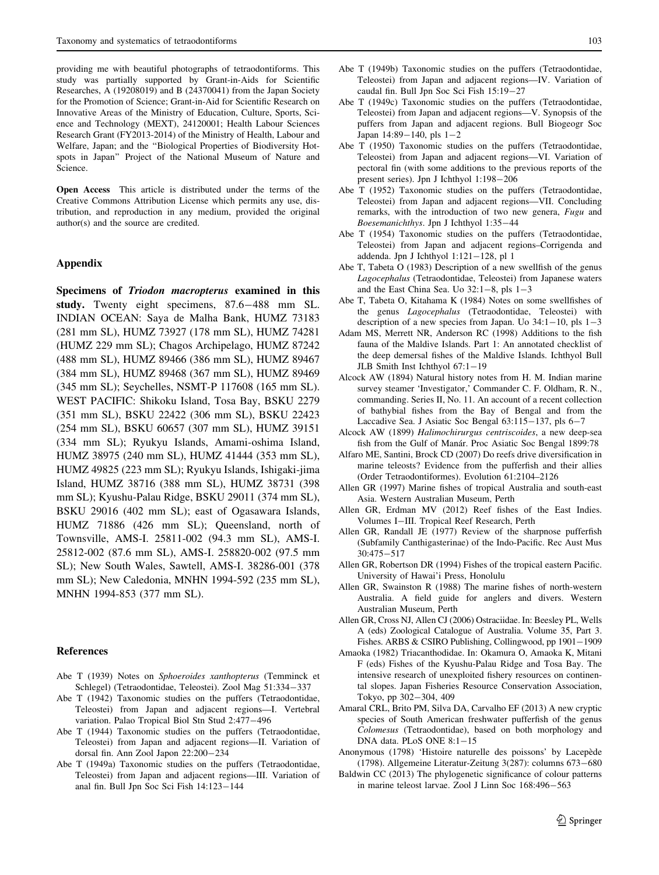providing me with beautiful photographs of tetraodontiforms. This study was partially supported by Grant-in-Aids for Scientific Researches, A (19208019) and B (24370041) from the Japan Society for the Promotion of Science; Grant-in-Aid for Scientific Research on Innovative Areas of the Ministry of Education, Culture, Sports, Science and Technology (MEXT), 24120001; Health Labour Sciences Research Grant (FY2013-2014) of the Ministry of Health, Labour and Welfare, Japan; and the ''Biological Properties of Biodiversity Hotspots in Japan'' Project of the National Museum of Nature and Science.

Open Access This article is distributed under the terms of the Creative Commons Attribution License which permits any use, distribution, and reproduction in any medium, provided the original author(s) and the source are credited.

# Appendix

Specimens of Triodon macropterus examined in this study. Twenty eight specimens, 87.6-488 mm SL. INDIAN OCEAN: Saya de Malha Bank, HUMZ 73183 (281 mm SL), HUMZ 73927 (178 mm SL), HUMZ 74281 (HUMZ 229 mm SL); Chagos Archipelago, HUMZ 87242 (488 mm SL), HUMZ 89466 (386 mm SL), HUMZ 89467 (384 mm SL), HUMZ 89468 (367 mm SL), HUMZ 89469 (345 mm SL); Seychelles, NSMT-P 117608 (165 mm SL). WEST PACIFIC: Shikoku Island, Tosa Bay, BSKU 2279 (351 mm SL), BSKU 22422 (306 mm SL), BSKU 22423 (254 mm SL), BSKU 60657 (307 mm SL), HUMZ 39151 (334 mm SL); Ryukyu Islands, Amami-oshima Island, HUMZ 38975 (240 mm SL), HUMZ 41444 (353 mm SL), HUMZ 49825 (223 mm SL); Ryukyu Islands, Ishigaki-jima Island, HUMZ 38716 (388 mm SL), HUMZ 38731 (398 mm SL); Kyushu-Palau Ridge, BSKU 29011 (374 mm SL), BSKU 29016 (402 mm SL); east of Ogasawara Islands, HUMZ 71886 (426 mm SL); Queensland, north of Townsville, AMS-I. 25811-002 (94.3 mm SL), AMS-I. 25812-002 (87.6 mm SL), AMS-I. 258820-002 (97.5 mm SL); New South Wales, Sawtell, AMS-I. 38286-001 (378 mm SL); New Caledonia, MNHN 1994-592 (235 mm SL), MNHN 1994-853 (377 mm SL).

# References

- Abe T (1939) Notes on Sphoeroides xanthopterus (Temminck et Schlegel) (Tetraodontidae, Teleostei). Zool Mag 51:334-337
- Abe T (1942) Taxonomic studies on the puffers (Tetraodontidae, Teleostei) from Japan and adjacent regions—I. Vertebral variation. Palao Tropical Biol Stn Stud 2:477-496
- Abe T (1944) Taxonomic studies on the puffers (Tetraodontidae, Teleostei) from Japan and adjacent regions—II. Variation of dorsal fin. Ann Zool Japon 22:200-234
- Abe T (1949a) Taxonomic studies on the puffers (Tetraodontidae, Teleostei) from Japan and adjacent regions—III. Variation of anal fin. Bull Jpn Soc Sci Fish 14:123-144
- Abe T (1949b) Taxonomic studies on the puffers (Tetraodontidae, Teleostei) from Japan and adjacent regions—IV. Variation of caudal fin. Bull Jpn Soc Sci Fish 15:19-27
- Abe T (1949c) Taxonomic studies on the puffers (Tetraodontidae, Teleostei) from Japan and adjacent regions—V. Synopsis of the puffers from Japan and adjacent regions. Bull Biogeogr Soc Japan 14:89-140, pls 1-2
- Abe T (1950) Taxonomic studies on the puffers (Tetraodontidae, Teleostei) from Japan and adjacent regions—VI. Variation of pectoral fin (with some additions to the previous reports of the present series). Jpn J Ichthyol 1:198-206
- Abe T (1952) Taxonomic studies on the puffers (Tetraodontidae, Teleostei) from Japan and adjacent regions—VII. Concluding remarks, with the introduction of two new genera, Fugu and Boesemanichthys. Jpn J Ichthyol 1:35-44
- Abe T (1954) Taxonomic studies on the puffers (Tetraodontidae, Teleostei) from Japan and adjacent regions–Corrigenda and addenda. Jpn J Ichthyol 1:121-128, pl 1
- Abe T, Tabeta O (1983) Description of a new swellfish of the genus Lagocephalus (Tetraodontidae, Teleostei) from Japanese waters and the East China Sea. Uo 32:1-8, pls 1-3
- Abe T, Tabeta O, Kitahama K (1984) Notes on some swellfishes of the genus Lagocephalus (Tetraodontidae, Teleostei) with description of a new species from Japan. Uo  $34:1-10$ , pls  $1-3$
- Adam MS, Merrett NR, Anderson RC (1998) Additions to the fish fauna of the Maldive Islands. Part 1: An annotated checklist of the deep demersal fishes of the Maldive Islands. Ichthyol Bull JLB Smith Inst Ichthyol 67:1-19
- Alcock AW (1894) Natural history notes from H. M. Indian marine survey steamer 'Investigator,' Commander C. F. Oldham, R. N., commanding. Series II, No. 11. An account of a recent collection of bathybial fishes from the Bay of Bengal and from the Laccadive Sea. J Asiatic Soc Bengal 63:115-137, pls 6-7
- Alcock AW (1899) Halimochirurgus centriscoides, a new deep-sea fish from the Gulf of Manár. Proc Asiatic Soc Bengal 1899:78
- Alfaro ME, Santini, Brock CD (2007) Do reefs drive diversification in marine teleosts? Evidence from the pufferfish and their allies (Order Tetraodontiformes). Evolution 61:2104–2126
- Allen GR (1997) Marine fishes of tropical Australia and south-east Asia. Western Australian Museum, Perth
- Allen GR, Erdman MV (2012) Reef fishes of the East Indies. Volumes I-III. Tropical Reef Research, Perth
- Allen GR, Randall JE (1977) Review of the sharpnose pufferfish (Subfamily Canthigasterinae) of the Indo-Pacific. Rec Aust Mus 30:475-517
- Allen GR, Robertson DR (1994) Fishes of the tropical eastern Pacific. University of Hawai'i Press, Honolulu
- Allen GR, Swainston R (1988) The marine fishes of north-western Australia. A field guide for anglers and divers. Western Australian Museum, Perth
- Allen GR, Cross NJ, Allen CJ (2006) Ostraciidae. In: Beesley PL, Wells A (eds) Zoological Catalogue of Australia. Volume 35, Part 3. Fishes. ARBS & CSIRO Publishing, Collingwood, pp 1901-1909
- Amaoka (1982) Triacanthodidae. In: Okamura O, Amaoka K, Mitani F (eds) Fishes of the Kyushu-Palau Ridge and Tosa Bay. The intensive research of unexploited fishery resources on continental slopes. Japan Fisheries Resource Conservation Association, Tokyo, pp 302-304, 409
- Amaral CRL, Brito PM, Silva DA, Carvalho EF (2013) A new cryptic species of South American freshwater pufferfish of the genus Colomesus (Tetraodontidae), based on both morphology and DNA data. PLoS ONE 8:1-15
- Anonymous (1798) 'Histoire naturelle des poissons' by Lacepède (1798). Allgemeine Literatur-Zeitung 3(287): columns 673-680
- Baldwin CC (2013) The phylogenetic significance of colour patterns in marine teleost larvae. Zool J Linn Soc 168:496-563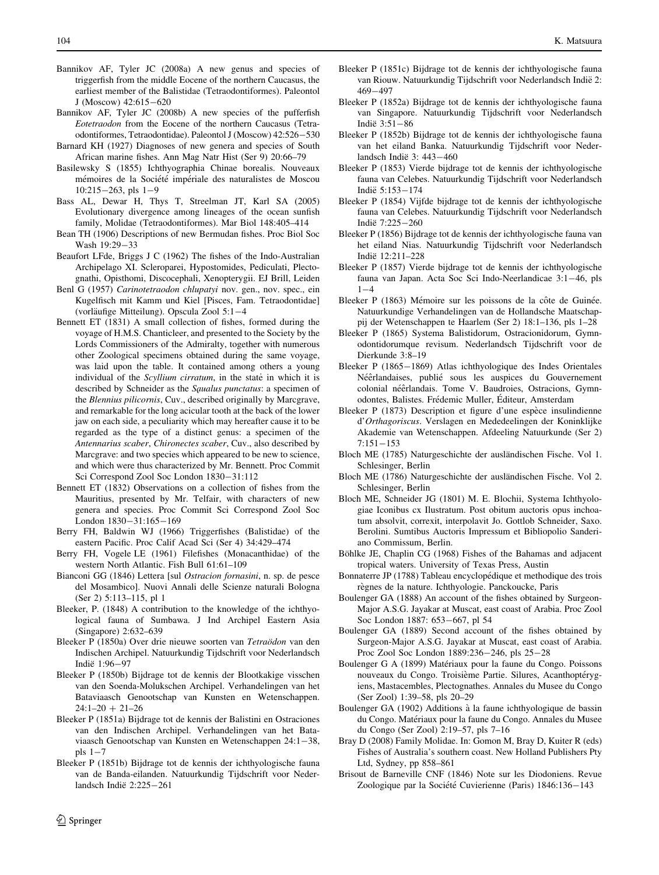- Bannikov AF, Tyler JC (2008a) A new genus and species of triggerfish from the middle Eocene of the northern Caucasus, the earliest member of the Balistidae (Tetraodontiformes). Paleontol J (Moscow) 42:615-620
- Bannikov AF, Tyler JC (2008b) A new species of the pufferfish Eotetraodon from the Eocene of the northern Caucasus (Tetraodontiformes, Tetraodontidae). Paleontol J (Moscow) 42:526-530
- Barnard KH (1927) Diagnoses of new genera and species of South African marine fishes. Ann Mag Natr Hist (Ser 9) 20:66–79
- Basilewsky S (1855) Ichthyographia Chinae borealis. Nouveaux mémoires de la Société impériale des naturalistes de Moscou  $10:215-263$ , pls  $1-9$
- Bass AL, Dewar H, Thys T, Streelman JT, Karl SA (2005) Evolutionary divergence among lineages of the ocean sunfish family, Molidae (Tetraodontiformes). Mar Biol 148:405–414
- Bean TH (1906) Descriptions of new Bermudan fishes. Proc Biol Soc Wash 19:29-33
- Beaufort LFde, Briggs J C (1962) The fishes of the Indo-Australian Archipelago XI. Scleroparei, Hypostomides, Pediculati, Plectognathi, Opisthomi, Discocephali, Xenopterygii. EJ Brill, Leiden
- Benl G (1957) Carinotetraodon chlupatyi nov. gen., nov. spec., ein Kugelfisch mit Kamm und Kiel [Pisces, Fam. Tetraodontidae] (vorläufige Mitteilung). Opscula Zool 5:1-4
- Bennett ET (1831) A small collection of fishes, formed during the voyage of H.M.S. Chanticleer, and presented to the Society by the Lords Commissioners of the Admiralty, together with numerous other Zoological specimens obtained during the same voyage, was laid upon the table. It contained among others a young individual of the Scyllium cirratum, in the state in which it is described by Schneider as the Saualus punctatus: a specimen of the Blennius pilicornis, Cuv., described originally by Marcgrave, and remarkable for the long acicular tooth at the back of the lower jaw on each side, a peculiarity which may hereafter cause it to be regarded as the type of a distinct genus: a specimen of the Antennarius scaber, Chironectes scaber, Cuv., also described by Marcgrave: and two species which appeared to be new to science, and which were thus characterized by Mr. Bennett. Proc Commit Sci Correspond Zool Soc London 1830-31:112
- Bennett ET (1832) Observations on a collection of fishes from the Mauritius, presented by Mr. Telfair, with characters of new genera and species. Proc Commit Sci Correspond Zool Soc London 1830-31:165-169
- Berry FH, Baldwin WJ (1966) Triggerfishes (Balistidae) of the eastern Pacific. Proc Calif Acad Sci (Ser 4) 34:429–474
- Berry FH, Vogele LE (1961) Filefishes (Monacanthidae) of the western North Atlantic. Fish Bull 61:61–109
- Bianconi GG (1846) Lettera [sul Ostracion fornasini, n. sp. de pesce del Mosambico]. Nuovi Annali delle Scienze naturali Bologna (Ser 2) 5:113–115, pl 1
- Bleeker, P. (1848) A contribution to the knowledge of the ichthyological fauna of Sumbawa. J Ind Archipel Eastern Asia (Singapore) 2:632–639
- Bleeker P (1850a) Over drie nieuwe soorten van Tetraödon van den Indischen Archipel. Natuurkundig Tijdschrift voor Nederlandsch Indie¨ 1:96-97
- Bleeker P (1850b) Bijdrage tot de kennis der Blootkakige visschen van den Soenda-Molukschen Archipel. Verhandelingen van het Bataviaasch Genootschap van Kunsten en Wetenschappen.  $24:1-20 + 21-26$
- Bleeker P (1851a) Bijdrage tot de kennis der Balistini en Ostraciones van den Indischen Archipel. Verhandelingen van het Bataviaasch Genootschap van Kunsten en Wetenschappen 24:1-38, pls  $1-7$
- Bleeker P (1851b) Bijdrage tot de kennis der ichthyologische fauna van de Banda-eilanden. Natuurkundig Tijdschrift voor Nederlandsch Indië 2:225-261
- Bleeker P (1851c) Bijdrage tot de kennis der ichthyologische fauna van Riouw. Natuurkundig Tijdschrift voor Nederlandsch Indië 2: 469-497
- Bleeker P (1852a) Bijdrage tot de kennis der ichthyologische fauna van Singapore. Natuurkundig Tijdschrift voor Nederlandsch Indie¨ 3:51-86
- Bleeker P (1852b) Bijdrage tot de kennis der ichthyologische fauna van het eiland Banka. Natuurkundig Tijdschrift voor Nederlandsch Indië 3: 443-460
- Bleeker P (1853) Vierde bijdrage tot de kennis der ichthyologische fauna van Celebes. Natuurkundig Tijdschrift voor Nederlandsch Indie¨ 5:153-174
- Bleeker P (1854) Vijfde bijdrage tot de kennis der ichthyologische fauna van Celebes. Natuurkundig Tijdschrift voor Nederlandsch Indie¨ 7:225-260
- Bleeker P (1856) Bijdrage tot de kennis der ichthyologische fauna van het eiland Nias. Natuurkundig Tijdschrift voor Nederlandsch Indie¨ 12:211–228
- Bleeker P (1857) Vierde bijdrage tot de kennis der ichthyologische fauna van Japan. Acta Soc Sci Indo-Neerlandicae 3:1-46, pls  $1 - 4$
- Bleeker P (1863) Mémoire sur les poissons de la côte de Guinée. Natuurkundige Verhandelingen van de Hollandsche Maatschappij der Wetenschappen te Haarlem (Ser 2) 18:1–136, pls 1–28
- Bleeker P (1865) Systema Balistidorum, Ostracionidorum, Gymnodontidorumque revisum. Nederlandsch Tijdschrift voor de Dierkunde 3:8–19
- Bleeker P (1865-1869) Atlas ichthyologique des Indes Orientales Néêrlandaises, publié sous les auspices du Gouvernement colonial néêrlandais. Tome V. Baudroies, Ostracions, Gymnodontes, Balistes. Frédemic Muller, Éditeur, Amsterdam
- Bleeker P (1873) Description et figure d'une espèce insulindienne d'Orthagoriscus. Verslagen en Mededeelingen der Koninklijke Akademie van Wetenschappen. Afdeeling Natuurkunde (Ser 2)  $7:151 - 153$
- Bloch ME (1785) Naturgeschichte der ausländischen Fische. Vol 1. Schlesinger, Berlin
- Bloch ME (1786) Naturgeschichte der ausländischen Fische. Vol 2. Schlesinger, Berlin
- Bloch ME, Schneider JG (1801) M. E. Blochii, Systema Ichthyologiae Iconibus cx Ilustratum. Post obitum auctoris opus inchoatum absolvit, correxit, interpolavit Jo. Gottlob Schneider, Saxo. Berolini. Sumtibus Auctoris Impressum et Bibliopolio Sanderiano Commissum, Berlin.
- Böhlke JE, Chaplin CG (1968) Fishes of the Bahamas and adjacent tropical waters. University of Texas Press, Austin
- Bonnaterre JP (1788) Tableau encyclopédique et methodique des trois règnes de la nature. Ichthyologie. Panckoucke, Paris
- Boulenger GA (1888) An account of the fishes obtained by Surgeon-Major A.S.G. Jayakar at Muscat, east coast of Arabia. Proc Zool Soc London 1887: 653-667, pl 54
- Boulenger GA (1889) Second account of the fishes obtained by Surgeon-Major A.S.G. Jayakar at Muscat, east coast of Arabia. Proc Zool Soc London 1889:236-246, pls 25-28
- Boulenger G A (1899) Matériaux pour la faune du Congo. Poissons nouveaux du Congo. Troisième Partie. Silures, Acanthoptérygiens, Mastacembles, Plectognathes. Annales du Musee du Congo (Ser Zool) 1:39–58, pls 20–29
- Boulenger GA (1902) Additions à la faune ichthyologique de bassin du Congo. Matériaux pour la faune du Congo. Annales du Musee du Congo (Ser Zool) 2:19–57, pls 7–16
- Bray D (2008) Family Molidae. In: Gomon M, Bray D, Kuiter R (eds) Fishes of Australia's southern coast. New Holland Publishers Pty Ltd, Sydney, pp 858–861
- Brisout de Barneville CNF (1846) Note sur les Diodoniens. Revue Zoologique par la Société Cuvierienne (Paris) 1846:136-143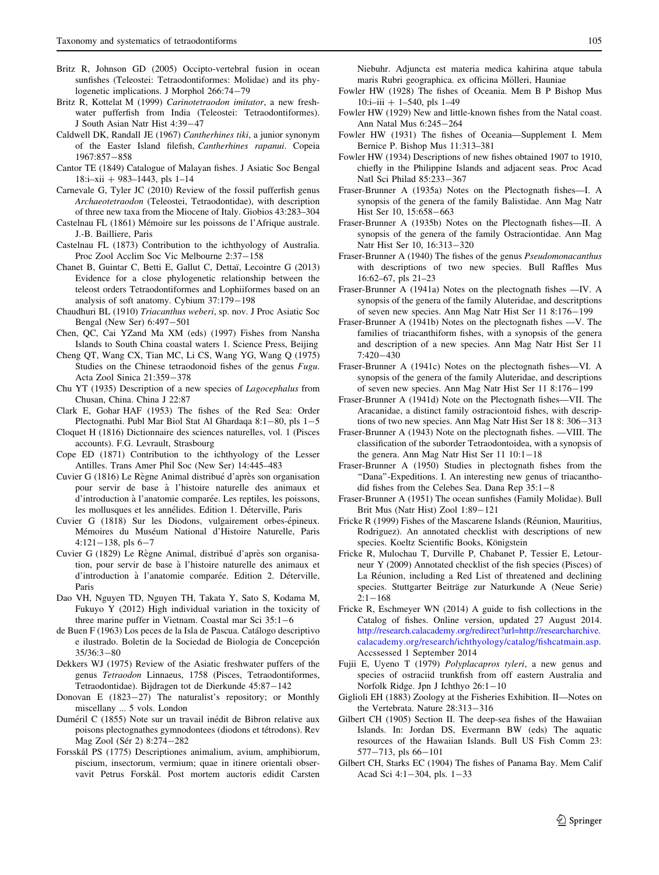- Britz R, Johnson GD (2005) Occipto-vertebral fusion in ocean sunfishes (Teleostei: Tetraodontiformes: Molidae) and its phylogenetic implications. J Morphol 266:74-79
- Britz R, Kottelat M (1999) Carinotetraodon imitator, a new freshwater pufferfish from India (Teleostei: Tetraodontiformes). J South Asian Natr Hist 4:39-47
- Caldwell DK, Randall JE (1967) Cantherhines tiki, a junior synonym of the Easter Island filefish, Cantherhines rapanui. Copeia 1967:857-858
- Cantor TE (1849) Catalogue of Malayan fishes. J Asiatic Soc Bengal  $18:i-xii + 983-1443$ , pls 1-14
- Carnevale G, Tyler JC (2010) Review of the fossil pufferfish genus Archaeotetraodon (Teleostei, Tetraodontidae), with description of three new taxa from the Miocene of Italy. Giobios 43:283–304
- Castelnau FL (1861) Mémoire sur les poissons de l'Afrique australe. J.-B. Bailliere, Paris
- Castelnau FL (1873) Contribution to the ichthyology of Australia. Proc Zool Acclim Soc Vic Melbourne 2:37-158
- Chanet B, Guintar C, Betti E, Gallut C, Dettaï, Lecointre G (2013) Evidence for a close phylogenetic relationship between the teleost orders Tetraodontiformes and Lophiiformes based on an analysis of soft anatomy. Cybium 37:179-198
- Chaudhuri BL (1910) Triacanthus weberi, sp. nov. J Proc Asiatic Soc Bengal (New Ser) 6:497-501
- Chen, QC, Cai YZand Ma XM (eds) (1997) Fishes from Nansha Islands to South China coastal waters 1. Science Press, Beijing
- Cheng QT, Wang CX, Tian MC, Li CS, Wang YG, Wang Q (1975) Studies on the Chinese tetraodonoid fishes of the genus Fugu. Acta Zool Sinica 21:359-378
- Chu YT (1935) Description of a new species of Lagocephalus from Chusan, China. China J 22:87
- Clark E, Gohar HAF (1953) The fishes of the Red Sea: Order Plectognathi. Publ Mar Biol Stat Al Ghardaqa 8:1-80, pls 1-5
- Cloquet H (1816) Dictionnaire des sciences naturelles, vol. 1 (Pisces accounts). F.G. Levrault, Strasbourg
- Cope ED (1871) Contribution to the ichthyology of the Lesser Antilles. Trans Amer Phil Soc (New Ser) 14:445–483
- Cuvier G (1816) Le Règne Animal distribué d'après son organisation pour servir de base a` l'histoire naturelle des animaux et d'introduction à l'anatomie comparée. Les reptiles, les poissons, les mollusques et les annélides. Edition 1. Déterville, Paris
- Cuvier G (1818) Sur les Diodons, vulgairement orbes-épineux. Mémoires du Muséum National d'Histoire Naturelle, Paris 4:121-138, pls 6-7
- Cuvier G (1829) Le Règne Animal, distribué d'après son organisation, pour servir de base a` l'histoire naturelle des animaux et d'introduction à l'anatomie comparée. Edition 2. Déterville, Paris
- Dao VH, Nguyen TD, Nguyen TH, Takata Y, Sato S, Kodama M, Fukuyo Y (2012) High individual variation in the toxicity of three marine puffer in Vietnam. Coastal mar Sci 35:1-6
- de Buen F (1963) Los peces de la Isla de Pascua. Catálogo descriptivo e ilustrado. Boletin de la Sociedad de Biologia de Concepción 35/36:3-80
- Dekkers WJ (1975) Review of the Asiatic freshwater puffers of the genus Tetraodon Linnaeus, 1758 (Pisces, Tetraodontiformes, Tetraodontidae). Bijdragen tot de Dierkunde 45:87-142
- Donovan E (1823-27) The naturalist's repository; or Monthly miscellany ... 5 vols. London
- Duméril C (1855) Note sur un travail inédit de Bibron relative aux poisons plectognathes gymnodontees (diodons et tétrodons). Rev Mag Zool (Sér 2) 8:274-282
- Forsskål PS (1775) Descriptiones animalium, avium, amphibiorum, piscium, insectorum, vermium; quae in itinere orientali observavit Petrus Forskål. Post mortem auctoris edidit Carsten

Niebuhr. Adjuncta est materia medica kahirina atque tabula maris Rubri geographica. ex officina Mölleri, Hauniae

- Fowler HW (1928) The fishes of Oceania. Mem B P Bishop Mus  $10:i-iii + 1-540$ , pls  $1-49$
- Fowler HW (1929) New and little-known fishes from the Natal coast. Ann Natal Mus 6:245-264
- Fowler HW (1931) The fishes of Oceania—Supplement I. Mem Bernice P. Bishop Mus 11:313–381
- Fowler HW (1934) Descriptions of new fishes obtained 1907 to 1910, chiefly in the Philippine Islands and adjacent seas. Proc Acad Natl Sci Philad 85:233-367
- Fraser-Brunner A (1935a) Notes on the Plectognath fishes—I. A synopsis of the genera of the family Balistidae. Ann Mag Natr Hist Ser 10, 15:658-663
- Fraser-Brunner A (1935b) Notes on the Plectognath fishes—II. A synopsis of the genera of the family Ostraciontidae. Ann Mag Natr Hist Ser 10, 16:313-320
- Fraser-Brunner A (1940) The fishes of the genus Pseudomonacanthus with descriptions of two new species. Bull Raffles Mus 16:62–67, pls 21–23
- Fraser-Brunner A (1941a) Notes on the plectognath fishes —IV. A synopsis of the genera of the family Aluteridae, and descritptions of seven new species. Ann Mag Natr Hist Ser 11 8:176-199
- Fraser-Brunner A (1941b) Notes on the plectognath fishes —V. The families of triacanthiform fishes, with a synopsis of the genera and description of a new species. Ann Mag Natr Hist Ser 11 7:420-430
- Fraser-Brunner A (1941c) Notes on the plectognath fishes—VI. A synopsis of the genera of the family Aluteridae, and descriptions of seven new species. Ann Mag Natr Hist Ser 11 8:176-199
- Fraser-Brunner A (1941d) Note on the Plectognath fishes—VII. The Aracanidae, a distinct family ostraciontoid fishes, with descriptions of two new species. Ann Mag Natr Hist Ser 18 8: 306-313
- Fraser-Brunner A (1943) Note on the plectognath fishes. —VIII. The classification of the suborder Tetraodontoidea, with a synopsis of the genera. Ann Mag Natr Hist Ser 11 10:1-18
- Fraser-Brunner A (1950) Studies in plectognath fishes from the ''Dana''-Expeditions. I. An interesting new genus of triacanthodid fishes from the Celebes Sea. Dana Rep 35:1-8
- Fraser-Brunner A (1951) The ocean sunfishes (Family Molidae). Bull Brit Mus (Natr Hist) Zool 1:89-121
- Fricke R (1999) Fishes of the Mascarene Islands (Réunion, Mauritius, Rodriguez). An annotated checklist with descriptions of new species. Koeltz Scientific Books, Königstein
- Fricke R, Mulochau T, Durville P, Chabanet P, Tessier E, Letourneur Y (2009) Annotated checklist of the fish species (Pisces) of La Réunion, including a Red List of threatened and declining species. Stuttgarter Beiträge zur Naturkunde A (Neue Serie)  $2:1-168$
- Fricke R, Eschmeyer WN (2014) A guide to fish collections in the Catalog of fishes. Online version, updated 27 August 2014. [http://research.calacademy.org/redirect?url=http://researcharchive.](http://research.calacademy.org/redirect?url=http://researcharchive.calacademy.org/research/ichthyology/catalog/fishcatmain.asp) [calacademy.org/research/ichthyology/catalog/fishcatmain.asp](http://research.calacademy.org/redirect?url=http://researcharchive.calacademy.org/research/ichthyology/catalog/fishcatmain.asp). Accssessed 1 September 2014
- Fujii E, Uyeno T (1979) Polyplacapros tyleri, a new genus and species of ostraciid trunkfish from off eastern Australia and Norfolk Ridge. Jpn J Ichthyo 26:1-10
- Giglioli EH (1883) Zoology at the Fisheries Exhibition. II—Notes on the Vertebrata. Nature 28:313-316
- Gilbert CH (1905) Section II. The deep-sea fishes of the Hawaiian Islands. In: Jordan DS, Evermann BW (eds) The aquatic resources of the Hawaiian Islands. Bull US Fish Comm 23:  $577 - 713$ , pls  $66 - 101$
- Gilbert CH, Starks EC (1904) The fishes of Panama Bay. Mem Calif Acad Sci 4:1-304, pls. 1-33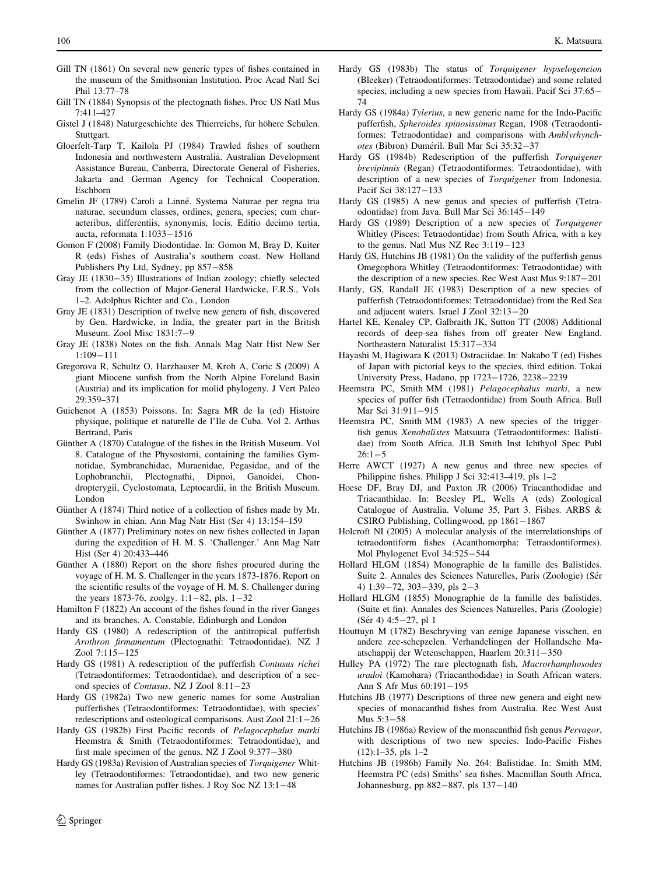- Gill TN (1861) On several new generic types of fishes contained in the museum of the Smithsonian Institution. Proc Acad Natl Sci Phil 13:77–78
- Gill TN (1884) Synopsis of the plectognath fishes. Proc US Natl Mus 7:411–427
- Gistel J (1848) Naturgeschichte des Thierreichs, für höhere Schulen. Stuttgart.
- Gloerfelt-Tarp T, Kailola PJ (1984) Trawled fishes of southern Indonesia and northwestern Australia. Australian Development Assistance Bureau, Canberra, Directorate General of Fisheries, Jakarta and German Agency for Technical Cooperation, Eschborn
- Gmelin JF (1789) Caroli a Linné. Systema Naturae per regna tria naturae, secundum classes, ordines, genera, species; cum characteribus, differentiis, synonymis, locis. Editio decimo tertia, aucta, reformata 1:1033-1516
- Gomon F (2008) Family Diodontidae. In: Gomon M, Bray D, Kuiter R (eds) Fishes of Australia's southern coast. New Holland Publishers Pty Ltd, Sydney, pp 857-858
- Gray JE (1830-35) Illustrations of Indian zoology; chiefly selected from the collection of Major-General Hardwicke, F.R.S., Vols 1–2. Adolphus Richter and Co., London
- Gray JE (1831) Description of twelve new genera of fish, discovered by Gen. Hardwicke, in India, the greater part in the British Museum. Zool Misc 1831:7-9
- Gray JE (1838) Notes on the fish. Annals Mag Natr Hist New Ser 1:109-111
- Gregorova R, Schultz O, Harzhauser M, Kroh A, Coric S (2009) A giant Miocene sunfish from the North Alpine Foreland Basin (Austria) and its implication for molid phylogeny. J Vert Paleo 29:359–371
- Guichenot A (1853) Poissons. In: Sagra MR de la (ed) Histoire physique, politique et naturelle de l'Ile de Cuba. Vol 2. Arthus Bertrand, Paris
- Günther A (1870) Catalogue of the fishes in the British Museum. Vol 8. Catalogue of the Physostomi, containing the families Gymnotidae, Symbranchidae, Muraenidae, Pegasidae, and of the Lophobranchii, Plectognathi, Dipnoi, Ganoidei, Chondropterygii, Cyclostomata, Leptocardii, in the British Museum. London
- Günther A (1874) Third notice of a collection of fishes made by Mr. Swinhow in chian. Ann Mag Natr Hist (Ser 4) 13:154–159
- Günther A (1877) Preliminary notes on new fishes collected in Japan during the expedition of H. M. S. 'Challenger.' Ann Mag Natr Hist (Ser 4) 20:433–446
- Günther A (1880) Report on the shore fishes procured during the voyage of H. M. S. Challenger in the years 1873-1876. Report on the scientific results of the voyage of H. M. S. Challenger during the years 1873-76, zoolgy. 1:1-82, pls. 1-32
- Hamilton F (1822) An account of the fishes found in the river Ganges and its branches. A. Constable, Edinburgh and London
- Hardy GS (1980) A redescription of the antitropical pufferfish Arothron firmamentum (Plectognathi: Tetraodontidae). NZ J Zool 7:115-125
- Hardy GS (1981) A redescription of the pufferfish Contusus richei (Tetraodontiformes: Tetraodontidae), and description of a second species of Contusus. NZ J Zool 8:11-23
- Hardy GS (1982a) Two new generic names for some Australian pufferfishes (Tetraodontiformes: Tetraodontidae), with species' redescriptions and osteological comparisons. Aust Zool 21:1-26
- Hardy GS (1982b) First Pacific records of Pelagocephalus marki Heemstra & Smith (Tetraodontiformes: Tetraodontidae), and first male specimen of the genus. NZ J Zool 9:377-380
- Hardy GS (1983a) Revision of Australian species of Torquigener Whitley (Tetraodontiformes: Tetraodontidae), and two new generic names for Australian puffer fishes. J Roy Soc NZ 13:1-48
- Hardy GS (1983b) The status of Torquigener hypselogeneion (Bleeker) (Tetraodontiformes: Tetraodontidae) and some related species, including a new species from Hawaii. Pacif Sci 37:65-74
- Hardy GS (1984a) Tylerius, a new generic name for the Indo-Pacific pufferfish, Spheroides spinosissimus Regan, 1908 (Tetraodontiformes: Tetraodontidae) and comparisons with Amblyrhynchotes (Bibron) Duméril. Bull Mar Sci 35:32-37
- Hardy GS (1984b) Redescription of the pufferfish Torquigener brevipinnis (Regan) (Tetraodontiformes: Tetraodontidae), with description of a new species of Torquigener from Indonesia. Pacif Sci 38:127-133
- Hardy GS (1985) A new genus and species of pufferfish (Tetraodontidae) from Java. Bull Mar Sci 36:145-149
- Hardy GS (1989) Description of a new species of Torquigener Whitley (Pisces: Tetraodontidae) from South Africa, with a key to the genus. Natl Mus NZ Rec 3:119-123
- Hardy GS, Hutchins JB (1981) On the validity of the pufferfish genus Omegophora Whitley (Tetraodontiformes: Tetraodontidae) with the description of a new species. Rec West Aust Mus 9:187-201
- Hardy, GS, Randall JE (1983) Description of a new species of pufferfish (Tetraodontiformes: Tetraodontidae) from the Red Sea and adjacent waters. Israel J Zool 32:13-20
- Hartel KE, Kenaley CP, Galbraith JK, Sutton TT (2008) Additional records of deep-sea fishes from off greater New England. Northeastern Naturalist 15:317-334
- Hayashi M, Hagiwara K (2013) Ostraciidae. In: Nakabo T (ed) Fishes of Japan with pictorial keys to the species, third edition. Tokai University Press, Hadano, pp 1723-1726, 2238-2239
- Heemstra PC, Smith MM (1981) Pelagocephalus marki, a new species of puffer fish (Tetraodontidae) from South Africa. Bull Mar Sci 31:911-915
- Heemstra PC, Smith MM (1983) A new species of the triggerfish genus Xenobalistes Matsuura (Tetraodontiformes: Balistidae) from South Africa. JLB Smith Inst Ichthyol Spec Publ  $26:1-5$
- Herre AWCT (1927) A new genus and three new species of Philippine fishes. Philipp J Sci 32:413–419, pls 1–2
- Hoese DF, Bray DJ, and Paxton JR (2006) Triacanthodidae and Triacanthidae. In: Beesley PL, Wells A (eds) Zoological Catalogue of Australia. Volume 35, Part 3. Fishes. ARBS & CSIRO Publishing, Collingwood, pp 1861-1867
- Holcroft NI (2005) A molecular analysis of the interrelationships of tetraodontiform fishes (Acanthomorpha: Tetraodontiformes). Mol Phylogenet Evol 34:525-544
- Hollard HLGM (1854) Monographie de la famille des Balistides. Suite 2. Annales des Sciences Naturelles, Paris (Zoologie) (Sér 4) 1:39-72, 303-339, pls 2-3
- Hollard HLGM (1855) Monographie de la famille des balistides. (Suite et fin). Annales des Sciences Naturelles, Paris (Zoologie)  $(Sér 4)$  4:5-27, pl 1
- Houttuyn M (1782) Beschryving van eenige Japanese visschen, en andere zee-schepzelen. Verhandelingen der Hollandsche Maatschappij der Wetenschappen, Haarlem 20:311-350
- Hulley PA (1972) The rare plectognath fish, Macrorhamphosodes uradoi (Kamohara) (Triacanthodidae) in South African waters. Ann S Afr Mus 60:191-195
- Hutchins JB (1977) Descriptions of three new genera and eight new species of monacanthid fishes from Australia. Rec West Aust Mus 5:3-58
- Hutchins JB (1986a) Review of the monacanthid fish genus Pervagor, with descriptions of two new species. Indo-Pacific Fishes (12):1–35, pls 1–2
- Hutchins JB (1986b) Family No. 264: Balistidae. In: Smith MM, Heemstra PC (eds) Smiths' sea fishes. Macmillan South Africa, Johannesburg, pp 882-887, pls 137-140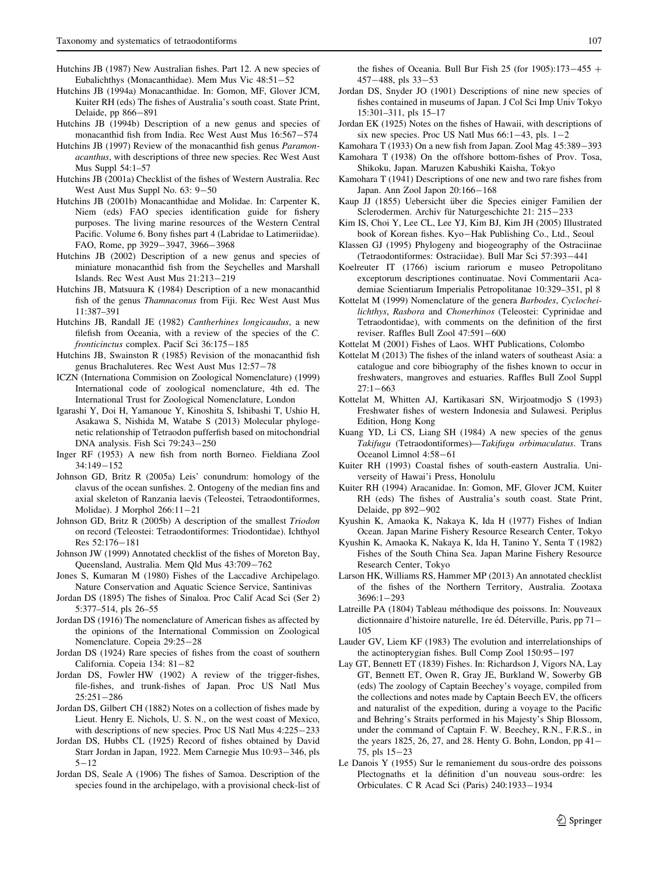- Hutchins JB (1987) New Australian fishes. Part 12. A new species of Eubalichthys (Monacanthidae). Mem Mus Vic 48:51-52
- Hutchins JB (1994a) Monacanthidae. In: Gomon, MF, Glover JCM, Kuiter RH (eds) The fishes of Australia's south coast. State Print, Delaide, pp 866-891
- Hutchins JB (1994b) Description of a new genus and species of monacanthid fish from India. Rec West Aust Mus 16:567-574
- Hutchins JB (1997) Review of the monacanthid fish genus Paramonacanthus, with descriptions of three new species. Rec West Aust Mus Suppl 54:1–57
- Hutchins JB (2001a) Checklist of the fishes of Western Australia. Rec West Aust Mus Suppl No. 63: 9–50
- Hutchins JB (2001b) Monacanthidae and Molidae. In: Carpenter K, Niem (eds) FAO species identification guide for fishery purposes. The living marine resources of the Western Central Pacific. Volume 6. Bony fishes part 4 (Labridae to Latimeriidae). FAO, Rome, pp 3929-3947, 3966-3968
- Hutchins JB (2002) Description of a new genus and species of miniature monacanthid fish from the Seychelles and Marshall Islands. Rec West Aust Mus 21:213-219
- Hutchins JB, Matsuura K (1984) Description of a new monacanthid fish of the genus Thamnaconus from Fiji. Rec West Aust Mus 11:387–391
- Hutchins JB, Randall JE (1982) Cantherhines longicaudus, a new filefish from Oceania, with a review of the species of the  $C$ . fronticinctus complex. Pacif Sci 36:175-185
- Hutchins JB, Swainston R (1985) Revision of the monacanthid fish genus Brachaluteres. Rec West Aust Mus 12:57-78
- ICZN (Internationa Commision on Zoological Nomenclature) (1999) International code of zoological nomenclature, 4th ed. The International Trust for Zoological Nomenclature, London
- Igarashi Y, Doi H, Yamanoue Y, Kinoshita S, Ishibashi T, Ushio H, Asakawa S, Nishida M, Watabe S (2013) Molecular phylogenetic relationship of Tetraodon pufferfish based on mitochondrial DNA analysis. Fish Sci 79:243-250
- Inger RF (1953) A new fish from north Borneo. Fieldiana Zool 34:149-152
- Johnson GD, Britz R (2005a) Leis' conundrum: homology of the clavus of the ocean sunfishes. 2. Ontogeny of the median fins and axial skeleton of Ranzania laevis (Teleostei, Tetraodontiformes, Molidae). J Morphol 266:11-21
- Johnson GD, Britz R (2005b) A description of the smallest Triodon on record (Teleostei: Tetraodontiformes: Triodontidae). Ichthyol Res 52:176-181
- Johnson JW (1999) Annotated checklist of the fishes of Moreton Bay, Queensland, Australia. Mem Qld Mus 43:709-762
- Jones S, Kumaran M (1980) Fishes of the Laccadive Archipelago. Nature Conservation and Aquatic Science Service, Santinivas
- Jordan DS (1895) The fishes of Sinaloa. Proc Calif Acad Sci (Ser 2) 5:377–514, pls 26–55
- Jordan DS (1916) The nomenclature of American fishes as affected by the opinions of the International Commission on Zoological Nomenclature. Copeia 29:25-28
- Jordan DS (1924) Rare species of fishes from the coast of southern California. Copeia 134: 81-82
- Jordan DS, Fowler HW (1902) A review of the trigger-fishes, file-fishes, and trunk-fishes of Japan. Proc US Natl Mus 25:251-286
- Jordan DS, Gilbert CH (1882) Notes on a collection of fishes made by Lieut. Henry E. Nichols, U. S. N., on the west coast of Mexico, with descriptions of new species. Proc US Natl Mus 4:225-233
- Jordan DS, Hubbs CL (1925) Record of fishes obtained by David Starr Jordan in Japan, 1922. Mem Carnegie Mus 10:93-346, pls  $5 - 12$
- Jordan DS, Seale A (1906) The fishes of Samoa. Description of the species found in the archipelago, with a provisional check-list of

the fishes of Oceania. Bull Bur Fish 25 (for 1905):173-455  $+$ 457-488, pls 33-53

- Jordan DS, Snyder JO (1901) Descriptions of nine new species of fishes contained in museums of Japan. J Col Sci Imp Univ Tokyo 15:301–311, pls 15–17
- Jordan EK (1925) Notes on the fishes of Hawaii, with descriptions of six new species. Proc US Natl Mus  $66:1-43$ , pls.  $1-2$
- Kamohara T (1933) On a new fish from Japan. Zool Mag 45:389-393
- Kamohara T (1938) On the offshore bottom-fishes of Prov. Tosa, Shikoku, Japan. Maruzen Kabushiki Kaisha, Tokyo
- Kamohara T (1941) Descriptions of one new and two rare fishes from Japan. Ann Zool Japon 20:166-168
- Kaup JJ (1855) Uebersicht über die Species einiger Familien der Sclerodermen. Archiv für Naturgeschichte 21: 215-233
- Kim IS, Choi Y, Lee CL, Lee YJ, Kim BJ, Kim JH (2005) Illustrated book of Korean fishes. Kyo-Hak Publishing Co., Ltd., Seoul
- Klassen GJ (1995) Phylogeny and biogeography of the Ostraciinae (Tetraodontiformes: Ostraciidae). Bull Mar Sci 57:393-441
- Koelreuter IT (1766) iscium rariorum e museo Petropolitano exceptorum descriptiones continuatae. Novi Commentarii Academiae Scientiarum Imperialis Petropolitanae 10:329–351, pl 8
- Kottelat M (1999) Nomenclature of the genera Barbodes, Cyclocheilichthys, Rasbora and Chonerhinos (Teleostei: Cyprinidae and Tetraodontidae), with comments on the definition of the first reviser. Raffles Bull Zool 47:591-600
- Kottelat M (2001) Fishes of Laos. WHT Publications, Colombo
- Kottelat M (2013) The fishes of the inland waters of southeast Asia: a catalogue and core bibiography of the fishes known to occur in freshwaters, mangroves and estuaries. Raffles Bull Zool Suppl  $27:1-663$
- Kottelat M, Whitten AJ, Kartikasari SN, Wirjoatmodjo S (1993) Freshwater fishes of western Indonesia and Sulawesi. Periplus Edition, Hong Kong
- Kuang YD, Li CS, Liang SH (1984) A new species of the genus Takifugu (Tetraodontiformes)—Takifugu orbimaculatus. Trans Oceanol Limnol 4:58-61
- Kuiter RH (1993) Coastal fishes of south-eastern Australia. Universeity of Hawai'i Press, Honolulu
- Kuiter RH (1994) Aracanidae. In: Gomon, MF, Glover JCM, Kuiter RH (eds) The fishes of Australia's south coast. State Print, Delaide, pp 892-902
- Kyushin K, Amaoka K, Nakaya K, Ida H (1977) Fishes of Indian Ocean. Japan Marine Fishery Resource Research Center, Tokyo
- Kyushin K, Amaoka K, Nakaya K, Ida H, Tanino Y, Senta T (1982) Fishes of the South China Sea. Japan Marine Fishery Resource Research Center, Tokyo
- Larson HK, Williams RS, Hammer MP (2013) An annotated checklist of the fishes of the Northern Territory, Australia. Zootaxa 3696:1-293
- Latreille PA (1804) Tableau méthodique des poissons. In: Nouveaux dictionnaire d'histoire naturelle, 1re éd. Déterville, Paris, pp 71-105
- Lauder GV, Liem KF (1983) The evolution and interrelationships of the actinopterygian fishes. Bull Comp Zool 150:95-197
- Lay GT, Bennett ET (1839) Fishes. In: Richardson J, Vigors NA, Lay GT, Bennett ET, Owen R, Gray JE, Burkland W, Sowerby GB (eds) The zoology of Captain Beechey's voyage, compiled from the collections and notes made by Captain Beech EV, the officers and naturalist of the expedition, during a voyage to the Pacific and Behring's Straits performed in his Majesty's Ship Blossom, under the command of Captain F. W. Beechey, R.N., F.R.S., in the years 1825, 26, 27, and 28. Henty G. Bohn, London, pp 41- 75, pls 15-23
- Le Danois Y (1955) Sur le remaniement du sous-ordre des poissons Plectognaths et la définition d'un nouveau sous-ordre: les Orbiculates. C R Acad Sci (Paris) 240:1933-1934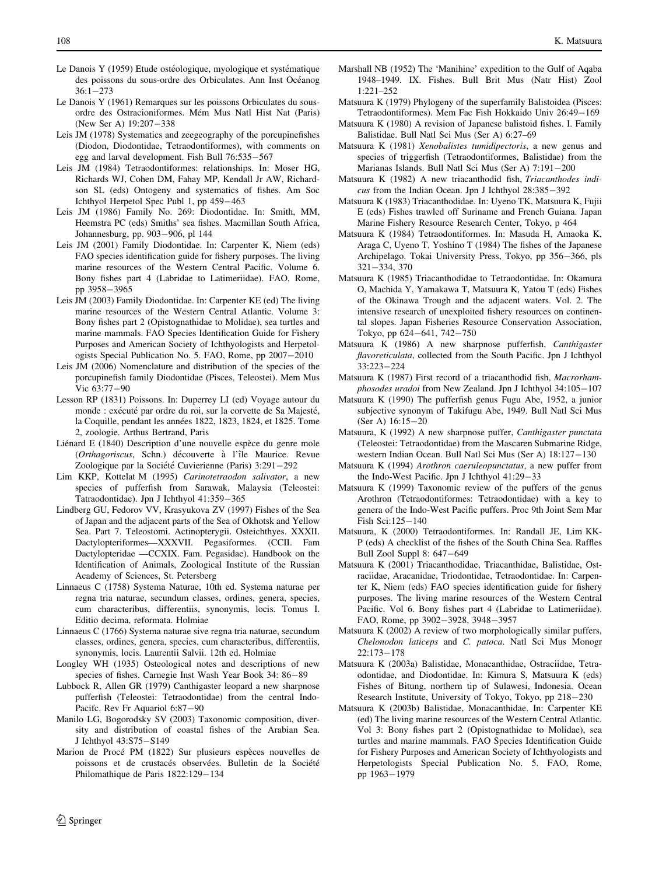- Le Danois Y (1959) Etude ostéologique, myologique et systématique des poissons du sous-ordre des Orbiculates. Ann Inst Océanog  $36.1 - 273$
- Le Danois Y (1961) Remarques sur les poissons Orbiculates du sousordre des Ostracioniformes. Mém Mus Natl Hist Nat (Paris) (New Ser A) 19:207-338
- Leis JM (1978) Systematics and zeegeography of the porcupinefishes (Diodon, Diodontidae, Tetraodontiformes), with comments on egg and larval development. Fish Bull 76:535-567
- Leis JM (1984) Tetraodontiformes: relationships. In: Moser HG, Richards WJ, Cohen DM, Fahay MP, Kendall Jr AW, Richardson SL (eds) Ontogeny and systematics of fishes. Am Soc Ichthyol Herpetol Spec Publ 1, pp 459-463
- Leis JM (1986) Family No. 269: Diodontidae. In: Smith, MM, Heemstra PC (eds) Smiths' sea fishes. Macmillan South Africa, Johannesburg, pp. 903-906, pl 144
- Leis JM (2001) Family Diodontidae. In: Carpenter K, Niem (eds) FAO species identification guide for fishery purposes. The living marine resources of the Western Central Pacific. Volume 6. Bony fishes part 4 (Labridae to Latimeriidae). FAO, Rome, pp 3958-3965
- Leis JM (2003) Family Diodontidae. In: Carpenter KE (ed) The living marine resources of the Western Central Atlantic. Volume 3: Bony fishes part 2 (Opistognathidae to Molidae), sea turtles and marine mammals. FAO Species Identification Guide for Fishery Purposes and American Society of Ichthyologists and Herpetologists Special Publication No. 5. FAO, Rome, pp 2007-2010
- Leis JM (2006) Nomenclature and distribution of the species of the porcupinefish family Diodontidae (Pisces, Teleostei). Mem Mus Vic 63:77-90
- Lesson RP (1831) Poissons. In: Duperrey LI (ed) Voyage autour du monde : exécuté par ordre du roi, sur la corvette de Sa Majesté, la Coquille, pendant les années 1822, 1823, 1824, et 1825. Tome 2, zoologie. Arthus Bertrand, Paris
- Liénard E (1840) Description d'une nouvelle espèce du genre mole (Orthagoriscus, Schn.) découverte à l'île Maurice. Revue Zoologique par la Société Cuvierienne (Paris) 3:291-292
- Lim KKP, Kottelat M (1995) Carinotetraodon salivator, a new species of pufferfish from Sarawak, Malaysia (Teleostei: Tatraodontidae). Jpn J Ichthyol 41:359-365
- Lindberg GU, Fedorov VV, Krasyukova ZV (1997) Fishes of the Sea of Japan and the adjacent parts of the Sea of Okhotsk and Yellow Sea. Part 7. Teleostomi. Actinopterygii. Osteichthyes. XXXII. Dactylopteriformes—XXXVII. Pegasiformes. (CCII. Fam Dactylopteridae —CCXIX. Fam. Pegasidae). Handbook on the Identification of Animals, Zoological Institute of the Russian Academy of Sciences, St. Petersberg
- Linnaeus C (1758) Systema Naturae, 10th ed. Systema naturae per regna tria naturae, secundum classes, ordines, genera, species, cum characteribus, differentiis, synonymis, locis. Tomus I. Editio decima, reformata. Holmiae
- Linnaeus C (1766) Systema naturae sive regna tria naturae, secundum classes, ordines, genera, species, cum characteribus, differentiis, synonymis, locis. Laurentii Salvii. 12th ed. Holmiae
- Longley WH (1935) Osteological notes and descriptions of new species of fishes. Carnegie Inst Wash Year Book 34: 86-89
- Lubbock R, Allen GR (1979) Canthigaster leopard a new sharpnose pufferfish (Teleostei: Tetraodontidae) from the central Indo-Pacifc. Rev Fr Aquariol 6:87-90
- Manilo LG, Bogorodsky SV (2003) Taxonomic composition, diversity and distribution of coastal fishes of the Arabian Sea. J Ichthyol 43:S75-S149
- Marion de Procé PM (1822) Sur plusieurs espèces nouvelles de poissons et de crustacés observées. Bulletin de la Société Philomathique de Paris 1822:129-134
- Marshall NB (1952) The 'Manihine' expedition to the Gulf of Aqaba 1948–1949. IX. Fishes. Bull Brit Mus (Natr Hist) Zool 1:221–252
- Matsuura K (1979) Phylogeny of the superfamily Balistoidea (Pisces: Tetraodontiformes). Mem Fac Fish Hokkaido Univ 26:49-169
- Matsuura K (1980) A revision of Japanese balistoid fishes. I. Family Balistidae. Bull Natl Sci Mus (Ser A) 6:27–69
- Matsuura K (1981) Xenobalistes tumidipectoris, a new genus and species of triggerfish (Tetraodontiformes, Balistidae) from the Marianas Islands. Bull Natl Sci Mus (Ser A) 7:191-200
- Matsuura K (1982) A new triacanthodid fish, Triacanthodes indicus from the Indian Ocean. Jpn J Ichthyol 28:385-392
- Matsuura K (1983) Triacanthodidae. In: Uyeno TK, Matsuura K, Fujii E (eds) Fishes trawled off Suriname and French Guiana. Japan Marine Fishery Resource Research Center, Tokyo, p 464
- Matsuura K (1984) Tetraodontiformes. In: Masuda H, Amaoka K, Araga C, Uyeno T, Yoshino T (1984) The fishes of the Japanese Archipelago. Tokai University Press, Tokyo, pp 356-366, pls 321-334, 370
- Matsuura K (1985) Triacanthodidae to Tetraodontidae. In: Okamura O, Machida Y, Yamakawa T, Matsuura K, Yatou T (eds) Fishes of the Okinawa Trough and the adjacent waters. Vol. 2. The intensive research of unexploited fishery resources on continental slopes. Japan Fisheries Resource Conservation Association, Tokyo, pp 624-641, 742-750
- Matsuura K (1986) A new sharpnose pufferfish, Canthigaster flavoreticulata, collected from the South Pacific. Jpn J Ichthyol 33:223-224
- Matsuura K (1987) First record of a triacanthodid fish, Macrorhamphosodes uradoi from New Zealand. Jpn J Ichthyol 34:105-107
- Matsuura K (1990) The pufferfish genus Fugu Abe, 1952, a junior subjective synonym of Takifugu Abe, 1949. Bull Natl Sci Mus (Ser A) 16:15-20
- Matsuura, K (1992) A new sharpnose puffer, Canthigaster punctata (Teleostei: Tetraodontidae) from the Mascaren Submarine Ridge, western Indian Ocean. Bull Natl Sci Mus (Ser A) 18:127-130
- Matsuura K (1994) Arothron caeruleopunctatus, a new puffer from the Indo-West Pacific. Jpn J Ichthyol 41:29-33
- Matsuura K (1999) Taxonomic review of the puffers of the genus Arothron (Tetraodontiformes: Tetraodontidae) with a key to genera of the Indo-West Pacific puffers. Proc 9th Joint Sem Mar Fish Sci:125-140
- Matsuura, K (2000) Tetraodontiformes. In: Randall JE, Lim KK-P (eds) A checklist of the fishes of the South China Sea. Raffles Bull Zool Suppl 8: 647-649
- Matsuura K (2001) Triacanthodidae, Triacanthidae, Balistidae, Ostraciidae, Aracanidae, Triodontidae, Tetraodontidae. In: Carpenter K, Niem (eds) FAO species identification guide for fishery purposes. The living marine resources of the Western Central Pacific. Vol 6. Bony fishes part 4 (Labridae to Latimeriidae). FAO, Rome, pp 3902-3928, 3948-3957
- Matsuura K (2002) A review of two morphologically similar puffers, Chelonodon laticeps and C. patoca. Natl Sci Mus Monogr 22:173-178
- Matsuura K (2003a) Balistidae, Monacanthidae, Ostraciidae, Tetraodontidae, and Diodontidae. In: Kimura S, Matsuura K (eds) Fishes of Bitung, northern tip of Sulawesi, Indonesia. Ocean Research Institute, University of Tokyo, Tokyo, pp 218-230
- Matsuura K (2003b) Balistidae, Monacanthidae. In: Carpenter KE (ed) The living marine resources of the Western Central Atlantic. Vol 3: Bony fishes part 2 (Opistognathidae to Molidae), sea turtles and marine mammals. FAO Species Identification Guide for Fishery Purposes and American Society of Ichthyologists and Herpetologists Special Publication No. 5. FAO, Rome, pp 1963-1979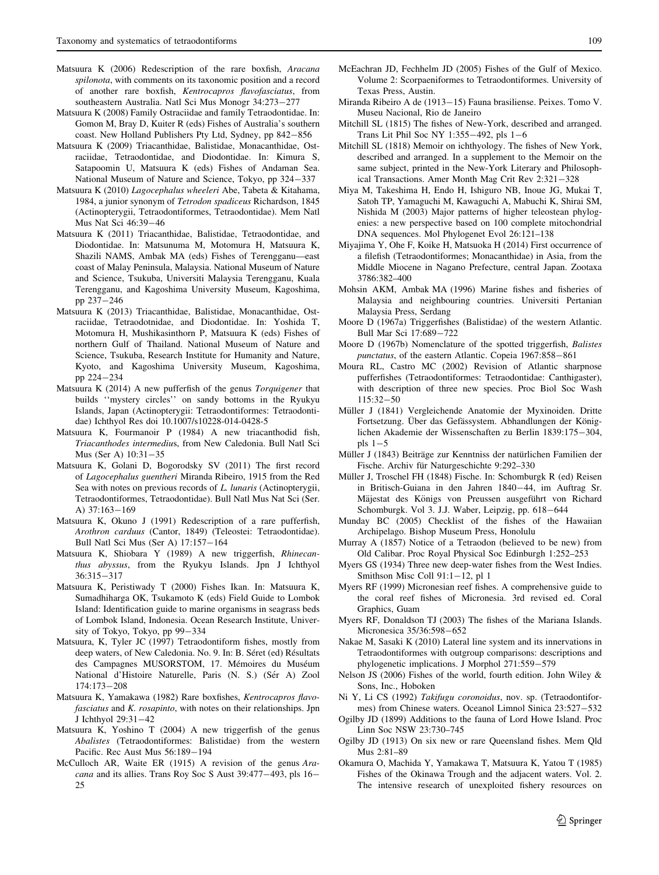- Matsuura K (2006) Redescription of the rare boxfish, Aracana spilonota, with comments on its taxonomic position and a record of another rare boxfish, Kentrocapros flavofasciatus, from southeastern Australia. Natl Sci Mus Monogr 34:273-277
- Matsuura K (2008) Family Ostraciidae and family Tetraodontidae. In: Gomon M, Bray D, Kuiter R (eds) Fishes of Australia's southern coast. New Holland Publishers Pty Ltd, Sydney, pp 842-856
- Matsuura K (2009) Triacanthidae, Balistidae, Monacanthidae, Ostraciidae, Tetraodontidae, and Diodontidae. In: Kimura S, Satapoomin U, Matsuura K (eds) Fishes of Andaman Sea. National Museum of Nature and Science, Tokyo, pp 324-337
- Matsuura K (2010) Lagocephalus wheeleri Abe, Tabeta & Kitahama, 1984, a junior synonym of Tetrodon spadiceus Richardson, 1845 (Actinopterygii, Tetraodontiformes, Tetraodontidae). Mem Natl Mus Nat Sci 46:39-46
- Matsuura K (2011) Triacanthidae, Balistidae, Tetraodontidae, and Diodontidae. In: Matsunuma M, Motomura H, Matsuura K, Shazili NAMS, Ambak MA (eds) Fishes of Terengganu—east coast of Malay Peninsula, Malaysia. National Museum of Nature and Science, Tsukuba, Universiti Malaysia Terengganu, Kuala Terengganu, and Kagoshima University Museum, Kagoshima, pp 237-246
- Matsuura K (2013) Triacanthidae, Balistidae, Monacanthidae, Ostraciidae, Tetraodotnidae, and Diodontidae. In: Yoshida T, Motomura H, Mushikasinthorn P, Matsuura K (eds) Fishes of northern Gulf of Thailand. National Museum of Nature and Science, Tsukuba, Research Institute for Humanity and Nature, Kyoto, and Kagoshima University Museum, Kagoshima, pp 224-234
- Matsuura K (2014) A new pufferfish of the genus Torquigener that builds ''mystery circles'' on sandy bottoms in the Ryukyu Islands, Japan (Actinopterygii: Tetraodontiformes: Tetraodontidae) Ichthyol Res doi 10.1007/s10228-014-0428-5
- Matsuura K, Fourmanoir P (1984) A new triacanthodid fish, Triacanthodes intermedius, from New Caledonia. Bull Natl Sci Mus (Ser A) 10:31-35
- Matsuura K, Golani D, Bogorodsky SV (2011) The first record of Lagocephalus guentheri Miranda Ribeiro, 1915 from the Red Sea with notes on previous records of L. lunaris (Actinopterygii, Tetraodontiformes, Tetraodontidae). Bull Natl Mus Nat Sci (Ser. A) 37:163-169
- Matsuura K, Okuno J (1991) Redescription of a rare pufferfish, Arothron carduus (Cantor, 1849) (Teleostei: Tetraodontidae). Bull Natl Sci Mus (Ser A) 17:157-164
- Matsuura K, Shiobara Y (1989) A new triggerfish, Rhinecanthus abyssus, from the Ryukyu Islands. Jpn J Ichthyol 36:315-317
- Matsuura K, Peristiwady T (2000) Fishes Ikan. In: Matsuura K, Sumadhiharga OK, Tsukamoto K (eds) Field Guide to Lombok Island: Identification guide to marine organisms in seagrass beds of Lombok Island, Indonesia. Ocean Research Institute, University of Tokyo, Tokyo, pp 99-334
- Matsuura, K, Tyler JC (1997) Tetraodontiform fishes, mostly from deep waters, of New Caledonia. No. 9. In: B. Séret (ed) Résultats des Campagnes MUSORSTOM, 17. Mémoires du Muséum National d'Histoire Naturelle, Paris (N. S.) (Sér A) Zool 174:173-208
- Matsuura K, Yamakawa (1982) Rare boxfishes, Kentrocapros flavofasciatus and K. rosapinto, with notes on their relationships. Jpn J Ichthyol 29:31-42
- Matsuura K, Yoshino T (2004) A new triggerfish of the genus Abalistes (Tetraodontiformes: Balistidae) from the western Pacific. Rec Aust Mus 56:189-194
- McCulloch AR, Waite ER (1915) A revision of the genus Aracana and its allies. Trans Roy Soc S Aust 39:477-493, pls 16- 25
- McEachran JD, Fechhelm JD (2005) Fishes of the Gulf of Mexico. Volume 2: Scorpaeniformes to Tetraodontiformes. University of Texas Press, Austin.
- Miranda Ribeiro A de (1913-15) Fauna brasiliense. Peixes. Tomo V. Museu Nacional, Rio de Janeiro
- Mitchill SL (1815) The fishes of New-York, described and arranged. Trans Lit Phil Soc NY 1:355-492, pls 1-6
- Mitchill SL (1818) Memoir on ichthyology. The fishes of New York, described and arranged. In a supplement to the Memoir on the same subject, printed in the New-York Literary and Philosophical Transactions. Amer Month Mag Crit Rev 2:321-328
- Miya M, Takeshima H, Endo H, Ishiguro NB, Inoue JG, Mukai T, Satoh TP, Yamaguchi M, Kawaguchi A, Mabuchi K, Shirai SM, Nishida M (2003) Major patterns of higher teleostean phylogenies: a new perspective based on 100 complete mitochondrial DNA sequences. Mol Phylogenet Evol 26:121–138
- Miyajima Y, Ohe F, Koike H, Matsuoka H (2014) First occurrence of a filefish (Tetraodontiformes; Monacanthidae) in Asia, from the Middle Miocene in Nagano Prefecture, central Japan. Zootaxa 3786:382–400
- Mohsin AKM, Ambak MA (1996) Marine fishes and fisheries of Malaysia and neighbouring countries. Universiti Pertanian Malaysia Press, Serdang
- Moore D (1967a) Triggerfishes (Balistidae) of the western Atlantic. Bull Mar Sci 17:689-722
- Moore D (1967b) Nomenclature of the spotted triggerfish, Balistes punctatus, of the eastern Atlantic. Copeia 1967:858-861
- Moura RL, Castro MC (2002) Revision of Atlantic sharpnose pufferfishes (Tetraodontiformes: Tetraodontidae: Canthigaster), with description of three new species. Proc Biol Soc Wash 115:32-50
- Müller J (1841) Vergleichende Anatomie der Myxinoiden. Dritte Fortsetzung. Über das Gefässystem. Abhandlungen der Königlichen Akademie der Wissenschaften zu Berlin 1839:175-304, pls  $1-5$
- Müller J (1843) Beiträge zur Kenntniss der natürlichen Familien der Fische. Archiv für Naturgeschichte 9:292-330
- Müller J, Troschel FH (1848) Fische. In: Schomburgk R (ed) Reisen in Britisch-Guiana in den Jahren 1840-44, im Auftrag Sr. Mäjestat des Königs von Preussen ausgeführt von Richard Schomburgk. Vol 3. J.J. Waber, Leipzig, pp. 618-644
- Munday BC (2005) Checklist of the fishes of the Hawaiian Archipelago. Bishop Museum Press, Honolulu
- Murray A (1857) Notice of a Tetraodon (believed to be new) from Old Calibar. Proc Royal Physical Soc Edinburgh 1:252–253
- Myers GS (1934) Three new deep-water fishes from the West Indies. Smithson Misc Coll 91:1-12, pl 1
- Myers RF (1999) Micronesian reef fishes. A comprehensive guide to the coral reef fishes of Micronesia. 3rd revised ed. Coral Graphics, Guam
- Myers RF, Donaldson TJ (2003) The fishes of the Mariana Islands. Micronesica 35/36:598-652
- Nakae M, Sasaki K (2010) Lateral line system and its innervations in Tetraodontiformes with outgroup comparisons: descriptions and phylogenetic implications. J Morphol 271:559-579
- Nelson JS (2006) Fishes of the world, fourth edition. John Wiley & Sons, Inc., Hoboken
- Ni Y, Li CS (1992) Takifugu coronoidus, nov. sp. (Tetraodontiformes) from Chinese waters. Oceanol Limnol Sinica 23:527-532
- Ogilby JD (1899) Additions to the fauna of Lord Howe Island. Proc Linn Soc NSW 23:730–745
- Ogilby JD (1913) On six new or rare Queensland fishes. Mem Qld Mus 2:81–89
- Okamura O, Machida Y, Yamakawa T, Matsuura K, Yatou T (1985) Fishes of the Okinawa Trough and the adjacent waters. Vol. 2. The intensive research of unexploited fishery resources on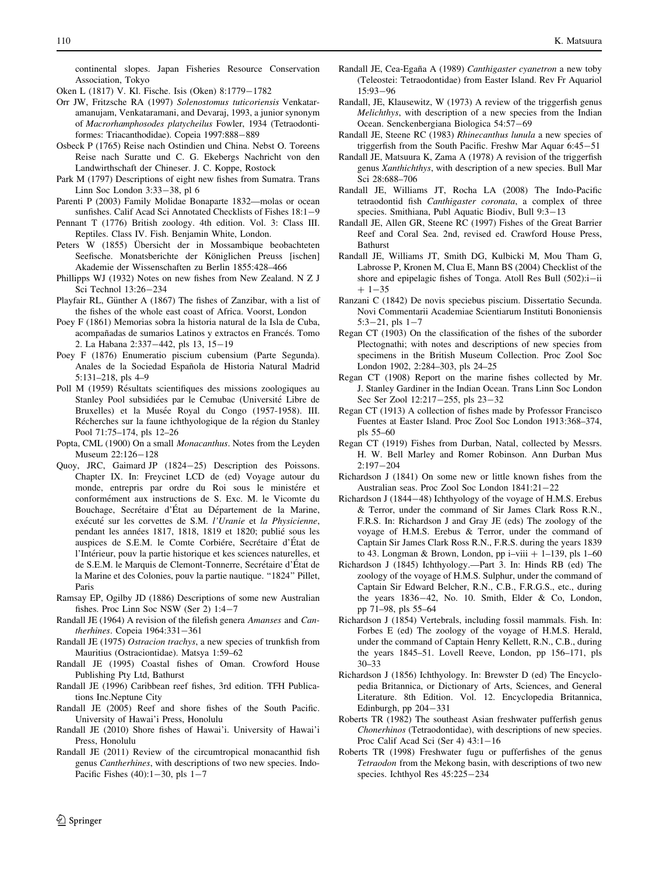Playfair RL, Günther A (1867) The fishes of Zanzibar, with a list of the fishes of the whole east coast of Africa. Voorst, London Poey F (1861) Memorias sobra la historia natural de la Isla de Cuba,

continental slopes. Japan Fisheries Resource Conservation

Orr JW, Fritzsche RA (1997) Solenostomus tuticoriensis Venkataramanujam, Venkataramani, and Devaraj, 1993, a junior synonym of Macrorhamphosodes platycheilus Fowler, 1934 (Tetraodonti-

Osbeck P (1765) Reise nach Ostindien und China. Nebst O. Toreens Reise nach Suratte und C. G. Ekebergs Nachricht von den

Parenti P (2003) Family Molidae Bonaparte 1832—molas or ocean sunfishes. Calif Acad Sci Annotated Checklists of Fishes 18:1-9 Pennant T (1776) British zoology. 4th edition. Vol. 3: Class III. Reptiles. Class IV. Fish. Benjamin White, London. Peters W (1855) Übersicht der in Mossambique beobachteten Seefische. Monatsberichte der Königlichen Preuss [ischen] Akademie der Wissenschaften zu Berlin 1855:428–466 Phillipps WJ (1932) Notes on new fishes from New Zealand. N Z J

Oken L (1817) V. Kl. Fische. Isis (Oken) 8:1779-1782

formes: Triacanthodidae). Copeia 1997:888-889

Linn Soc London 3:33-38, pl 6

Sci Technol 13:26-234

Landwirthschaft der Chineser. J. C. Koppe, Rostock Park M (1797) Descriptions of eight new fishes from Sumatra. Trans

- acompañadas de sumarios Latinos y extractos en Francés. Tomo 2. La Habana 2:337-442, pls 13, 15-19
- Poey F (1876) Enumeratio piscium cubensium (Parte Segunda). Anales de la Sociedad Española de Historia Natural Madrid 5:131–218, pls 4–9
- Poll M (1959) Résultats scientifiques des missions zoologiques au Stanley Pool subsidiées par le Cemubac (Université Libre de Bruxelles) et la Musée Royal du Congo (1957-1958). III. Récherches sur la faune ichthyologique de la région du Stanley Pool 71:75–174, pls 12–26
- Popta, CML (1900) On a small Monacanthus. Notes from the Leyden Museum 22:126-128
- Quoy, JRC, Gaimard JP (1824-25) Description des Poissons. Chapter IX. In: Freycinet LCD de (ed) Voyage autour du monde, entrepris par ordre du Roi sous le ministére et conformément aux instructions de S. Exc. M. le Vicomte du Bouchage, Secrétaire d'État au Département de la Marine, exécuté sur les corvettes de S.M. l'Uranie et la Physicienne, pendant les années 1817, 1818, 1819 et 1820; publié sous les auspices de S.E.M. le Comte Corbiére, Secrétaire d'État de l'Intérieur, pouv la partie historique et kes sciences naturelles, et de S.E.M. le Marquis de Clemont-Tonnerre, Secrétaire d'État de la Marine et des Colonies, pouv la partie nautique. "1824" Pillet, Paris
- Ramsay EP, Ogilby JD (1886) Descriptions of some new Australian fishes. Proc Linn Soc NSW (Ser 2) 1:4-7
- Randall JE (1964) A revision of the filefish genera Amanses and Cantherhines. Copeia 1964:331-361
- Randall JE (1975) Ostracion trachys, a new species of trunkfish from Mauritius (Ostraciontidae). Matsya 1:59–62
- Randall JE (1995) Coastal fishes of Oman. Crowford House Publishing Pty Ltd, Bathurst
- Randall JE (1996) Caribbean reef fishes, 3rd edition. TFH Publications Inc.Neptune City
- Randall JE (2005) Reef and shore fishes of the South Pacific. University of Hawai'i Press, Honolulu
- Randall JE (2010) Shore fishes of Hawai'i. University of Hawai'i Press, Honolulu
- Randall JE (2011) Review of the circumtropical monacanthid fish genus Cantherhines, with descriptions of two new species. Indo-Pacific Fishes  $(40):1-30$ , pls  $1-7$
- Randall JE, Cea-Egaña A (1989) Canthigaster cyanetron a new toby (Teleostei: Tetraodontidae) from Easter Island. Rev Fr Aquariol 15:93-96
- Randall, JE, Klausewitz, W (1973) A review of the triggerfish genus Melichthys, with description of a new species from the Indian Ocean. Senckenbergiana Biologica 54:57-69
- Randall JE, Steene RC (1983) Rhinecanthus lunula a new species of triggerfish from the South Pacific. Freshw Mar Aquar 6:45-51
- Randall JE, Matsuura K, Zama A (1978) A revision of the triggerfish genus Xanthichthys, with description of a new species. Bull Mar Sci 28:688–706
- Randall JE, Williams JT, Rocha LA (2008) The Indo-Pacific tetraodontid fish Canthigaster coronata, a complex of three species. Smithiana, Publ Aquatic Biodiv, Bull 9:3-13
- Randall JE, Allen GR, Steene RC (1997) Fishes of the Great Barrier Reef and Coral Sea. 2nd, revised ed. Crawford House Press, Bathurst
- Randall JE, Williams JT, Smith DG, Kulbicki M, Mou Tham G, Labrosse P, Kronen M, Clua E, Mann BS (2004) Checklist of the shore and epipelagic fishes of Tonga. Atoll Res Bull (502):i-ii  $+1-35$
- Ranzani C (1842) De novis speciebus piscium. Dissertatio Secunda. Novi Commentarii Academiae Scientiarum Instituti Bononiensis  $5:3-21$ , pls  $1-7$
- Regan CT (1903) On the classification of the fishes of the suborder Plectognathi; with notes and descriptions of new species from specimens in the British Museum Collection. Proc Zool Soc London 1902, 2:284–303, pls 24–25
- Regan CT (1908) Report on the marine fishes collected by Mr. J. Stanley Gardiner in the Indian Ocean. Trans Linn Soc London Sec Ser Zool 12:217-255, pls 23-32
- Regan CT (1913) A collection of fishes made by Professor Francisco Fuentes at Easter Island. Proc Zool Soc London 1913:368–374, pls 55–60
- Regan CT (1919) Fishes from Durban, Natal, collected by Messrs. H. W. Bell Marley and Romer Robinson. Ann Durban Mus 2:197-204
- Richardson J (1841) On some new or little known fishes from the Australian seas. Proc Zool Soc London 1841:21-22
- Richardson J (1844-48) Ichthyology of the voyage of H.M.S. Erebus & Terror, under the command of Sir James Clark Ross R.N., F.R.S. In: Richardson J and Gray JE (eds) The zoology of the voyage of H.M.S. Erebus & Terror, under the command of Captain Sir James Clark Ross R.N., F.R.S. during the years 1839 to 43. Longman & Brown, London, pp i–viii  $+$  1–139, pls 1–60
- Richardson J (1845) Ichthyology.—Part 3. In: Hinds RB (ed) The zoology of the voyage of H.M.S. Sulphur, under the command of Captain Sir Edward Belcher, R.N., C.B., F.R.G.S., etc., during the years 1836-42, No. 10. Smith, Elder & Co, London, pp 71–98, pls 55–64
- Richardson J (1854) Vertebrals, including fossil mammals. Fish. In: Forbes E (ed) The zoology of the voyage of H.M.S. Herald, under the command of Captain Henry Kellett, R.N., C.B., during the years 1845–51. Lovell Reeve, London, pp 156–171, pls 30–33
- Richardson J (1856) Ichthyology. In: Brewster D (ed) The Encyclopedia Britannica, or Dictionary of Arts, Sciences, and General Literature. 8th Edition. Vol. 12. Encyclopedia Britannica, Edinburgh, pp 204-331
- Roberts TR (1982) The southeast Asian freshwater pufferfish genus Chonerhinos (Tetraodontidae), with descriptions of new species. Proc Calif Acad Sci (Ser 4) 43:1-16
- Roberts TR (1998) Freshwater fugu or pufferfishes of the genus Tetraodon from the Mekong basin, with descriptions of two new species. Ichthyol Res 45:225-234

Association, Tokyo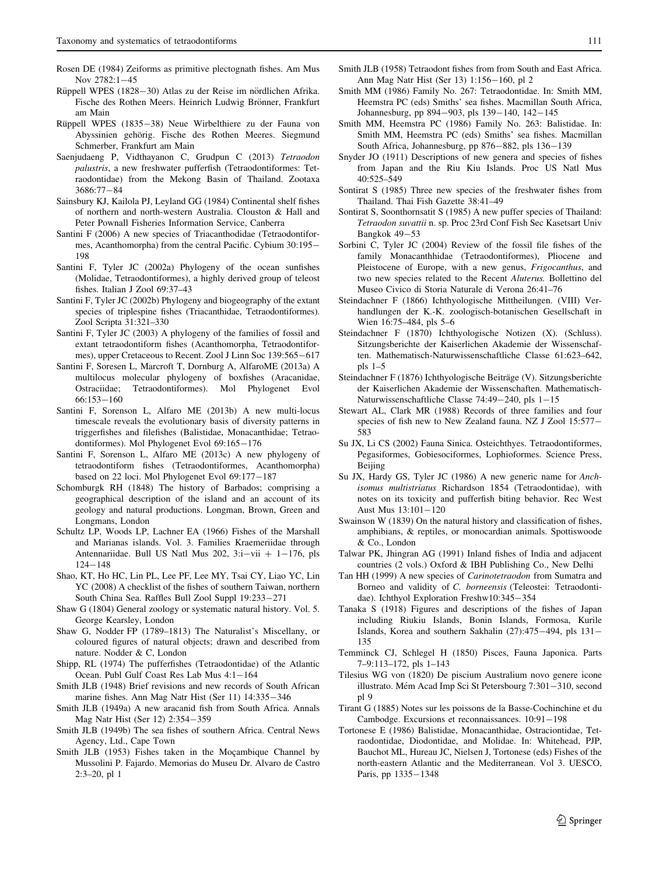Rosen DE (1984) Zeiforms as primitive plectognath fishes. Am Mus Nov 2782:1-45

- Rüppell WPES (1828-30) Atlas zu der Reise im nördlichen Afrika. Fische des Rothen Meers. Heinrich Ludwig Brönner, Frankfurt am Main
- Rüppell WPES (1835-38) Neue Wirbelthiere zu der Fauna von Abyssinien gehörig. Fische des Rothen Meeres. Siegmund Schmerber, Frankfurt am Main
- Saenjudaeng P, Vidthayanon C, Grudpun C (2013) Tetraodon palustris, a new freshwater pufferfish (Tetraodontiformes: Tetraodontidae) from the Mekong Basin of Thailand. Zootaxa 3686:77-84
- Sainsbury KJ, Kailola PJ, Leyland GG (1984) Continental shelf fishes of northern and north-western Australia. Clouston & Hall and Peter Pownall Fisheries Information Service, Canberra
- Santini F (2006) A new species of Triacanthodidae (Tetraodontiformes, Acanthomorpha) from the central Pacific. Cybium 30:195- 198
- Santini F, Tyler JC (2002a) Phylogeny of the ocean sunfishes (Molidae, Tetraodontiformes), a highly derived group of teleost fishes. Italian J Zool 69:37–43
- Santini F, Tyler JC (2002b) Phylogeny and biogeography of the extant species of triplespine fishes (Triacanthidae, Tetraodontiformes). Zool Scripta 31:321–330
- Santini F, Tyler JC (2003) A phylogeny of the families of fossil and extant tetraodontiform fishes (Acanthomorpha, Tetraodontiformes), upper Cretaceous to Recent. Zool J Linn Soc 139:565-617
- Santini F, Soresen L, Marcroft T, Dornburg A, AlfaroME (2013a) A multilocus molecular phylogeny of boxfishes (Aracanidae, Ostraciidae; Tetraodontiformes). Mol Phylogenet Evol 66:153-160
- Santini F, Sorenson L, Alfaro ME (2013b) A new multi-locus timescale reveals the evolutionary basis of diversity patterns in triggerfishes and filefishes (Balistidae, Monacanthidae; Tetraodontiformes). Mol Phylogenet Evol 69:165-176
- Santini F, Sorenson L, Alfaro ME (2013c) A new phylogeny of tetraodontiform fishes (Tetraodontiformes, Acanthomorpha) based on 22 loci. Mol Phylogenet Evol 69:177-187
- Schomburgk RH (1848) The history of Barbados; comprising a geographical description of the island and an account of its geology and natural productions. Longman, Brown, Green and Longmans, London
- Schultz LP, Woods LP, Lachner EA (1966) Fishes of the Marshall and Marianas islands. Vol. 3. Families Kraemeriidae through Antennariidae. Bull US Natl Mus 202, 3:i-vii + 1-176, pls 124-148
- Shao, KT, Ho HC, Lin PL, Lee PF, Lee MY, Tsai CY, Liao YC, Lin YC (2008) A checklist of the fishes of southern Taiwan, northern South China Sea. Raffles Bull Zool Suppl 19:233-271
- Shaw G (1804) General zoology or systematic natural history. Vol. 5. George Kearsley, London
- Shaw G, Nodder FP (1789–1813) The Naturalist's Miscellany, or coloured figures of natural objects; drawn and described from nature. Nodder & C, London
- Shipp, RL (1974) The pufferfishes (Tetraodontidae) of the Atlantic Ocean. Publ Gulf Coast Res Lab Mus 4:1-164
- Smith JLB (1948) Brief revisions and new records of South African marine fishes. Ann Mag Natr Hist (Ser 11) 14:335-346
- Smith JLB (1949a) A new aracanid fish from South Africa. Annals Mag Natr Hist (Ser 12) 2:354-359
- Smith JLB (1949b) The sea fishes of southern Africa. Central News Agency, Ltd., Cape Town
- Smith JLB (1953) Fishes taken in the Moçambique Channel by Mussolini P. Fajardo. Memorias do Museu Dr. Alvaro de Castro 2:3–20, pl 1
- Smith JLB (1958) Tetraodont fishes from from South and East Africa. Ann Mag Natr Hist (Ser 13) 1:156-160, pl 2
- Smith MM (1986) Family No. 267: Tetraodontidae. In: Smith MM, Heemstra PC (eds) Smiths' sea fishes. Macmillan South Africa, Johannesburg, pp 894-903, pls 139-140, 142-145
- Smith MM, Heemstra PC (1986) Family No. 263: Balistidae. In: Smith MM, Heemstra PC (eds) Smiths' sea fishes. Macmillan South Africa, Johannesburg, pp 876-882, pls 136-139
- Snyder JO (1911) Descriptions of new genera and species of fishes from Japan and the Riu Kiu Islands. Proc US Natl Mus 40:525–549
- Sontirat S (1985) Three new species of the freshwater fishes from Thailand. Thai Fish Gazette 38:41–49
- Sontirat S, Soonthornsatit S (1985) A new puffer species of Thailand: Tetraodon suvattii n. sp. Proc 23rd Conf Fish Sec Kasetsart Univ Bangkok 49-53
- Sorbini C, Tyler JC (2004) Review of the fossil file fishes of the family Monacanthhidae (Tetraodontiformes), Pliocene and Pleistocene of Europe, with a new genus, Frigocanthus, and two new species related to the Recent Aluterus. Bollettino del Museo Civico di Storia Naturale di Verona 26:41–76
- Steindachner F (1866) Ichthyologische Mittheilungen. (VIII) Verhandlungen der K.-K. zoologisch-botanischen Gesellschaft in Wien 16:75–484, pls 5–6
- Steindachner F (1870) Ichthyologische Notizen (X). (Schluss). Sitzungsberichte der Kaiserlichen Akademie der Wissenschaften. Mathematisch-Naturwissenschaftliche Classe 61:623–642, pls 1–5
- Steindachner F (1876) Ichthyologische Beiträge (V). Sitzungsberichte der Kaiserlichen Akademie der Wissenschaften. Mathematisch-Naturwissenschaftliche Classe 74:49-240, pls 1-15
- Stewart AL, Clark MR (1988) Records of three families and four species of fish new to New Zealand fauna. NZ J Zool 15:577- 583
- Su JX, Li CS (2002) Fauna Sinica. Osteichthyes. Tetraodontiformes, Pegasiformes, Gobiesociformes, Lophioformes. Science Press, Beijing
- Su JX, Hardy GS, Tyler JC (1986) A new generic name for Anchisomus multistriatus Richardson 1854 (Tetraodontidae), with notes on its toxicity and pufferfish biting behavior. Rec West Aust Mus 13:101-120
- Swainson W (1839) On the natural history and classification of fishes, amphibians, & reptiles, or monocardian animals. Spottiswoode & Co., London
- Talwar PK, Jhingran AG (1991) Inland fishes of India and adjacent countries (2 vols.) Oxford & IBH Publishing Co., New Delhi
- Tan HH (1999) A new species of Carinotetraodon from Sumatra and Borneo and validity of C. borneensis (Teleostei: Tetraodontidae). Ichthyol Exploration Freshw10:345-354
- Tanaka S (1918) Figures and descriptions of the fishes of Japan including Riukiu Islands, Bonin Islands, Formosa, Kurile Islands, Korea and southern Sakhalin (27):475-494, pls 131- 135
- Temminck CJ, Schlegel H (1850) Pisces, Fauna Japonica. Parts 7–9:113–172, pls 1–143
- Tilesius WG von (1820) De piscium Australium novo genere icone illustrato. Mém Acad Imp Sci St Petersbourg 7:301-310, second pl 9
- Tirant G (1885) Notes sur les poissons de la Basse-Cochinchine et du Cambodge. Excursions et reconnaissances. 10:91-198
- Tortonese E (1986) Balistidae, Monacanthidae, Ostraciontidae, Tetraodontidae, Diodontidae, and Molidae. In: Whitehead, PJP, Bauchot ML, Hureau JC, Nielsen J, Tortonese (eds) Fishes of the north-eastern Atlantic and the Mediterranean. Vol 3. UESCO, Paris, pp 1335-1348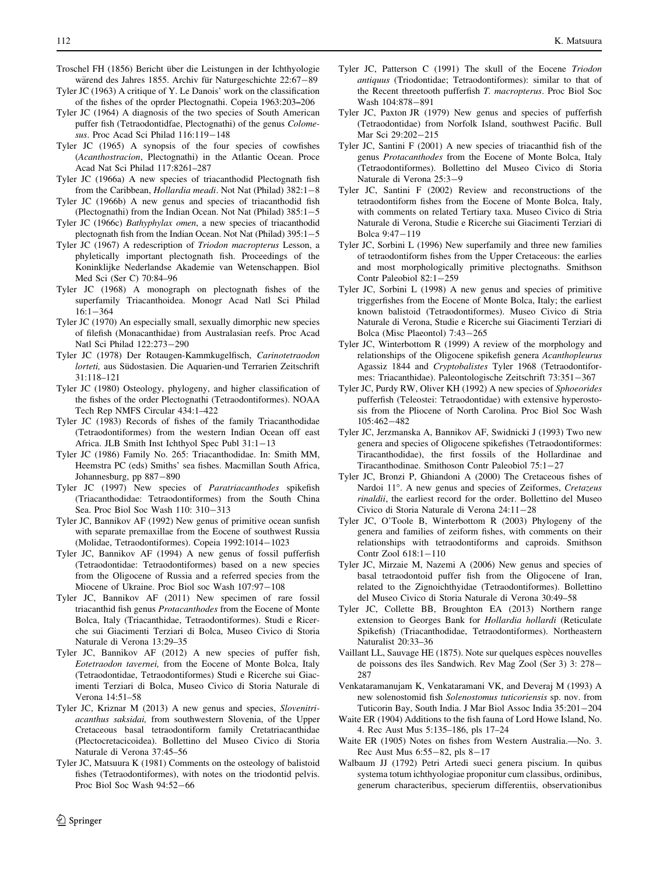- Troschel FH (1856) Bericht über die Leistungen in der Ichthyologie wärend des Jahres 1855. Archiv für Naturgeschichte 22:67-89
- Tyler JC (1963) A critique of Y. Le Danois' work on the classification of the fishes of the oprder Plectognathi. Copeia 1963:203–206
- Tyler JC (1964) A diagnosis of the two species of South American puffer fish (Tetraodontidfae, Plectognathi) of the genus Colomesus. Proc Acad Sci Philad 116:119-148
- Tyler JC (1965) A synopsis of the four species of cowfishes (Acanthostracion, Plectognathi) in the Atlantic Ocean. Proce Acad Nat Sci Philad 117:8261–287
- Tyler JC (1966a) A new species of triacanthodid Plectognath fish from the Caribbean, *Hollardia meadi*. Not Nat (Philad) 382:1-8
- Tyler JC (1966b) A new genus and species of triacanthodid fish (Plectognathi) from the Indian Ocean. Not Nat (Philad) 385:1-5
- Tyler JC (1966c) Bathyphylax omen, a new species of triacanthodid plectognath fish from the Indian Ocean. Not Nat (Philad) 395:1-5
- Tyler JC (1967) A redescription of Triodon macropterus Lesson, a phyletically important plectognath fish. Proceedings of the Koninklijke Nederlandse Akademie van Wetenschappen. Biol Med Sci (Ser C) 70:84–96
- Tyler JC (1968) A monograph on plectognath fishes of the superfamily Triacanthoidea. Monogr Acad Natl Sci Philad 16:1-364
- Tyler JC (1970) An especially small, sexually dimorphic new species of filefish (Monacanthidae) from Australasian reefs. Proc Acad Natl Sci Philad 122:273-290
- Tyler JC (1978) Der Rotaugen-Kammkugelfisch, Carinotetraodon lorteti, aus Südostasien. Die Aquarien-und Terrarien Zeitschrift 31:118–121
- Tyler JC (1980) Osteology, phylogeny, and higher classification of the fishes of the order Plectognathi (Tetraodontiformes). NOAA Tech Rep NMFS Circular 434:1–422
- Tyler JC (1983) Records of fishes of the family Triacanthodidae (Tetraodontiformes) from the western Indian Ocean off east Africa. JLB Smith Inst Ichthyol Spec Publ 31:1-13
- Tyler JC (1986) Family No. 265: Triacanthodidae. In: Smith MM, Heemstra PC (eds) Smiths' sea fishes. Macmillan South Africa, Johannesburg, pp 887-890
- Tyler JC (1997) New species of Paratriacanthodes spikefish (Triacanthodidae: Tetraodontiformes) from the South China Sea. Proc Biol Soc Wash 110: 310-313
- Tyler JC, Bannikov AF (1992) New genus of primitive ocean sunfish with separate premaxillae from the Eocene of southwest Russia (Molidae, Tetraodontiformes). Copeia 1992:1014-1023
- Tyler JC, Bannikov AF (1994) A new genus of fossil pufferfish (Tetraodontidae: Tetraodontiformes) based on a new species from the Oligocene of Russia and a referred species from the Miocene of Ukraine. Proc Biol soc Wash 107:97-108
- Tyler JC, Bannikov AF (2011) New specimen of rare fossil triacanthid fish genus Protacanthodes from the Eocene of Monte Bolca, Italy (Triacanthidae, Tetraodontiformes). Studi e Ricerche sui Giacimenti Terziari di Bolca, Museo Civico di Storia Naturale di Verona 13:29–35
- Tyler JC, Bannikov AF (2012) A new species of puffer fish, Eotetraodon tavernei, from the Eocene of Monte Bolca, Italy (Tetraodontidae, Tetraodontiformes) Studi e Ricerche sui Giacimenti Terziari di Bolca, Museo Civico di Storia Naturale di Verona 14:51–58
- Tyler JC, Kriznar M (2013) A new genus and species, Slovenitriacanthus saksidai, from southwestern Slovenia, of the Upper Cretaceous basal tetraodontiform family Cretatriacanthidae (Plectocretacicoidea). Bollettino del Museo Civico di Storia Naturale di Verona 37:45–56
- Tyler JC, Matsuura K (1981) Comments on the osteology of balistoid fishes (Tetraodontiformes), with notes on the triodontid pelvis. Proc Biol Soc Wash 94:52-66
- Tyler JC, Patterson C (1991) The skull of the Eocene Triodon antiquus (Triodontidae; Tetraodontiformes): similar to that of the Recent threetooth pufferfish T. macropterus. Proc Biol Soc Wash 104:878-891
- Tyler JC, Paxton JR (1979) New genus and species of pufferfish (Tetraodontidae) from Norfolk Island, southwest Pacific. Bull Mar Sci 29:202-215
- Tyler JC, Santini F (2001) A new species of triacanthid fish of the genus Protacanthodes from the Eocene of Monte Bolca, Italy (Tetraodontiformes). Bollettino del Museo Civico di Storia Naturale di Verona 25:3-9
- Tyler JC, Santini F (2002) Review and reconstructions of the tetraodontiform fishes from the Eocene of Monte Bolca, Italy, with comments on related Tertiary taxa. Museo Civico di Stria Naturale di Verona, Studie e Ricerche sui Giacimenti Terziari di Bolca 9:47-119
- Tyler JC, Sorbini L (1996) New superfamily and three new families of tetraodontiform fishes from the Upper Cretaceous: the earlies and most morphologically primitive plectognaths. Smithson Contr Paleobiol 82:1-259
- Tyler JC, Sorbini L (1998) A new genus and species of primitive triggerfishes from the Eocene of Monte Bolca, Italy; the earliest known balistoid (Tetraodontiformes). Museo Civico di Stria Naturale di Verona, Studie e Ricerche sui Giacimenti Terziari di Bolca (Misc Plaeontol) 7:43-265
- Tyler JC, Winterbottom R (1999) A review of the morphology and relationships of the Oligocene spikefish genera Acanthopleurus Agassiz 1844 and Cryptobalistes Tyler 1968 (Tetraodontiformes: Triacanthidae). Paleontologische Zeitschrift 73:351-367
- Tyler JC, Purdy RW, Oliver KH (1992) A new species of Sphoeorides pufferfish (Teleostei: Tetraodontidae) with extensive hyperostosis from the Pliocene of North Carolina. Proc Biol Soc Wash 105:462-482
- Tyler JC, Jerzmanska A, Bannikov AF, Swidnicki J (1993) Two new genera and species of Oligocene spikefishes (Tetraodontiformes: Tiracanthodidae), the first fossils of the Hollardinae and Tiracanthodinae. Smithoson Contr Paleobiol 75:1-27
- Tyler JC, Bronzi P, Ghiandoni A (2000) The Cretaceous fishes of Nardoi 11°. A new genus and species of Zeiformes, Cretazeus rinaldii, the earliest record for the order. Bollettino del Museo Civico di Storia Naturale di Verona 24:11-28
- Tyler JC, O'Toole B, Winterbottom R (2003) Phylogeny of the genera and families of zeiform fishes, with comments on their relationships with tetraodontiforms and caproids. Smithson Contr Zool 618:1-110
- Tyler JC, Mirzaie M, Nazemi A (2006) New genus and species of basal tetraodontoid puffer fish from the Oligocene of Iran, related to the Zignoichthyidae (Tetraodontiformes). Bollettino del Museo Civico di Storia Naturale di Verona 30:49–58
- Tyler JC, Collette BB, Broughton EA (2013) Northern range extension to Georges Bank for Hollardia hollardi (Reticulate Spikefish) (Triacanthodidae, Tetraodontiformes). Northeastern Naturalist 20:33–36
- Vaillant LL, Sauvage HE (1875). Note sur quelques espèces nouvelles de poissons des îles Sandwich. Rev Mag Zool (Ser 3) 3: 278-287
- Venkataramanujam K, Venkataramani VK, and Deveraj M (1993) A new solenostomid fish Solenostomus tuticoriensis sp. nov. from Tuticorin Bay, South India. J Mar Biol Assoc India 35:201-204
- Waite ER (1904) Additions to the fish fauna of Lord Howe Island, No. 4. Rec Aust Mus 5:135–186, pls 17–24
- Waite ER (1905) Notes on fishes from Western Australia.—No. 3. Rec Aust Mus 6:55-82, pls 8-17
- Walbaum JJ (1792) Petri Artedi sueci genera piscium. In quibus systema totum ichthyologiae proponitur cum classibus, ordinibus, generum characteribus, specierum differentiis, observationibus